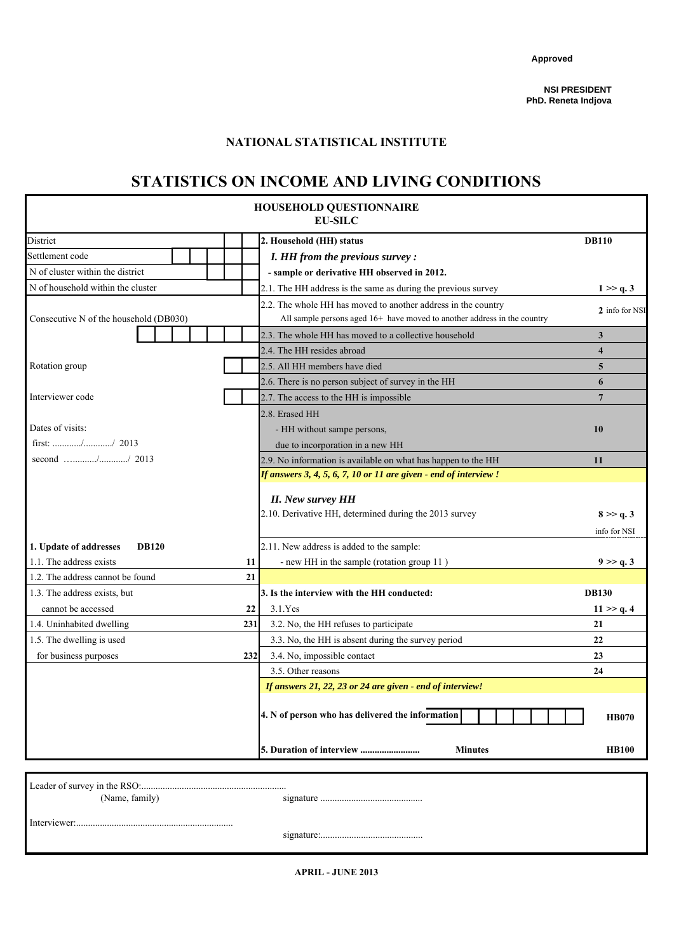**Approved**

## **NATIONAL STATISTICAL INSTITUTE**

# **STATISTICS ON INCOME AND LIVING CONDITIONS**

|                                        |     | <b>HOUSEHOLD QUESTIONNAIRE</b><br><b>EU-SILC</b>                                                                                          |                         |
|----------------------------------------|-----|-------------------------------------------------------------------------------------------------------------------------------------------|-------------------------|
| District                               |     | 2. Household (HH) status                                                                                                                  | <b>DB110</b>            |
| Settlement code                        |     | I. HH from the previous survey :                                                                                                          |                         |
| N of cluster within the district       |     | - sample or derivative HH observed in 2012.                                                                                               |                         |
| N of household within the cluster      |     | 2.1. The HH address is the same as during the previous survey                                                                             | 1 > > q.3               |
| Consecutive N of the household (DB030) |     | 2.2. The whole HH has moved to another address in the country<br>All sample persons aged 16+ have moved to another address in the country | 2 info for NSI          |
|                                        |     | 2.3. The whole HH has moved to a collective household                                                                                     | 3                       |
|                                        |     | 2.4. The HH resides abroad                                                                                                                | $\overline{\mathbf{4}}$ |
| Rotation group                         |     | 2.5. All HH members have died                                                                                                             | 5                       |
|                                        |     | 2.6. There is no person subject of survey in the HH                                                                                       | 6                       |
| Interviewer code                       |     | 2.7. The access to the HH is impossible                                                                                                   | $\overline{7}$          |
|                                        |     | 2.8. Erased HH                                                                                                                            |                         |
| Dates of visits:                       |     | - HH without sampe persons,                                                                                                               | 10                      |
| first: // 2013                         |     | due to incorporation in a new HH                                                                                                          |                         |
| second // 2013                         |     | 2.9. No information is available on what has happen to the HH                                                                             | 11                      |
|                                        |     | If answers 3, 4, 5, 6, 7, 10 or 11 are given - end of interview !                                                                         |                         |
|                                        |     | <b>II.</b> New survey HH<br>2.10. Derivative HH, determined during the 2013 survey                                                        | 8 > > q.3               |
|                                        |     |                                                                                                                                           | info for NSI            |
| 1. Update of addresses<br><b>DB120</b> |     | 2.11. New address is added to the sample:                                                                                                 |                         |
| 1.1. The address exists                | 11  | - new HH in the sample (rotation group 11)                                                                                                | 9 > > q.3               |
| 1.2. The address cannot be found       | 21  |                                                                                                                                           |                         |
| 1.3. The address exists, but           |     | 3. Is the interview with the HH conducted:                                                                                                | <b>DB130</b>            |
| cannot be accessed                     | 22  | 3.1.Yes                                                                                                                                   | 11 > > q.4              |
| 1.4. Uninhabited dwelling              | 231 | 3.2. No, the HH refuses to participate                                                                                                    | 21                      |
| 1.5. The dwelling is used              |     | 3.3. No, the HH is absent during the survey period                                                                                        | 22                      |
| for business purposes                  | 232 | 3.4. No, impossible contact                                                                                                               | 23                      |
|                                        |     | 3.5. Other reasons                                                                                                                        | 24                      |
|                                        |     | If answers 21, 22, 23 or 24 are given - end of interview!                                                                                 |                         |
|                                        |     | 4. N of person who has delivered the information                                                                                          | <b>HB070</b>            |
|                                        |     | <b>Minutes</b>                                                                                                                            | <b>HB100</b>            |
|                                        |     |                                                                                                                                           |                         |
| (Name, family)                         |     |                                                                                                                                           |                         |

(Name, family) signature ...........................................

Interviewer:..................................................................

signature:...........................................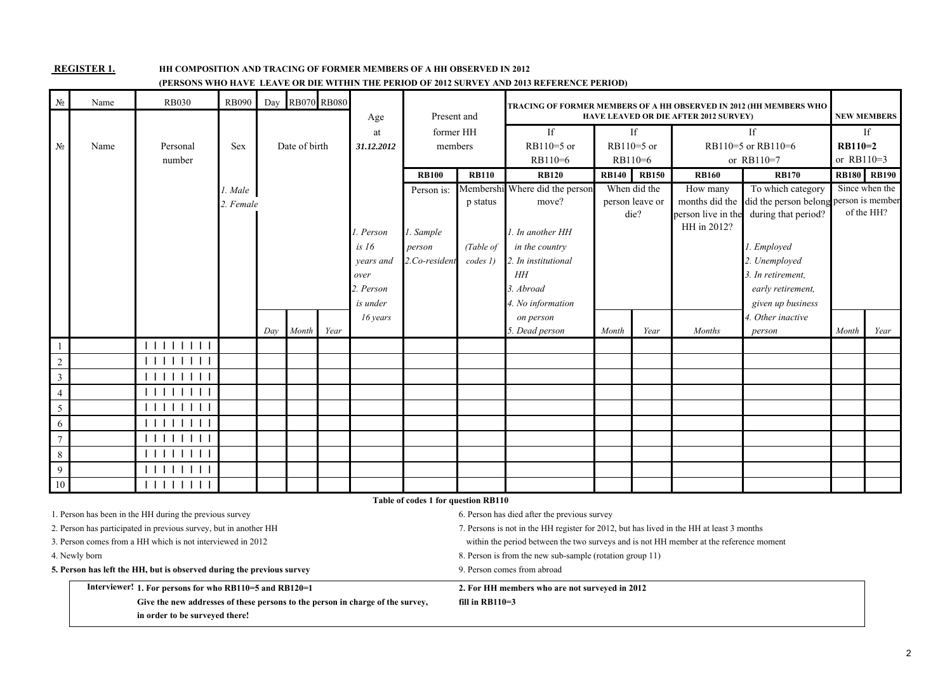#### **REGISTER 1.**

#### **HH COMPOSITION AND TRACING OF FORMER MEMBERS OF A HH OBSERVED IN 2012**

### **(PERSONS WHO HAVE LEAVE OR DIE WITHIN THE PERIOD OF 2012 SURVEY AND 2013 REFERENCE PERIOD)**

| N <sub>2</sub>   | Name                                                    | <b>RB030</b>                                                          | <b>RB090</b> | Day |               | <b>RB070 RB080</b> |                  | Present and   |                                            | TRACING OF FORMER MEMBERS OF A HH OBSERVED IN 2012 (HH MEMBERS WHO                       |              |                 | <b>HAVE LEAVED OR DIE AFTER 2012 SURVEY)</b> |                                        |              | <b>NEW MEMBERS</b> |
|------------------|---------------------------------------------------------|-----------------------------------------------------------------------|--------------|-----|---------------|--------------------|------------------|---------------|--------------------------------------------|------------------------------------------------------------------------------------------|--------------|-----------------|----------------------------------------------|----------------------------------------|--------------|--------------------|
|                  |                                                         |                                                                       |              |     |               |                    | Age              | former HH     |                                            | If                                                                                       |              | If              |                                              | If                                     |              | If                 |
| N <sub>2</sub>   | Name                                                    | Personal                                                              | Sex          |     | Date of birth |                    | at<br>31.12.2012 | members       |                                            | $RB110=5$ or                                                                             |              | $RB110=5$ or    |                                              | RB110=5 or RB110=6                     | $RB110=2$    |                    |
|                  |                                                         | number                                                                |              |     |               |                    |                  |               |                                            | RB110=6                                                                                  | RB110=6      |                 |                                              | or RB110=7                             | or RB110=3   |                    |
|                  |                                                         |                                                                       |              |     |               |                    |                  | <b>RB100</b>  | <b>RB110</b>                               | <b>RB120</b>                                                                             | <b>RB140</b> | <b>RB150</b>    | <b>RB160</b>                                 | <b>RB170</b>                           | <b>RB180</b> | <b>RB190</b>       |
|                  |                                                         |                                                                       | l. Male      |     |               |                    |                  | Person is:    |                                            | Membershi Where did the person                                                           |              | When did the    | How many                                     | To which category                      |              | Since when the     |
|                  |                                                         |                                                                       | 2. Female    |     |               |                    |                  |               | p status                                   | move?                                                                                    |              | person leave or | months did the                               | did the person belong person is member |              |                    |
|                  |                                                         |                                                                       |              |     |               |                    |                  |               |                                            |                                                                                          |              | die?            | person live in the                           | during that period?                    |              | of the HH?         |
|                  |                                                         |                                                                       |              |     |               |                    | . Person         | 1. Sample     | HH in 2012?<br>1. In another HH            |                                                                                          |              |                 |                                              |                                        |              |                    |
|                  |                                                         |                                                                       |              |     |               |                    | is 16            | person        | (Table of<br>in the country<br>1. Employed |                                                                                          |              |                 |                                              |                                        |              |                    |
|                  |                                                         |                                                                       |              |     |               |                    | years and        | 2.Co-resident | codes 1)                                   | 2. Unemployed<br>2. In institutional                                                     |              |                 |                                              |                                        |              |                    |
|                  |                                                         |                                                                       |              |     |               |                    | over             |               |                                            | HH<br>3. In retirement,                                                                  |              |                 |                                              |                                        |              |                    |
|                  |                                                         |                                                                       |              |     |               |                    | 2. Person        |               |                                            | 3. Abroad                                                                                |              |                 |                                              | early retirement,                      |              |                    |
|                  |                                                         |                                                                       |              |     |               |                    | is under         |               |                                            | 4. No information                                                                        |              |                 |                                              | given up business                      |              |                    |
|                  |                                                         |                                                                       |              |     |               |                    | 16 years         |               |                                            | on person                                                                                |              |                 |                                              | 4. Other inactive                      |              |                    |
|                  |                                                         |                                                                       |              | Day | Month         | Year               |                  |               |                                            | 5. Dead person                                                                           | Month        | Year            | <b>Months</b>                                | person                                 | Month        | Year               |
|                  |                                                         | 11111111                                                              |              |     |               |                    |                  |               |                                            |                                                                                          |              |                 |                                              |                                        |              |                    |
| $\sqrt{2}$       |                                                         | 111111111                                                             |              |     |               |                    |                  |               |                                            |                                                                                          |              |                 |                                              |                                        |              |                    |
| $\overline{3}$   |                                                         | 111111111                                                             |              |     |               |                    |                  |               |                                            |                                                                                          |              |                 |                                              |                                        |              |                    |
| $\overline{4}$   |                                                         | 1111111                                                               |              |     |               |                    |                  |               |                                            |                                                                                          |              |                 |                                              |                                        |              |                    |
| $\sqrt{5}$       |                                                         | 111111111                                                             |              |     |               |                    |                  |               |                                            |                                                                                          |              |                 |                                              |                                        |              |                    |
| 6                |                                                         | 111111111                                                             |              |     |               |                    |                  |               |                                            |                                                                                          |              |                 |                                              |                                        |              |                    |
| $\boldsymbol{7}$ |                                                         | 111111111                                                             |              |     |               |                    |                  |               |                                            |                                                                                          |              |                 |                                              |                                        |              |                    |
| $8\,$            |                                                         | 111111111                                                             |              |     |               |                    |                  |               |                                            |                                                                                          |              |                 |                                              |                                        |              |                    |
| 9                |                                                         | 111111111                                                             |              |     |               |                    |                  |               |                                            |                                                                                          |              |                 |                                              |                                        |              |                    |
| $\overline{10}$  |                                                         | 1111111                                                               |              |     |               |                    |                  |               |                                            |                                                                                          |              |                 |                                              |                                        |              |                    |
|                  | Table of codes 1 for question RB110                     |                                                                       |              |     |               |                    |                  |               |                                            |                                                                                          |              |                 |                                              |                                        |              |                    |
|                  |                                                         | 1. Person has been in the HH during the previous survey               |              |     |               |                    |                  |               |                                            | 6. Person has died after the previous survey                                             |              |                 |                                              |                                        |              |                    |
|                  |                                                         | 2. Person has participated in previous survey, but in another HH      |              |     |               |                    |                  |               |                                            | 7. Persons is not in the HH register for 2012, but has lived in the HH at least 3 months |              |                 |                                              |                                        |              |                    |
|                  |                                                         | 3. Person comes from a HH which is not interviewed in 2012            |              |     |               |                    |                  |               |                                            | within the period between the two surveys and is not HH member at the reference moment   |              |                 |                                              |                                        |              |                    |
|                  | 4. Newly born                                           |                                                                       |              |     |               |                    |                  |               |                                            | 8. Person is from the new sub-sample (rotation group 11)                                 |              |                 |                                              |                                        |              |                    |
|                  |                                                         | 5. Person has left the HH, but is observed during the previous survey |              |     |               |                    |                  |               |                                            | 9. Person comes from abroad                                                              |              |                 |                                              |                                        |              |                    |
|                  | Interviewer! 1. For persons for who RB110=5 and RB120=1 |                                                                       |              |     |               |                    |                  |               |                                            | 2. For HH members who are not surveyed in 2012                                           |              |                 |                                              |                                        |              |                    |

**Give the new addresses of these persons to the person in charge of the survey, fill in RB110=3 in order to be surveyed there!**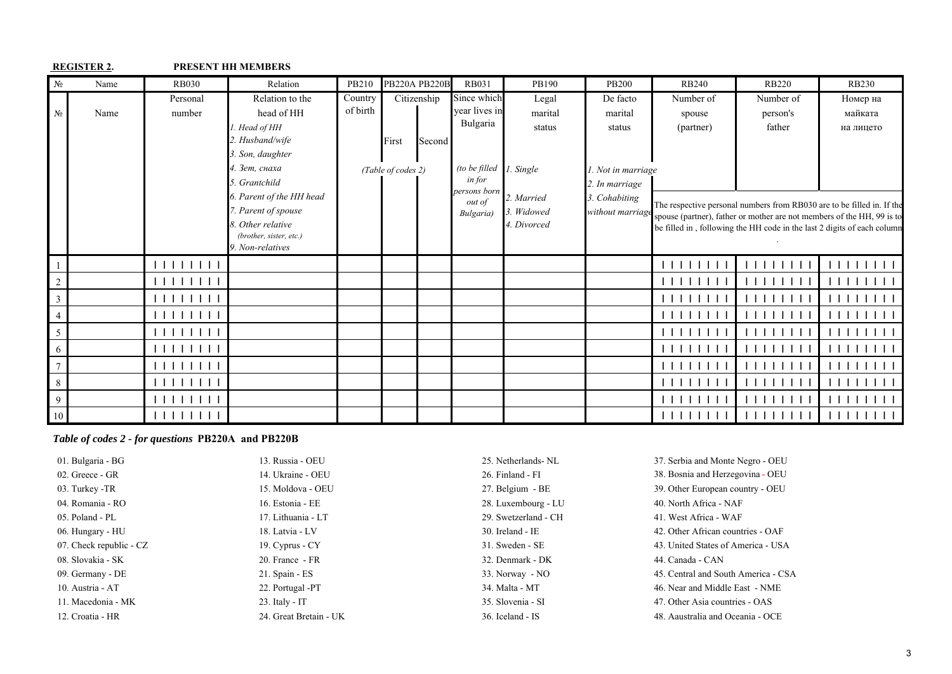|                 | <b>REGISTER 2.</b> |                                                                                                                                                                                                                                                                                                                                                          | <b>PRESENT HH MEMBERS</b>                                                                                                                                                                                                                      |                     |                                            |        |                                                                                                            |                                                                                    |                                                                                                            |                                  |                                 |                                                                                                                                                                                                                                                                 |
|-----------------|--------------------|----------------------------------------------------------------------------------------------------------------------------------------------------------------------------------------------------------------------------------------------------------------------------------------------------------------------------------------------------------|------------------------------------------------------------------------------------------------------------------------------------------------------------------------------------------------------------------------------------------------|---------------------|--------------------------------------------|--------|------------------------------------------------------------------------------------------------------------|------------------------------------------------------------------------------------|------------------------------------------------------------------------------------------------------------|----------------------------------|---------------------------------|-----------------------------------------------------------------------------------------------------------------------------------------------------------------------------------------------------------------------------------------------------------------|
| N <sub>2</sub>  | Name               | <b>RB030</b>                                                                                                                                                                                                                                                                                                                                             | Relation                                                                                                                                                                                                                                       | PB210               | <b>PB220A PB220B</b>                       |        | <b>RB031</b>                                                                                               | PB190                                                                              | <b>PB200</b>                                                                                               | <b>RB240</b>                     | <b>RB220</b>                    | <b>RB230</b>                                                                                                                                                                                                                                                    |
| N <sub>2</sub>  | Name               | Personal<br>number                                                                                                                                                                                                                                                                                                                                       | Relation to the<br>head of HH<br>1. Head of HH<br>2. Husband/wife<br>3. Son, daughter<br>4. Зет, снаха<br>5. Grantchild<br>6. Parent of the HH head<br>7. Parent of spouse<br>8. Other relative<br>(brother, sister, etc.)<br>9. Non-relatives | Country<br>of birth | Citizenship<br>First<br>(Table of codes 2) | Second | Since which<br>year lives in<br>Bulgaria<br>(to be filled<br>in for<br>persons born<br>out of<br>Bulgaria) | Legal<br>marital<br>status<br>1. Single<br>2. Married<br>3. Widowed<br>4. Divorced | De facto<br>marital<br>status<br>1. Not in marriage<br>2. In marriage<br>3. Cohabiting<br>without marriage | Number of<br>spouse<br>(partner) | Number of<br>person's<br>father | Номер на<br>майката<br>на лицето<br>The respective personal numbers from RB030 are to be filled in. If the<br>spouse (partner), father or mother are not members of the HH, 99 is to<br>be filled in, following the HH code in the last 2 digits of each column |
|                 |                    | $\begin{tabular}{c} \bf{1111111} \end{tabular}$                                                                                                                                                                                                                                                                                                          |                                                                                                                                                                                                                                                |                     |                                            |        |                                                                                                            |                                                                                    |                                                                                                            | 1111111                          |                                 |                                                                                                                                                                                                                                                                 |
| $\sqrt{2}$      |                    |                                                                                                                                                                                                                                                                                                                                                          |                                                                                                                                                                                                                                                |                     |                                            |        |                                                                                                            |                                                                                    |                                                                                                            |                                  |                                 |                                                                                                                                                                                                                                                                 |
| $\mathfrak{Z}$  |                    | 1111111                                                                                                                                                                                                                                                                                                                                                  |                                                                                                                                                                                                                                                |                     |                                            |        |                                                                                                            |                                                                                    |                                                                                                            |                                  |                                 |                                                                                                                                                                                                                                                                 |
| $\overline{4}$  |                    | 1111111                                                                                                                                                                                                                                                                                                                                                  |                                                                                                                                                                                                                                                |                     |                                            |        |                                                                                                            |                                                                                    |                                                                                                            | 1 1 1 1                          |                                 |                                                                                                                                                                                                                                                                 |
| $\sqrt{5}$      |                    |                                                                                                                                                                                                                                                                                                                                                          |                                                                                                                                                                                                                                                |                     |                                            |        |                                                                                                            |                                                                                    |                                                                                                            | 1 1 1 1 1 1 1                    |                                 |                                                                                                                                                                                                                                                                 |
| 6               |                    | 111111111                                                                                                                                                                                                                                                                                                                                                |                                                                                                                                                                                                                                                |                     |                                            |        |                                                                                                            |                                                                                    |                                                                                                            |                                  |                                 |                                                                                                                                                                                                                                                                 |
| $\overline{7}$  |                    | $\begin{tabular}{c} \bf{1} & \bf{1} & \bf{1} & \bf{1} & \bf{1} & \bf{1} \\ \bf{1} & \bf{1} & \bf{1} & \bf{1} & \bf{1} & \bf{1} \\ \bf{1} & \bf{1} & \bf{1} & \bf{1} & \bf{1} & \bf{1} \\ \bf{1} & \bf{1} & \bf{1} & \bf{1} & \bf{1} & \bf{1} \\ \bf{1} & \bf{1} & \bf{1} & \bf{1} & \bf{1} & \bf{1} \\ \bf{1} & \bf{1} & \bf{1} & \bf{1} & \bf{1} & \bf$ |                                                                                                                                                                                                                                                |                     |                                            |        |                                                                                                            |                                                                                    |                                                                                                            |                                  |                                 |                                                                                                                                                                                                                                                                 |
| 8               |                    |                                                                                                                                                                                                                                                                                                                                                          |                                                                                                                                                                                                                                                |                     |                                            |        |                                                                                                            |                                                                                    |                                                                                                            | 1 1 1 1 1                        |                                 |                                                                                                                                                                                                                                                                 |
| $\overline{9}$  |                    |                                                                                                                                                                                                                                                                                                                                                          |                                                                                                                                                                                                                                                |                     |                                            |        |                                                                                                            |                                                                                    |                                                                                                            | 11111                            |                                 |                                                                                                                                                                                                                                                                 |
| 10 <sup>1</sup> |                    | 111111111                                                                                                                                                                                                                                                                                                                                                |                                                                                                                                                                                                                                                |                     |                                            |        |                                                                                                            |                                                                                    |                                                                                                            | 111111111                        | 111111111                       | 111111111                                                                                                                                                                                                                                                       |

## *Table of codes 2 - for questions* **PB220A and PB220B**

| 01. Bulgaria - BG       | 13. Russia - OEU       | 25. Netherlands-NL   | 37. Serbia and Monte Negro - OEU    |
|-------------------------|------------------------|----------------------|-------------------------------------|
| 02. Greece - GR         | 14. Ukraine - OEU      | 26. Finland - FI     | 38. Bosnia and Herzegovina - OEU    |
| 03. Turkey -TR          | 15. Moldova - OEU      | 27. Belgium - BE     | 39. Other European country - OEU    |
| 04. Romania - RO        | 16. Estonia - EE       | 28. Luxembourg - LU  | 40. North Africa - NAF              |
| 05. Poland - PL         | 17. Lithuania - LT     | 29. Swetzerland - CH | 41. West Africa - WAF               |
| 06. Hungary - HU        | 18. Latvia - LV        | $30.$ Ireland - IE   | 42. Other African countries - OAF   |
| 07. Check republic - CZ | 19. Cyprus - CY        | 31. Sweden - SE      | 43. United States of America - USA  |
| 08. Slovakia - SK       | 20. France - FR        | 32. Denmark - DK     | 44. Canada - CAN                    |
| 09. Germany - DE        | 21. Spain - ES         | 33. Norway - NO      | 45. Central and South America - CSA |
| 10. Austria - AT        | 22. Portugal -PT       | 34. Malta - MT       | 46. Near and Middle East - NME      |
| 11. Macedonia - MK      | 23. Italy - $IT$       | 35. Slovenia - SI    | 47. Other Asia countries - OAS      |
| 12. Croatia - HR        | 24. Great Bretain - UK | 36. Iceland - IS     | 48. Aaustralia and Oceania - OCE    |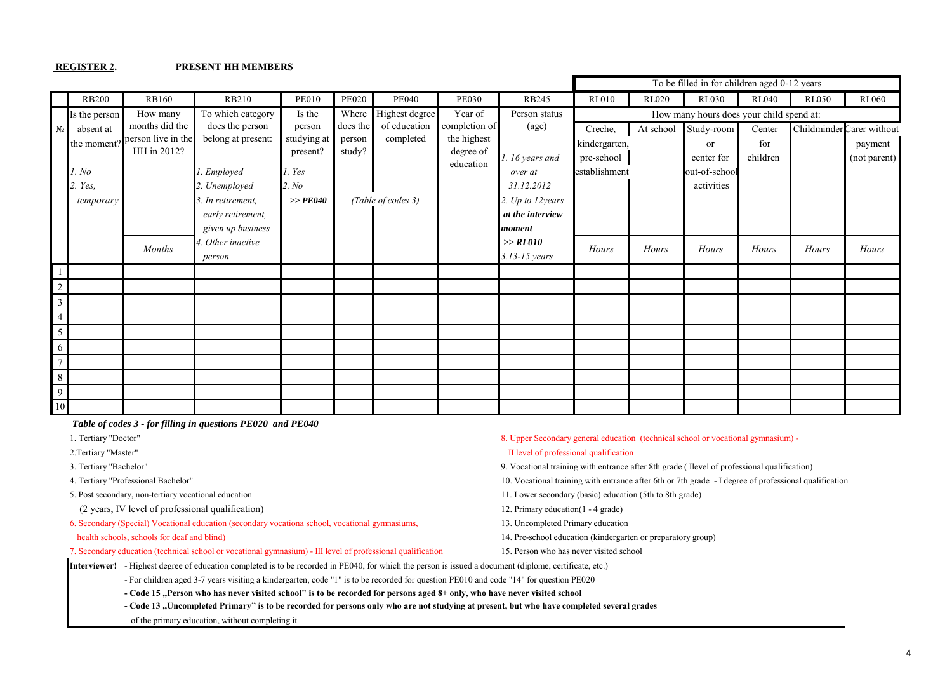#### **REGISTER 2. PRESENT HH MEMBERS**

|                |               |                    |                    |              |              |                    |               |                  |               |              | To be filled in for children aged 0-12 years |              |              |                           |
|----------------|---------------|--------------------|--------------------|--------------|--------------|--------------------|---------------|------------------|---------------|--------------|----------------------------------------------|--------------|--------------|---------------------------|
|                | <b>RB200</b>  | <b>RB160</b>       | <b>RB210</b>       | <b>PE010</b> | <b>PE020</b> | <b>PE040</b>       | <b>PE030</b>  | RB245            | <b>RL010</b>  | <b>RL020</b> | <b>RL030</b>                                 | <b>RL040</b> | <b>RL050</b> | <b>RL060</b>              |
|                | Is the person | How many           | To which category  | Is the       | Where        | Highest degree     | Year of       | Person status    |               |              | How many hours does your child spend at:     |              |              |                           |
| $N_2$          | absent at     | months did the     | does the person    | person       | does the     | of education       | completion of | (age)            | Creche,       | At school    | Study-room                                   | Center       |              | Childminder Carer without |
|                | the moment?   | person live in the | belong at present: | studying at  | person       | completed          | the highest   |                  | kindergarten, |              | <sub>or</sub>                                | for          |              | payment                   |
|                |               | HH in 2012?        |                    | present?     | study?       |                    | degree of     | 1. 16 years and  | pre-school    |              | center for                                   | children     |              | (not parent)              |
|                | l. No         |                    | . Employed         | l. Yes       |              |                    | education     | over at          | establishment |              | out-of-school                                |              |              |                           |
|                | 2. Yes,       |                    | 2. Unemployed      | 2. No        |              |                    |               | 31.12.2012       |               |              | activities                                   |              |              |                           |
|                | temporary     |                    | 3. In retirement,  | $>>$ $PE040$ |              | (Table of codes 3) |               | 2. Up to 12years |               |              |                                              |              |              |                           |
|                |               |                    | early retirement,  |              |              |                    |               | at the interview |               |              |                                              |              |              |                           |
|                |               |                    | given up business  |              |              |                    |               | moment           |               |              |                                              |              |              |                           |
|                |               | <b>Months</b>      | . Other inactive   |              |              |                    |               | >> RLO10         | Hours         | Hours        | Hours                                        | Hours        | Hours        | Hours                     |
|                |               |                    | person             |              |              |                    |               | 3.13-15 years    |               |              |                                              |              |              |                           |
|                |               |                    |                    |              |              |                    |               |                  |               |              |                                              |              |              |                           |
| $\sqrt{2}$     |               |                    |                    |              |              |                    |               |                  |               |              |                                              |              |              |                           |
| $\overline{3}$ |               |                    |                    |              |              |                    |               |                  |               |              |                                              |              |              |                           |
| $\overline{4}$ |               |                    |                    |              |              |                    |               |                  |               |              |                                              |              |              |                           |
| 5 <sup>5</sup> |               |                    |                    |              |              |                    |               |                  |               |              |                                              |              |              |                           |
| 6              |               |                    |                    |              |              |                    |               |                  |               |              |                                              |              |              |                           |
| 7 <sup>7</sup> |               |                    |                    |              |              |                    |               |                  |               |              |                                              |              |              |                           |
| 8              |               |                    |                    |              |              |                    |               |                  |               |              |                                              |              |              |                           |
| 9 <sup>1</sup> |               |                    |                    |              |              |                    |               |                  |               |              |                                              |              |              |                           |
| 10             |               |                    |                    |              |              |                    |               |                  |               |              |                                              |              |              |                           |

 *Table of codes 3 - for filling in questions PE020 and PE040* 1. Tertiary "Doctor" 8. Upper Secondary general education (technical school or vocational gymnasium) -

2. Tertiary "Master" and the contract of professional qualification in the UI level of professional qualification

(2 years, ІV level of professional qualification) 12. Primary education(1 - 4 grade)

6. Secondary (Special) Vocational education (secondary vocationa school, vocational gymnasiums, 13. Uncompleted Primary education

3. Tertiary "Bachelor" 9. Vocational training with entrance after 8th grade ( Ilevel of professional qualification)

4. Tertiary "Professional Bachelor" 10. Vocational training with entrance after 6th or 7th grade - І degree of professional qualification

5. Post secondary, non-tertiary vocational education 11. Lower secondary (basic) education (5th to 8th grade)

health schools, schools for deaf and blind) 14. Pre-school education (kindergarten or preparatory group)

7. Secondary education (technical school or vocational gymnasium) - ІІІ level of professional qualification 15. Person who has never visited school

**Interviewer!** - Highest degree of education completed is to be recorded in РЕ040, for which the person is issued a document (diplome, certificate, etc.)

- For children aged 3-7 years visiting a kindergarten, code "1" is to be recorded for question РЕ010 and code "14" for question РЕ020

- Code 15 . Person who has never visited school" is to be recorded for persons aged 8+ only, who have never visited school

- Code 13 "Uncompleted Primary" is to be recorded for persons only who are not studying at present, but who have completed several grades

of the primary education, without completing it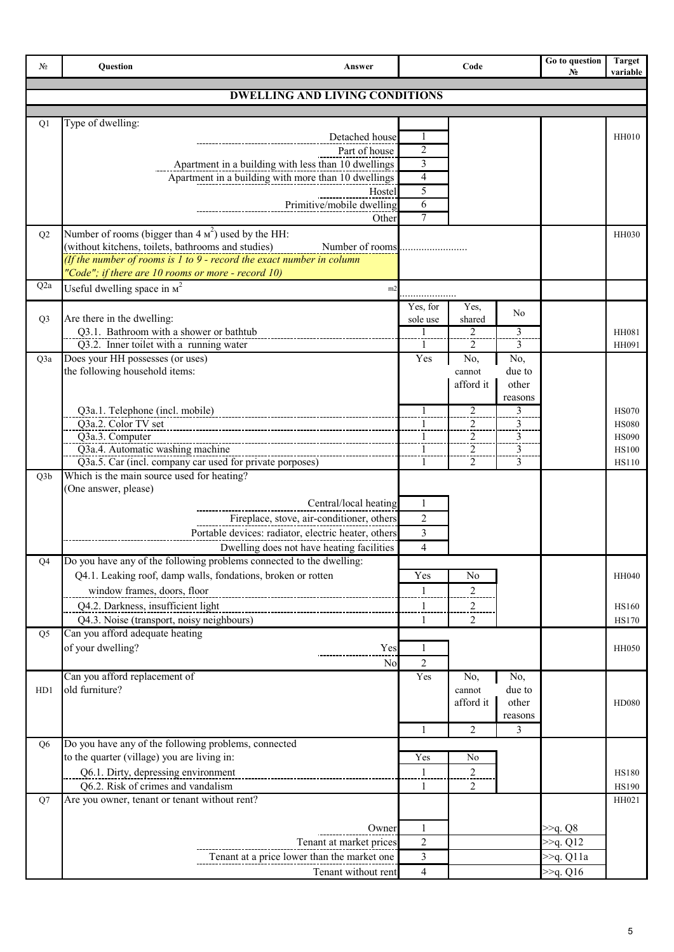| Nº               | Question<br>Answer                                                                                                                                                                                   |                                | Code                                               |                                       | Go to question<br>$N_2$    | <b>Target</b><br>variable                    |
|------------------|------------------------------------------------------------------------------------------------------------------------------------------------------------------------------------------------------|--------------------------------|----------------------------------------------------|---------------------------------------|----------------------------|----------------------------------------------|
|                  | <b>DWELLING AND LIVING CONDITIONS</b>                                                                                                                                                                |                                |                                                    |                                       |                            |                                              |
|                  |                                                                                                                                                                                                      |                                |                                                    |                                       |                            |                                              |
| Q1               | Type of dwelling:<br>Detached house<br>Part of house                                                                                                                                                 | -1<br>2                        |                                                    |                                       |                            | <b>HH010</b>                                 |
|                  | Apartment in a building with less than 10 dwellings<br>Apartment in a building with more than 10 dwellings                                                                                           | 3<br>$\overline{4}$            |                                                    |                                       |                            |                                              |
|                  | Hostel<br>Primitive/mobile dwelling                                                                                                                                                                  | 5<br>6                         |                                                    |                                       |                            |                                              |
| Q2               | Other<br>Number of rooms (bigger than 4 $\mu^2$ ) used by the HH:                                                                                                                                    | 7                              |                                                    |                                       |                            | <b>HH030</b>                                 |
|                  | (without kitchens, toilets, bathrooms and studies)<br>Number of rooms<br>(If the number of rooms is 1 to 9 - record the exact number in column<br>"Code"; if there are 10 rooms or more - record 10) |                                |                                                    |                                       |                            |                                              |
| Q <sub>2</sub> a | Useful dwelling space in $\mu^2$<br>m2                                                                                                                                                               | .                              |                                                    |                                       |                            |                                              |
| Q <sub>3</sub>   | Are there in the dwelling:<br>Q3.1. Bathroom with a shower or bathtub                                                                                                                                | Yes, for<br>sole use<br>1      | Yes.<br>shared<br>2                                | No<br>3                               |                            | HH081                                        |
| Q3a              | Q3.2. Inner toilet with a running water<br>Does your HH possesses (or uses)                                                                                                                          | 1<br>Yes                       | 2<br>No,                                           | 3<br>No,                              |                            | HH091                                        |
|                  | the following household items:                                                                                                                                                                       |                                | cannot<br>afford it                                | due to<br>other<br>reasons            |                            |                                              |
|                  | Q3a.1. Telephone (incl. mobile)<br>Q3a.2. Color TV set                                                                                                                                               | $\mathbf{1}$                   | $\overline{2}$<br>$\overline{2}$                   | 3<br>$\overline{3}$<br>$\overline{3}$ |                            | <b>HS070</b><br><b>HS080</b>                 |
|                  | Q3a.3. Computer<br>Q3a.4. Automatic washing machine<br>Q3a.5. Car (incl. company car used for private porposes)                                                                                      | $\mathbf{1}$<br>$\mathbf{1}$   | $\overline{2}$<br>$\overline{2}$<br>$\overline{2}$ | 3<br>$\frac{1}{3}$                    |                            | <b>HS090</b><br><b>HS100</b><br><b>HS110</b> |
| Q3b              | Which is the main source used for heating?<br>(One answer, please)                                                                                                                                   |                                |                                                    |                                       |                            |                                              |
|                  | Central/local heating                                                                                                                                                                                | 1                              |                                                    |                                       |                            |                                              |
|                  | Fireplace, stove, air-conditioner, others<br>Portable devices: radiator, electric heater, others                                                                                                     | $\overline{2}$<br>3            |                                                    |                                       |                            |                                              |
|                  | Dwelling does not have heating facilities                                                                                                                                                            | $\overline{4}$                 |                                                    |                                       |                            |                                              |
| Q4               | Do you have any of the following problems connected to the dwelling:<br>Q4.1. Leaking roof, damp walls, fondations, broken or rotten                                                                 | Yes                            | No                                                 |                                       |                            | HH040                                        |
|                  | window frames, doors, floor<br>Q4.2. Darkness, insufficient light                                                                                                                                    | $\mathbf{1}$<br>$\mathbf{1}$   | 2<br>$\overline{a}$                                |                                       |                            | HS160                                        |
|                  | Q4.3. Noise (transport, noisy neighbours)<br>Can you afford adequate heating                                                                                                                         | 1                              | $\overline{2}$                                     |                                       |                            | <b>HS170</b>                                 |
| Q <sub>5</sub>   | of your dwelling?<br>Yes<br>N <sub>o</sub>                                                                                                                                                           | $\mathbf{1}$<br>$\overline{c}$ |                                                    |                                       |                            | <b>HH050</b>                                 |
| HD1              | Can you afford replacement of<br>old furniture?                                                                                                                                                      | Yes                            | No,<br>cannot<br>afford it                         | No,<br>due to<br>other<br>reasons     |                            | <b>HD080</b>                                 |
| Q <sub>6</sub>   | Do you have any of the following problems, connected                                                                                                                                                 | $\mathbf{1}$                   | $\overline{2}$                                     | 3                                     |                            |                                              |
|                  | to the quarter (village) you are living in:<br>Q6.1. Dirty, depressing environment<br>Q6.2. Risk of crimes and vandalism                                                                             | Yes<br>$\frac{1}{2}$<br>1      | No<br>$\overline{2}$<br>2                          |                                       |                            | <b>HS180</b><br><b>HS190</b>                 |
| Q7               | Are you owner, tenant or tenant without rent?                                                                                                                                                        |                                |                                                    |                                       |                            | HH021                                        |
|                  | Owner                                                                                                                                                                                                | 1                              |                                                    |                                       | >>q. Q8                    |                                              |
|                  | Tenant at market prices<br>Tenant at a price lower than the market one                                                                                                                               | $\overline{2}$<br>3            |                                                    |                                       | >>q. Q12<br>$\gg q$ . Q11a |                                              |
|                  | Tenant without rent                                                                                                                                                                                  | $\overline{4}$                 |                                                    |                                       | $\gg q$ . Q16              |                                              |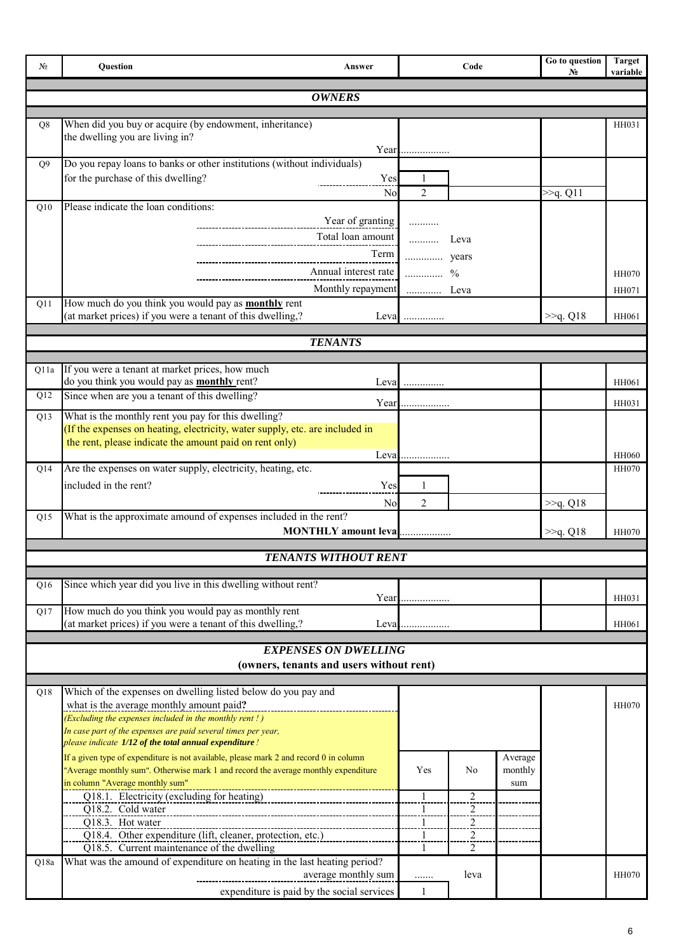| Nº.            | Question                                                                                                                                | Answer                                     |                | Code                             |         | Go to question<br>No  | <b>Target</b><br>variable |
|----------------|-----------------------------------------------------------------------------------------------------------------------------------------|--------------------------------------------|----------------|----------------------------------|---------|-----------------------|---------------------------|
|                |                                                                                                                                         | <b>OWNERS</b>                              |                |                                  |         |                       |                           |
| Q <sub>8</sub> | When did you buy or acquire (by endowment, inheritance)                                                                                 |                                            |                |                                  |         |                       | HH031                     |
|                | the dwelling you are living in?                                                                                                         |                                            |                |                                  |         |                       |                           |
| O <sub>9</sub> | Do you repay loans to banks or other institutions (without individuals)                                                                 |                                            | Year           |                                  |         |                       |                           |
|                | for the purchase of this dwelling?                                                                                                      | Yes                                        | 1              |                                  |         |                       |                           |
|                |                                                                                                                                         | N <sub>0</sub>                             | $\overline{2}$ |                                  |         | >> <sub>q</sub> . Q11 |                           |
| Q10            | Please indicate the loan conditions:                                                                                                    |                                            |                |                                  |         |                       |                           |
|                |                                                                                                                                         | Year of granting<br>Total loan amount      | .<br>.         | Leva                             |         |                       |                           |
|                |                                                                                                                                         | Term                                       | years          |                                  |         |                       |                           |
|                |                                                                                                                                         | Annual interest rate                       |                |                                  |         |                       | <b>HH070</b>              |
|                |                                                                                                                                         | Monthly repayment  Leva                    |                |                                  |         |                       | HH071                     |
| Q11            | How much do you think you would pay as <b>monthly</b> rent                                                                              |                                            |                |                                  |         |                       |                           |
|                | (at market prices) if you were a tenant of this dwelling,?                                                                              |                                            | Leva           |                                  |         | >>q. Q18              | HH061                     |
|                |                                                                                                                                         | <b>TENANTS</b>                             |                |                                  |         |                       |                           |
| Q11a           | If you were a tenant at market prices, how much                                                                                         |                                            |                |                                  |         |                       |                           |
|                | do you think you would pay as <b>monthly</b> rent?                                                                                      |                                            | Leva           |                                  |         |                       | HH061                     |
| Q12            | Since when are you a tenant of this dwelling?                                                                                           | Year.                                      |                |                                  |         |                       | HH031                     |
| Q13            | What is the monthly rent you pay for this dwelling?                                                                                     |                                            |                |                                  |         |                       |                           |
|                | (If the expenses on heating, electricity, water supply, etc. are included in<br>the rent, please indicate the amount paid on rent only) |                                            |                |                                  |         |                       |                           |
|                |                                                                                                                                         |                                            |                |                                  |         |                       | HH060                     |
| Q14            | Are the expenses on water supply, electricity, heating, etc.                                                                            |                                            |                |                                  |         |                       | <b>HH070</b>              |
|                | included in the rent?                                                                                                                   | Yes                                        | 1              |                                  |         |                       |                           |
| Q15            | What is the approximate amound of expenses included in the rent?                                                                        | N <sub>0</sub>                             | 2              |                                  |         | >>q. Q18              |                           |
|                |                                                                                                                                         | MONTHLY amount leva                        |                |                                  |         | >>q. Q18              | <b>HH070</b>              |
|                |                                                                                                                                         |                                            |                |                                  |         |                       |                           |
|                |                                                                                                                                         | <b>TENANTS WITHOUT RENT</b>                |                |                                  |         |                       |                           |
| Q16            | Since which year did you live in this dwelling without rent?                                                                            |                                            |                |                                  |         |                       |                           |
| Q17            | How much do you think you would pay as monthly rent                                                                                     |                                            |                |                                  |         |                       | HH031                     |
|                | (at market prices) if you were a tenant of this dwelling,?                                                                              | Leva                                       | .              |                                  |         |                       | HH061                     |
|                |                                                                                                                                         | <b>EXPENSES ON DWELLING</b>                |                |                                  |         |                       |                           |
|                |                                                                                                                                         | (owners, tenants and users without rent)   |                |                                  |         |                       |                           |
|                |                                                                                                                                         |                                            |                |                                  |         |                       |                           |
| Q18            | Which of the expenses on dwelling listed below do you pay and<br>what is the average monthly amount paid?                               |                                            |                |                                  |         |                       | <b>HH070</b>              |
|                | (Excluding the expenses included in the monthly rent !)                                                                                 |                                            |                |                                  |         |                       |                           |
|                | In case part of the expenses are paid several times per year,<br>please indicate 1/12 of the total annual expenditure!                  |                                            |                |                                  |         |                       |                           |
|                | If a given type of expenditure is not available, please mark 2 and record 0 in column                                                   |                                            |                |                                  | Average |                       |                           |
|                | "Average monthly sum". Otherwise mark 1 and record the average monthly expenditure                                                      |                                            | Yes            | No                               | monthly |                       |                           |
|                | in column "Average monthly sum"<br>Q18.1. Electricity (excluding for heating)                                                           |                                            |                | $\overline{2}$                   | sum     |                       |                           |
|                | Q18.2. Cold water                                                                                                                       |                                            |                | $\overline{2}$                   |         |                       |                           |
|                | Q18.3. Hot water                                                                                                                        |                                            | 1<br>1         | $\overline{2}$<br>$\overline{2}$ |         |                       |                           |
|                | Q18.4. Other expenditure (lift, cleaner, protection, etc.)<br>Q18.5. Current maintenance of the dwelling                                |                                            | 1              | $\overline{2}$                   |         |                       |                           |
| Q18a           | What was the amound of expenditure on heating in the last heating period?                                                               |                                            |                |                                  |         |                       |                           |
|                |                                                                                                                                         | average monthly sum                        | .              | leva                             |         |                       | <b>HH070</b>              |
|                |                                                                                                                                         | expenditure is paid by the social services | 1              |                                  |         |                       |                           |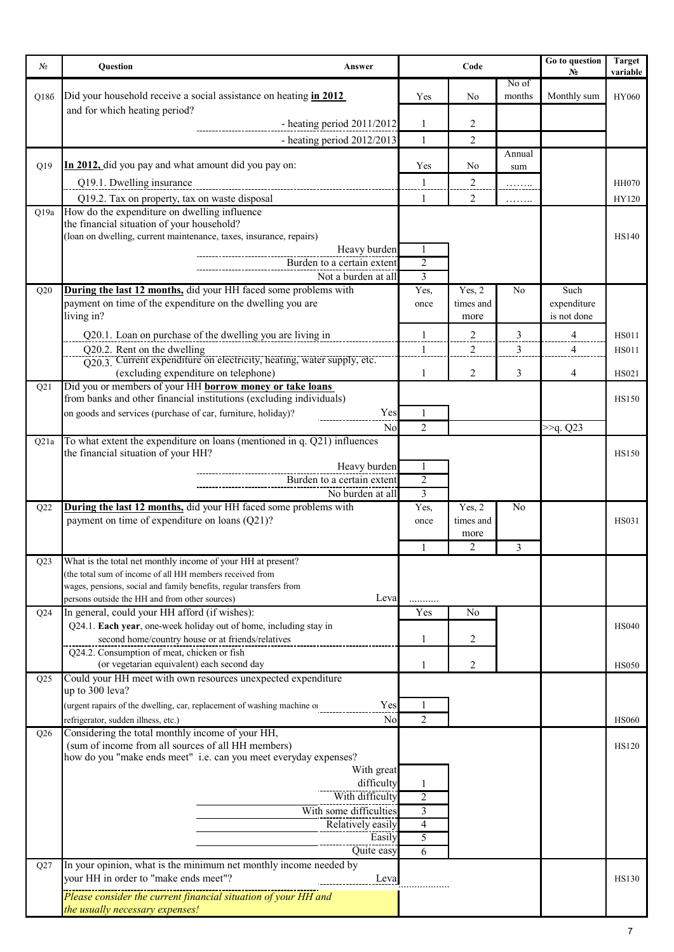| No.  | Question<br>Answer                                                                                                      | Code           |                   |                | Go to question<br>N <sub>0</sub> | <b>Target</b><br>variable |
|------|-------------------------------------------------------------------------------------------------------------------------|----------------|-------------------|----------------|----------------------------------|---------------------------|
|      |                                                                                                                         |                |                   | No of          |                                  |                           |
| Q186 | Did your household receive a social assistance on heating in 2012<br>and for which heating period?                      | Yes            | No                | months         | Monthly sum                      | <b>HY060</b>              |
|      | - heating period $2011/2012$                                                                                            | $\mathbf{1}$   | 2                 |                |                                  |                           |
|      | - heating period 2012/2013                                                                                              | $\mathbf{1}$   | $\overline{c}$    |                |                                  |                           |
|      | In 2012, did you pay and what amount did you pay on:                                                                    |                |                   | Annual         |                                  |                           |
| Q19  |                                                                                                                         | Yes<br>1       | No<br>2           | sum            |                                  |                           |
|      | Q19.1. Dwelling insurance<br>Q19.2. Tax on property, tax on waste disposal                                              | 1              | $\overline{2}$    | .              |                                  | <b>HH070</b><br>HY120     |
| Q19a | How do the expenditure on dwelling influence                                                                            |                |                   | .              |                                  |                           |
|      | the financial situation of your household?                                                                              |                |                   |                |                                  |                           |
|      | (loan on dwelling, current maintenance, taxes, insurance, repairs)<br>Heavy burden                                      | -1             |                   |                |                                  | <b>HS140</b>              |
|      | Burden to a certain extent                                                                                              | 2              |                   |                |                                  |                           |
|      | Not a burden at all                                                                                                     | 3              |                   |                |                                  |                           |
| Q20  | During the last 12 months, did your HH faced some problems with                                                         | Yes,           | Yes, 2            | No             | Such                             |                           |
|      | payment on time of the expenditure on the dwelling you are<br>living in?                                                | once           | times and<br>more |                | expenditure<br>is not done       |                           |
|      | Q20.1. Loan on purchase of the dwelling you are living in                                                               | 1              | $\overline{2}$    | 3              | $\overline{4}$                   | <b>HS011</b>              |
|      | Q20.2. Rent on the dwelling                                                                                             | $\mathbf{1}$   | $\overline{2}$    | 3              | $\overline{\mathcal{A}}$         | <b>HS011</b>              |
|      | O20.3. Current expenditure on electricity, heating, water supply, etc.                                                  |                |                   |                |                                  |                           |
| Q21  | (excluding expenditure on telephone)<br>Did you or members of your HH borrow money or take loans                        | 1              | $\overline{2}$    | 3              | $\overline{4}$                   | HS021                     |
|      | from banks and other financial institutions (excluding individuals)                                                     |                |                   |                |                                  | <b>HS150</b>              |
|      | on goods and services (purchase of car, furniture, holiday)?<br>Yes                                                     | 1              |                   |                |                                  |                           |
|      | No                                                                                                                      | $\overline{2}$ |                   |                | >>q. Q23                         |                           |
| Q21a | To what extent the expenditure on loans (mentioned in q. Q21) influences<br>the financial situation of your HH?         |                |                   |                |                                  | <b>HS150</b>              |
|      | Heavy burden                                                                                                            | -1             |                   |                |                                  |                           |
|      | Burden to a certain extent                                                                                              | $\overline{2}$ |                   |                |                                  |                           |
| Q22  | No burden at all<br>During the last 12 months, did your HH faced some problems with                                     | 3<br>Yes,      | Yes, 2            | N <sub>0</sub> |                                  |                           |
|      | payment on time of expenditure on loans (Q21)?                                                                          | once           | times and         |                |                                  | <b>HS031</b>              |
|      |                                                                                                                         |                | more              |                |                                  |                           |
|      |                                                                                                                         | 1              | 2                 | 3              |                                  |                           |
| Q23  | What is the total net monthly income of your HH at present?<br>(the total sum of income of all HH members received from |                |                   |                |                                  |                           |
|      | wages, pensions, social and family benefits, regular transfers from                                                     |                |                   |                |                                  |                           |
|      | Leva<br>persons outside the HH and from other sources)                                                                  |                |                   |                |                                  |                           |
| Q24  | In general, could your HH afford (if wishes):<br>Q24.1. Each year, one-week holiday out of home, including stay in      | Yes            | N <sub>0</sub>    |                |                                  | <b>HS040</b>              |
|      | second home/country house or at friends/relatives                                                                       | 1              | 2                 |                |                                  |                           |
|      | Q24.2. Consumption of meat, chicken or fish                                                                             |                |                   |                |                                  |                           |
| Q25  | (or vegetarian equivalent) each second day<br>Could your HH meet with own resources unexpected expenditure              | 1              | 2                 |                |                                  | <b>HS050</b>              |
|      | up to 300 leva?                                                                                                         |                |                   |                |                                  |                           |
|      | (urgent rapairs of the dwelling, car, replacement of washing machine or<br>Yes                                          | 1              |                   |                |                                  |                           |
|      | No<br>refrigerator, sudden illness, etc.)                                                                               | 2              |                   |                |                                  | <b>HS060</b>              |
| Q26  | Considering the total monthly income of your HH,<br>(sum of income from all sources of all HH members)                  |                |                   |                |                                  | <b>HS120</b>              |
|      | how do you "make ends meet" i.e. can you meet everyday expenses?                                                        |                |                   |                |                                  |                           |
|      | With great<br>difficulty                                                                                                |                |                   |                |                                  |                           |
|      | With difficulty                                                                                                         | $\overline{2}$ |                   |                |                                  |                           |
|      | With some difficulties                                                                                                  | 3              |                   |                |                                  |                           |
|      | Relatively easily                                                                                                       | 4              |                   |                |                                  |                           |
|      | Easily<br>Quite easy                                                                                                    | 5<br>6         |                   |                |                                  |                           |
| Q27  | In your opinion, what is the minimum net monthly income needed by                                                       |                |                   |                |                                  |                           |
|      | your HH in order to "make ends meet"?<br>Leva                                                                           |                |                   |                |                                  | <b>HS130</b>              |
|      | Please consider the current financial situation of your HH and                                                          |                |                   |                |                                  |                           |
|      | the usually necessary expenses!                                                                                         |                |                   |                |                                  |                           |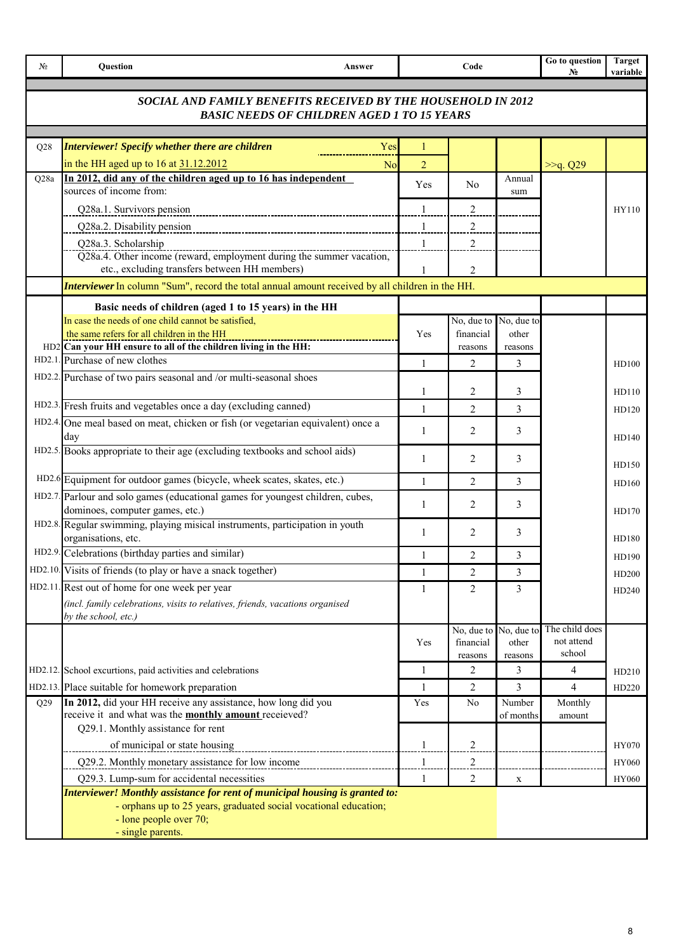| N <sub>2</sub> | Question<br>Answer                                                                                                                                                                              |                | Code                    |                     | Go to question<br>$N_2$      | <b>Target</b><br>variable |
|----------------|-------------------------------------------------------------------------------------------------------------------------------------------------------------------------------------------------|----------------|-------------------------|---------------------|------------------------------|---------------------------|
|                | SOCIAL AND FAMILY BENEFITS RECEIVED BY THE HOUSEHOLD IN 2012<br><b>BASIC NEEDS OF CHILDREN AGED 1 TO 15 YEARS</b>                                                                               |                |                         |                     |                              |                           |
| Q28            | <b>Interviewer! Specify whether there are children</b><br>Yes                                                                                                                                   | 1              |                         |                     |                              |                           |
|                | in the HH aged up to 16 at 31.12.2012<br>N <sub>0</sub>                                                                                                                                         | $\overline{2}$ |                         |                     | >>q. Q29                     |                           |
| Q28a           | In 2012, did any of the children aged up to 16 has independent                                                                                                                                  |                |                         | Annual              |                              |                           |
|                | sources of income from:                                                                                                                                                                         | Yes            | N <sub>0</sub>          | sum                 |                              |                           |
|                | Q28a.1. Survivors pension                                                                                                                                                                       | 1              | 2                       |                     |                              | HY110                     |
|                | Q28a.2. Disability pension                                                                                                                                                                      | $\mathbf{1}$   | $\overline{c}$          |                     |                              |                           |
|                | Q28a.3. Scholarship                                                                                                                                                                             | 1              | 2                       |                     |                              |                           |
|                | Q28a.4. Other income (reward, employment during the summer vacation,<br>etc., excluding transfers between HH members)                                                                           |                | $\overline{2}$          |                     |                              |                           |
|                | <b>Interviewer</b> In column "Sum", record the total annual amount received by all children in the HH.                                                                                          |                |                         |                     |                              |                           |
|                | Basic needs of children (aged 1 to 15 years) in the HH                                                                                                                                          |                |                         |                     |                              |                           |
|                | In case the needs of one child cannot be satisfied,                                                                                                                                             |                | No, due to              | No, due to          |                              |                           |
|                | the same refers for all children in the HH                                                                                                                                                      | Yes            | financial               | other               |                              |                           |
|                | HD2 Can your HH ensure to all of the children living in the HH:<br>HD2.1. Purchase of new clothes                                                                                               |                | reasons                 | reasons             |                              |                           |
|                |                                                                                                                                                                                                 | $\mathbf{1}$   | 2                       | 3                   |                              | HD100                     |
|                | HD2.2. Purchase of two pairs seasonal and /or multi-seasonal shoes                                                                                                                              | 1              | 2                       | 3                   |                              | HD110                     |
|                | HD2.3. Fresh fruits and vegetables once a day (excluding canned)                                                                                                                                | 1              | 2                       | 3                   |                              | HD120                     |
|                | HD2.4. One meal based on meat, chicken or fish (or vegetarian equivalent) once a                                                                                                                |                |                         |                     |                              |                           |
|                | day                                                                                                                                                                                             | $\mathbf{1}$   | 2                       | 3                   |                              | HD140                     |
|                | HD2.5. Books appropriate to their age (excluding textbooks and school aids)                                                                                                                     | 1              | 2                       | 3                   |                              |                           |
|                |                                                                                                                                                                                                 |                |                         |                     |                              | HD150                     |
|                | HD2.6 Equipment for outdoor games (bicycle, wheek scates, skates, etc.)                                                                                                                         | $\mathbf{1}$   | 2                       | 3                   |                              | HD160                     |
|                | HD2.7. Parlour and solo games (educational games for youngest children, cubes,<br>dominoes, computer games, etc.)                                                                               | 1              | 2                       | 3                   |                              |                           |
|                | HD2.8. Regular swimming, playing misical instruments, participation in youth                                                                                                                    |                |                         |                     |                              | HD170                     |
|                | organisations, etc.                                                                                                                                                                             | 1              | 2                       | 3                   |                              | HD180                     |
|                | HD2.9. Celebrations (birthday parties and similar)                                                                                                                                              | 1              | 2                       | 3                   |                              | HD190                     |
|                | HD2.10. Visits of friends (to play or have a snack together)                                                                                                                                    | 1              | $\overline{2}$          | 3                   |                              | HD200                     |
|                | HD2.11. Rest out of home for one week per year                                                                                                                                                  | 1              | 2                       | 3                   |                              | HD240                     |
|                | (incl. family celebrations, visits to relatives, friends, vacations organised                                                                                                                   |                |                         |                     |                              |                           |
|                | by the school, etc.)                                                                                                                                                                            |                |                         |                     |                              |                           |
|                |                                                                                                                                                                                                 | Yes            | No, due to<br>financial | No, due to<br>other | The child does<br>not attend |                           |
|                |                                                                                                                                                                                                 |                | reasons                 | reasons             | school                       |                           |
|                | HD2.12. School excurtions, paid activities and celebrations                                                                                                                                     | 1              | 2                       | 3                   | $\overline{4}$               | HD210                     |
|                | HD2.13. Place suitable for homework preparation                                                                                                                                                 | 1              | 2                       | 3                   | $\overline{4}$               | HD220                     |
| Q29            | In 2012, did your HH receive any assistance, how long did you                                                                                                                                   | Yes            | N <sub>0</sub>          | Number              | Monthly                      |                           |
|                | receive it and what was the <b>monthly amount</b> receieved?                                                                                                                                    |                |                         | of months           | amount                       |                           |
|                | Q29.1. Monthly assistance for rent                                                                                                                                                              |                |                         |                     |                              |                           |
|                | of municipal or state housing                                                                                                                                                                   | 1              | 2                       |                     |                              | HY070                     |
|                | Q29.2. Monthly monetary assistance for low income                                                                                                                                               | $\mathbf{1}$   | $\overline{2}$          |                     |                              | HY060                     |
|                | Q29.3. Lump-sum for accidental necessities                                                                                                                                                      | 1              | $\overline{c}$          | $\mathbf X$         |                              | HY060                     |
|                | Interviewer! Monthly assistance for rent of municipal housing is granted to:<br>- orphans up to 25 years, graduated social vocational education;<br>- lone people over 70;<br>- single parents. |                |                         |                     |                              |                           |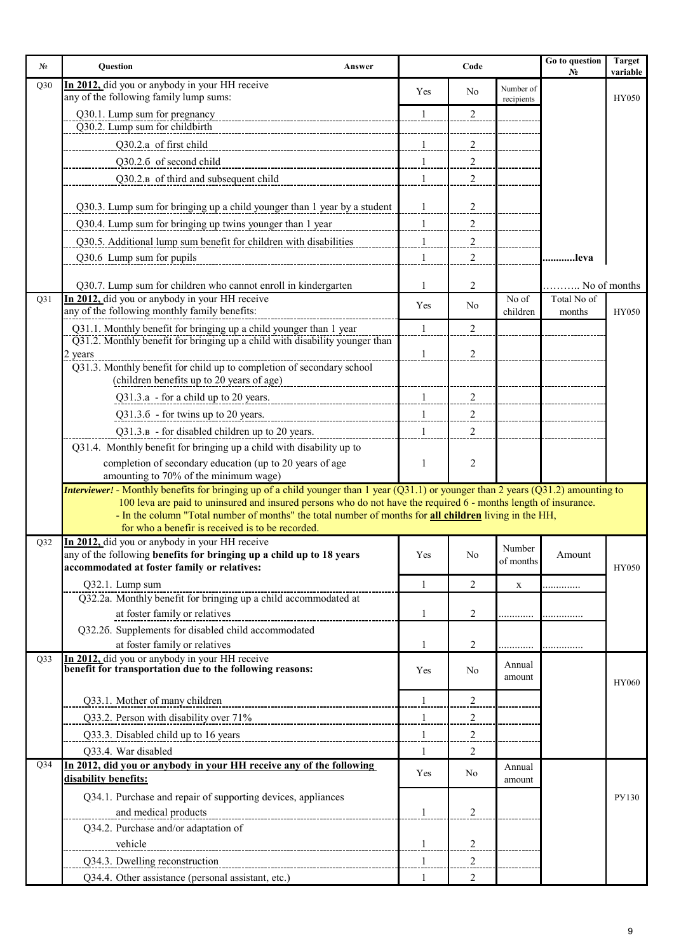| Nº.             | Question<br>Answer                                                                                                                                                                                                        |                   | Code                             |                                 | Go to question<br>$N_2$ | <b>Target</b><br>variable |
|-----------------|---------------------------------------------------------------------------------------------------------------------------------------------------------------------------------------------------------------------------|-------------------|----------------------------------|---------------------------------|-------------------------|---------------------------|
| Q30             | In 2012, did you or anybody in your HH receive                                                                                                                                                                            | Yes               | N <sub>0</sub>                   | Number of                       |                         |                           |
|                 | any of the following family lump sums:                                                                                                                                                                                    |                   |                                  | recipients                      |                         | <b>HY050</b>              |
|                 | Q30.1. Lump sum for pregnancy<br>Q30.2. Lump sum for childbirth                                                                                                                                                           | 1                 | 2                                |                                 |                         |                           |
|                 | Q30.2.a of first child                                                                                                                                                                                                    | $\mathbf{1}$      | $\overline{2}$                   |                                 |                         |                           |
|                 | Q30.2.6 of second child                                                                                                                                                                                                   |                   |                                  |                                 |                         |                           |
|                 | Q30.2.B of third and subsequent child                                                                                                                                                                                     | $\mathbf{1}$<br>1 | $\overline{c}$<br>$\overline{2}$ |                                 |                         |                           |
|                 |                                                                                                                                                                                                                           |                   |                                  |                                 |                         |                           |
|                 | Q30.3. Lump sum for bringing up a child younger than 1 year by a student                                                                                                                                                  | -1                | $\overline{c}$                   |                                 |                         |                           |
|                 | Q30.4. Lump sum for bringing up twins younger than 1 year                                                                                                                                                                 | $\mathbf{1}$      | 2                                |                                 |                         |                           |
|                 | Q30.5. Additional lump sum benefit for children with disabilities                                                                                                                                                         | 1                 | $\overline{\mathbf{c}}$          |                                 |                         |                           |
|                 | Q30.6 Lump sum for pupils                                                                                                                                                                                                 | 1                 | 2                                |                                 | .leva                   |                           |
|                 |                                                                                                                                                                                                                           |                   |                                  |                                 |                         |                           |
|                 | Q30.7. Lump sum for children who cannot enroll in kindergarten                                                                                                                                                            | 1                 | 2                                |                                 |                         | . No of months            |
| Q31             | In 2012, did you or anybody in your HH receive<br>any of the following monthly family benefits:                                                                                                                           | Yes               | N <sub>0</sub>                   | $\overline{N}$ o of<br>children | Total No of<br>months   | HY050                     |
|                 | Q31.1. Monthly benefit for bringing up a child younger than 1 year                                                                                                                                                        | $\mathbf{1}$      | 2                                |                                 |                         |                           |
|                 | Q31.2. Monthly benefit for bringing up a child with disability younger than                                                                                                                                               |                   |                                  |                                 |                         |                           |
|                 | 2 years                                                                                                                                                                                                                   | $\mathbf{1}$      | $\overline{2}$                   |                                 |                         |                           |
|                 | Q31.3. Monthly benefit for child up to completion of secondary school<br>(children benefits up to 20 years of age)                                                                                                        |                   |                                  |                                 |                         |                           |
|                 | Q31.3.a - for a child up to 20 years.                                                                                                                                                                                     | $\mathbf{1}$      | $\overline{c}$                   |                                 |                         |                           |
|                 | Q31.3.6 - for twins up to 20 years.                                                                                                                                                                                       | $\mathbf{1}$      | 2                                |                                 |                         |                           |
|                 | Q31.3.B - for disabled children up to 20 years.                                                                                                                                                                           | $\mathbf{1}$      | $\overline{2}$                   |                                 |                         |                           |
|                 | Q31.4. Monthly benefit for bringing up a child with disability up to                                                                                                                                                      |                   |                                  |                                 |                         |                           |
|                 | completion of secondary education (up to 20 years of age                                                                                                                                                                  | 1                 | 2                                |                                 |                         |                           |
|                 | amounting to 70% of the minimum wage)                                                                                                                                                                                     |                   |                                  |                                 |                         |                           |
|                 | Interviewer! - Monthly benefits for bringing up of a child younger than 1 year (Q31.1) or younger than 2 years (Q31.2) amounting to                                                                                       |                   |                                  |                                 |                         |                           |
|                 | 100 leva are paid to uninsured and insured persons who do not have the required 6 - months length of insurance.<br>- In the column "Total number of months" the total number of months for all children living in the HH, |                   |                                  |                                 |                         |                           |
|                 | for who a benefir is received is to be recorded.                                                                                                                                                                          |                   |                                  |                                 |                         |                           |
| Q32             | In 2012, did you or anybody in your HH receive                                                                                                                                                                            |                   |                                  | Number                          |                         |                           |
|                 | any of the following benefits for bringing up a child up to 18 years<br>accommodated at foster family or relatives:                                                                                                       | Yes               | No                               | of months                       | Amount                  | HY050                     |
|                 | Q32.1. Lump sum                                                                                                                                                                                                           | 1                 | 2                                | $\mathbf X$                     |                         |                           |
|                 | Q32.2a. Monthly benefit for bringing up a child accommodated at                                                                                                                                                           |                   |                                  |                                 |                         |                           |
|                 | at foster family or relatives                                                                                                                                                                                             | 1                 | 2                                |                                 |                         |                           |
|                 | Q32.26. Supplements for disabled child accommodated                                                                                                                                                                       |                   |                                  |                                 |                         |                           |
|                 | at foster family or relatives                                                                                                                                                                                             | 1                 | 2                                |                                 |                         |                           |
| Q33             | In 2012, did you or anybody in your HH receive<br>benefit for transportation due to the following reasons:                                                                                                                | Yes               | N <sub>0</sub>                   | Annual                          |                         |                           |
|                 |                                                                                                                                                                                                                           |                   |                                  | amount                          |                         | HY060                     |
|                 | Q33.1. Mother of many children<br>----------------------------------                                                                                                                                                      | $\mathbf{1}$      | 2                                |                                 |                         |                           |
|                 |                                                                                                                                                                                                                           | $\mathbf{1}$      | $\overline{2}$                   |                                 |                         |                           |
|                 | Q33.3. Disabled child up to 16 years                                                                                                                                                                                      | 1                 | $\overline{2}$                   |                                 |                         |                           |
|                 | Q33.4. War disabled                                                                                                                                                                                                       | 1                 | 2                                |                                 |                         |                           |
| Q <sub>34</sub> | In 2012, did you or anybody in your HH receive any of the following                                                                                                                                                       | Yes               | No                               | Annual                          |                         |                           |
|                 | disability benefits:                                                                                                                                                                                                      |                   |                                  | amount                          |                         |                           |
|                 | Q34.1. Purchase and repair of supporting devices, appliances                                                                                                                                                              |                   |                                  |                                 |                         | PY130                     |
|                 | and medical products                                                                                                                                                                                                      | $\mathbf{1}$      | 2                                |                                 |                         |                           |
|                 | Q34.2. Purchase and/or adaptation of                                                                                                                                                                                      |                   |                                  |                                 |                         |                           |
|                 | vehicle                                                                                                                                                                                                                   | 1                 | 2                                |                                 |                         |                           |
|                 | Q34.3. Dwelling reconstruction                                                                                                                                                                                            | 1                 | 2                                |                                 |                         |                           |
|                 | Q34.4. Other assistance (personal assistant, etc.)                                                                                                                                                                        | 1                 | $\overline{c}$                   |                                 |                         |                           |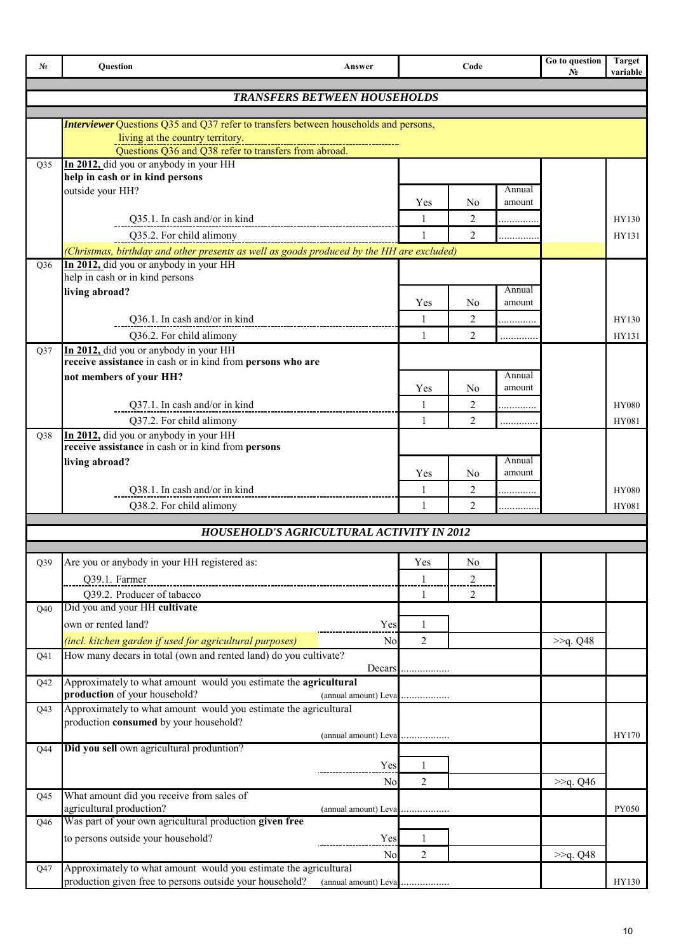| No              | Question                                                                                         | Answer                              | Code              |                     |                  | Go to question<br>No | <b>Target</b><br>variable |
|-----------------|--------------------------------------------------------------------------------------------------|-------------------------------------|-------------------|---------------------|------------------|----------------------|---------------------------|
|                 |                                                                                                  | <b>TRANSFERS BETWEEN HOUSEHOLDS</b> |                   |                     |                  |                      |                           |
|                 |                                                                                                  |                                     |                   |                     |                  |                      |                           |
|                 | <b>Interviewer</b> Questions Q35 and Q37 refer to transfers between households and persons,      |                                     |                   |                     |                  |                      |                           |
|                 | living at the country territory.<br><u>Questions Q36</u> and Q38 refer to transfers from abroad. |                                     |                   |                     |                  |                      |                           |
| O35             | In 2012, did you or anybody in your HH                                                           |                                     |                   |                     |                  |                      |                           |
|                 | help in cash or in kind persons                                                                  |                                     |                   |                     |                  |                      |                           |
|                 | outside your HH?                                                                                 |                                     | Yes               | No                  | Annual<br>amount |                      |                           |
|                 | Q35.1. In cash and/or in kind                                                                    |                                     | $\mathbf{1}$      | $\overline{2}$      |                  |                      | HY130                     |
|                 | Q35.2. For child alimony                                                                         |                                     | 1                 | 2                   |                  |                      | HY131                     |
|                 | (Christmas, birthday and other presents as well as goods produced by the HH are excluded)        |                                     |                   |                     | .                |                      |                           |
| Q <sub>36</sub> | In 2012, did you or anybody in your HH                                                           |                                     |                   |                     |                  |                      |                           |
|                 | help in cash or in kind persons                                                                  |                                     |                   |                     |                  |                      |                           |
|                 | living abroad?                                                                                   |                                     |                   |                     | Annual<br>amount |                      |                           |
|                 |                                                                                                  |                                     | Yes               | No                  |                  |                      |                           |
|                 | Q36.1. In cash and/or in kind                                                                    |                                     | 1<br>$\mathbf{1}$ | 2<br>$\overline{2}$ | .                |                      | HY130                     |
| Q37             | Q36.2. For child alimony<br>In 2012, did you or anybody in your HH                               |                                     |                   |                     |                  |                      | HY131                     |
|                 | receive assistance in cash or in kind from persons who are                                       |                                     |                   |                     |                  |                      |                           |
|                 | not members of your HH?                                                                          |                                     |                   |                     | Annual           |                      |                           |
|                 |                                                                                                  |                                     | Yes               | N <sub>0</sub>      | amount           |                      |                           |
|                 | Q37.1. In cash and/or in kind                                                                    |                                     | 1                 | 2                   | .                |                      | <b>HY080</b>              |
|                 | Q37.2. For child alimony                                                                         |                                     | $\mathbf{1}$      | $\overline{2}$      | .                |                      | HY081                     |
| Q38             | In 2012, did you or anybody in your HH<br>receive assistance in cash or in kind from persons     |                                     |                   |                     |                  |                      |                           |
|                 | living abroad?                                                                                   |                                     |                   |                     | Annual           |                      |                           |
|                 |                                                                                                  |                                     | Yes               | N <sub>0</sub>      | amount           |                      |                           |
|                 | Q38.1. In cash and/or in kind                                                                    |                                     | $\mathbf{1}$      | $\overline{c}$      | .                |                      | <b>HY080</b>              |
|                 | Q38.2. For child alimony                                                                         |                                     | $\mathbf{1}$      | $\overline{2}$      | .                |                      | HY081                     |
|                 | HOUSEHOLD'S AGRICULTURAL ACTIVITY IN 2012                                                        |                                     |                   |                     |                  |                      |                           |
|                 |                                                                                                  |                                     |                   |                     |                  |                      |                           |
| Q39             | Are you or anybody in your HH registered as:                                                     |                                     | Yes               | N <sub>0</sub>      |                  |                      |                           |
|                 | Q39.1. Farmer                                                                                    |                                     |                   | $\overline{c}$      |                  |                      |                           |
|                 | Q39.2. Producer of tabacco                                                                       |                                     | 1                 | 2                   |                  |                      |                           |
| Q40             | Did you and your HH cultivate                                                                    |                                     |                   |                     |                  |                      |                           |
|                 | own or rented land?                                                                              | Yes                                 | 1                 |                     |                  |                      |                           |
|                 | (incl. kitchen garden if used for agricultural purposes)                                         | N <sub>0</sub>                      | $\overline{2}$    |                     |                  | >>q. Q48             |                           |
| Q41             | How many decars in total (own and rented land) do you cultivate?                                 |                                     |                   |                     |                  |                      |                           |
| Q42             | Approximately to what amount would you estimate the agricultural                                 | Decars                              |                   |                     |                  |                      |                           |
|                 | production of your household?                                                                    |                                     |                   |                     |                  |                      |                           |
| Q43             | Approximately to what amount would you estimate the agricultural                                 |                                     |                   |                     |                  |                      |                           |
|                 | production consumed by your household?                                                           |                                     |                   |                     |                  |                      |                           |
| Q44             | Did you sell own agricultural produntion?                                                        | (annual amount) Leva                |                   |                     |                  |                      | HY170                     |
|                 |                                                                                                  | Yes                                 | 1                 |                     |                  |                      |                           |
|                 |                                                                                                  | N <sub>0</sub>                      | $\overline{2}$    |                     |                  | >>q. Q46             |                           |
| Q45             | What amount did you receive from sales of                                                        |                                     |                   |                     |                  |                      |                           |
|                 | agricultural production?                                                                         |                                     |                   |                     |                  |                      | PY050                     |
| Q46             | Was part of your own agricultural production given free                                          |                                     |                   |                     |                  |                      |                           |
|                 | to persons outside your household?                                                               | Yes                                 | 1                 |                     |                  |                      |                           |
|                 |                                                                                                  | <b>No</b>                           | $\overline{2}$    |                     |                  | >>q. Q48             |                           |
| Q47             | Approximately to what amount would you estimate the agricultural                                 |                                     |                   |                     |                  |                      |                           |
|                 | production given free to persons outside your household?                                         | (annual amount) Leva                |                   |                     |                  |                      | HY130                     |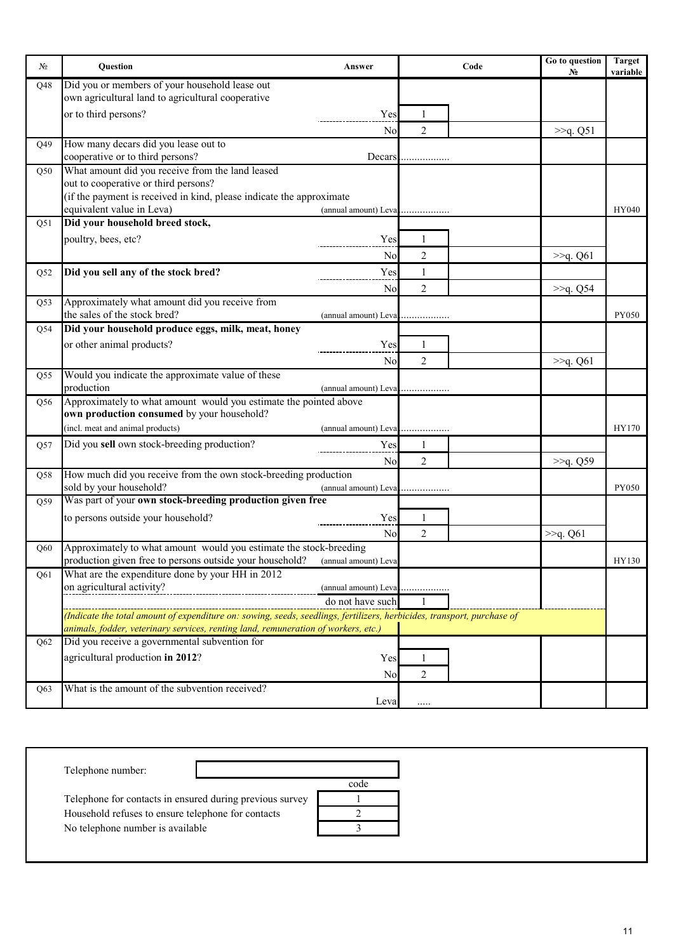| No  | Question                                                                                                                | Answer               |                | Code | Go to question<br>N <sub>0</sub> | <b>Target</b><br>variable |
|-----|-------------------------------------------------------------------------------------------------------------------------|----------------------|----------------|------|----------------------------------|---------------------------|
| Q48 | Did you or members of your household lease out                                                                          |                      |                |      |                                  |                           |
|     | own agricultural land to agricultural cooperative                                                                       |                      |                |      |                                  |                           |
|     | or to third persons?                                                                                                    | Yes                  | 1              |      |                                  |                           |
|     |                                                                                                                         | N <sub>0</sub>       | $\overline{2}$ |      | >>q. Q51                         |                           |
| Q49 | How many decars did you lease out to                                                                                    |                      |                |      |                                  |                           |
|     | cooperative or to third persons?                                                                                        | Decars               |                |      |                                  |                           |
| Q50 | What amount did you receive from the land leased                                                                        |                      |                |      |                                  |                           |
|     | out to cooperative or third persons?                                                                                    |                      |                |      |                                  |                           |
|     | (if the payment is received in kind, please indicate the approximate                                                    |                      |                |      |                                  |                           |
|     | equivalent value in Leva)                                                                                               |                      |                |      |                                  | HY040                     |
| Q51 | Did your household breed stock,                                                                                         |                      |                |      |                                  |                           |
|     | poultry, bees, etc?                                                                                                     | Yes                  | 1              |      |                                  |                           |
|     |                                                                                                                         | N <sub>0</sub>       | $\overline{2}$ |      | >>q. Q61                         |                           |
| Q52 | Did you sell any of the stock bred?                                                                                     | Yes                  | $\mathbf{1}$   |      |                                  |                           |
|     |                                                                                                                         |                      |                |      |                                  |                           |
|     |                                                                                                                         | No                   | $\overline{2}$ |      | >>q. Q54                         |                           |
| Q53 | Approximately what amount did you receive from                                                                          |                      |                |      |                                  |                           |
|     | the sales of the stock bred?                                                                                            |                      |                |      |                                  | PY050                     |
| Q54 | Did your household produce eggs, milk, meat, honey                                                                      |                      |                |      |                                  |                           |
|     | or other animal products?                                                                                               | Yes                  | 1              |      |                                  |                           |
|     |                                                                                                                         | N <sub>o</sub>       | 2              |      | >>q. Q61                         |                           |
| Q55 | Would you indicate the approximate value of these                                                                       |                      |                |      |                                  |                           |
|     | production                                                                                                              |                      |                |      |                                  |                           |
| Q56 | Approximately to what amount would you estimate the pointed above                                                       |                      |                |      |                                  |                           |
|     | own production consumed by your household?                                                                              |                      |                |      |                                  |                           |
|     | (incl. meat and animal products)                                                                                        |                      |                |      |                                  | HY170                     |
| Q57 | Did you sell own stock-breeding production?                                                                             | Yes                  |                |      |                                  |                           |
|     |                                                                                                                         | N <sub>o</sub>       | 2              |      | >>q. Q59                         |                           |
| Q58 | How much did you receive from the own stock-breeding production                                                         |                      |                |      |                                  |                           |
|     | sold by your household?                                                                                                 | (annual amount) Leva |                |      |                                  | PY050                     |
| Q59 | Was part of your own stock-breeding production given free                                                               |                      |                |      |                                  |                           |
|     | to persons outside your household?                                                                                      | Yes                  | 1              |      |                                  |                           |
|     |                                                                                                                         |                      |                |      |                                  |                           |
|     |                                                                                                                         | N <sub>o</sub>       | $\overline{c}$ |      | >>q. Q61                         |                           |
| Q60 | Approximately to what amount would you estimate the stock-breeding                                                      |                      |                |      |                                  |                           |
|     | production given free to persons outside your household?                                                                | (annual amount) Leva |                |      |                                  | HY130                     |
| O61 | What are the expenditure done by your HH in 2012                                                                        |                      |                |      |                                  |                           |
|     | on agricultural activity?                                                                                               | (annual amount) Leva |                |      |                                  |                           |
|     |                                                                                                                         | do not have such     |                |      |                                  |                           |
|     | (Indicate the total amount of expenditure on: sowing, seeds, seedlings, fertilizers, herbicides, transport, purchase of |                      |                |      |                                  |                           |
|     | animals, fodder, veterinary services, renting land, remuneration of workers, etc.)                                      |                      |                |      |                                  |                           |
| Q62 | Did you receive a governmental subvention for                                                                           |                      |                |      |                                  |                           |
|     | agricultural production in 2012?                                                                                        | Yes                  | 1              |      |                                  |                           |
|     |                                                                                                                         | N <sub>0</sub>       | 2              |      |                                  |                           |
| Q63 | What is the amount of the subvention received?                                                                          |                      |                |      |                                  |                           |
|     |                                                                                                                         | Leva                 |                |      |                                  |                           |

Telephone number:

Telephone for contacts in ensured during previous survey

No telephone number is available Household refuses to ensure telephone for contacts

| code |  |
|------|--|
|      |  |
|      |  |
|      |  |
|      |  |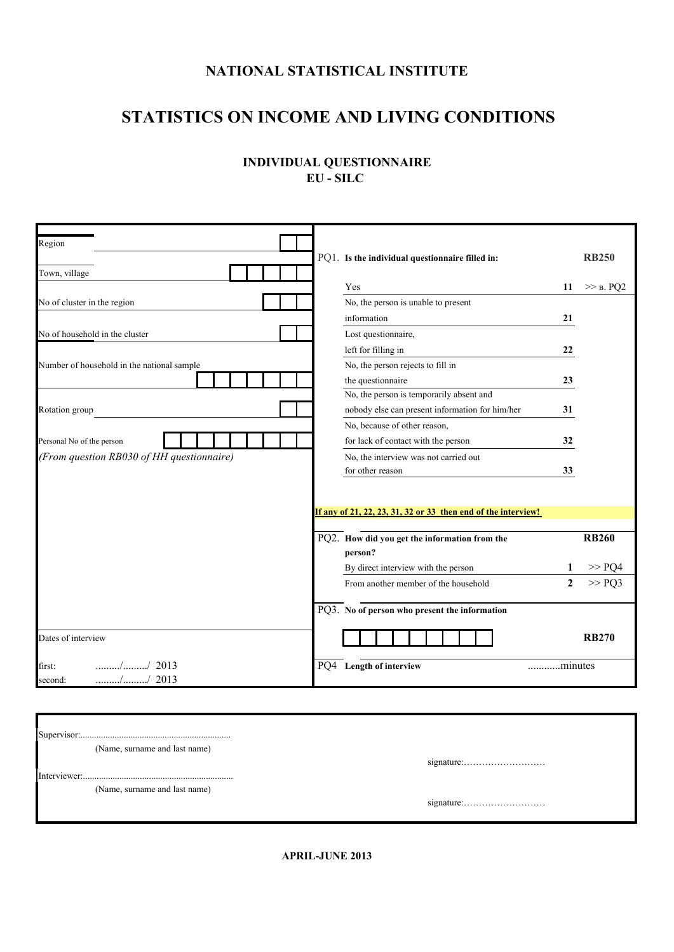## **NATIONAL STATISTICAL INSTITUTE**

# **STATISTICS ON INCOME AND LIVING CONDITIONS**

## **INDIVIDUAL QUESTIONNAIRE ЕU - SILC**

| Region                                     |                                                               |              |
|--------------------------------------------|---------------------------------------------------------------|--------------|
|                                            | PQ1. Is the individual questionnaire filled in:               | <b>RB250</b> |
| Town, village                              |                                                               |              |
|                                            | Yes<br>11                                                     | $\gg$ B. PQ2 |
| No of cluster in the region                | No, the person is unable to present                           |              |
|                                            | information<br>21                                             |              |
| No of household in the cluster             | Lost questionnaire,                                           |              |
|                                            | left for filling in<br>22                                     |              |
| Number of household in the national sample | No, the person rejects to fill in                             |              |
|                                            | the questionnaire<br>23                                       |              |
|                                            | No, the person is temporarily absent and                      |              |
| Rotation group                             | nobody else can present information for him/her<br>31         |              |
|                                            | No, because of other reason,                                  |              |
| Personal No of the person                  | for lack of contact with the person<br>32                     |              |
| (From question RB030 of HH questionnaire)  | No, the interview was not carried out                         |              |
|                                            | for other reason<br>33                                        |              |
|                                            |                                                               |              |
|                                            |                                                               |              |
|                                            | If any of 21, 22, 23, 31, 32 or 33 then end of the interview! |              |
|                                            |                                                               | <b>RB260</b> |
|                                            | PQ2. How did you get the information from the<br>person?      |              |
|                                            | By direct interview with the person<br>1                      | >> PQ4       |
|                                            | $\overline{2}$<br>From another member of the household        | >> PQ3       |
|                                            |                                                               |              |
|                                            | PQ3. No of person who present the information                 |              |
| Dates of interview                         |                                                               | <b>RB270</b> |
| $\ldots$ / $\ldots$ 2013<br>first:         | PQ4 Length of interview<br>minutes                            |              |
| $\ldots$ / 2013<br>second:                 |                                                               |              |

| (Name, surname and last name) |  |
|-------------------------------|--|
|                               |  |
|                               |  |
| (Name, surname and last name) |  |
|                               |  |
|                               |  |

**APRIL-JUNE 2013**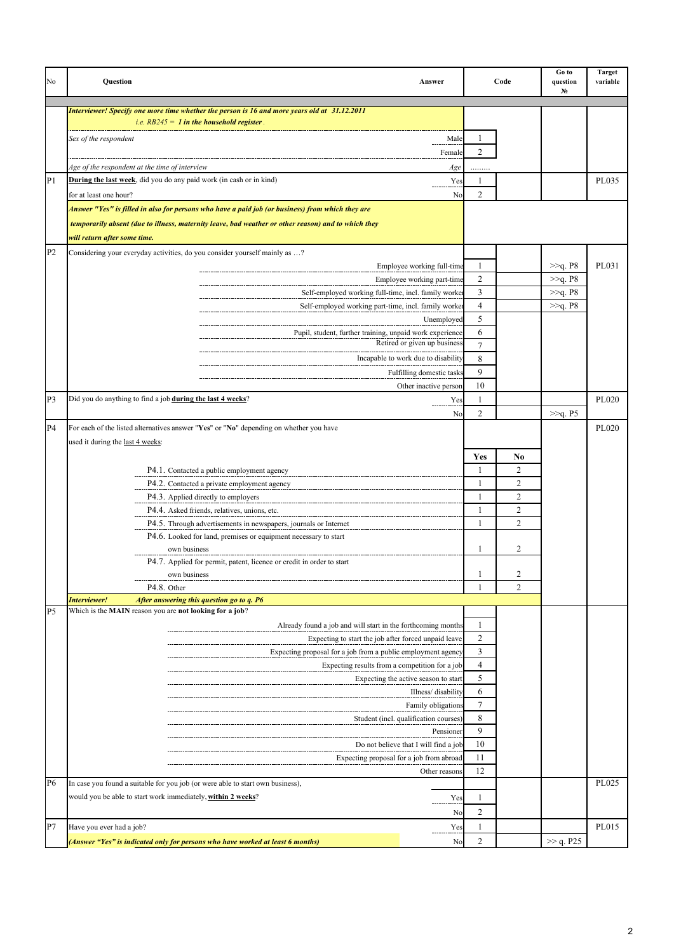| No             | Question                                                                                            | Answer                    |                | Code                | Go to<br>question<br>N. | <b>Target</b><br>variable |
|----------------|-----------------------------------------------------------------------------------------------------|---------------------------|----------------|---------------------|-------------------------|---------------------------|
|                | Interviewer! Specify one more time whether the person is 16 and more years old at 31.12.2011        |                           |                |                     |                         |                           |
|                | <i>i.e.</i> $RB245 = 1$ in the household register.                                                  |                           |                |                     |                         |                           |
|                | Sex of the respondent                                                                               | Male                      | 1              |                     |                         |                           |
|                |                                                                                                     | Female                    | $\overline{c}$ |                     |                         |                           |
|                | Age of the respondent at the time of interview                                                      | Age                       |                |                     |                         |                           |
| P <sub>1</sub> | <b>During the last week</b> , did you do any paid work (in cash or in kind)                         | Yes                       | 1              |                     |                         | PL035                     |
|                | for at least one hour?                                                                              | No                        | $\overline{c}$ |                     |                         |                           |
|                | Answer "Yes" is filled in also for persons who have a paid job (or business) from which they are    |                           |                |                     |                         |                           |
|                | temporarily absent (due to illness, maternity leave, bad weather or other reason) and to which they |                           |                |                     |                         |                           |
|                | will return after some time.                                                                        |                           |                |                     |                         |                           |
| P <sub>2</sub> | Considering your everyday activities, do you consider yourself mainly as ?                          |                           |                |                     |                         |                           |
|                | Employee working full-time                                                                          |                           | $\mathbf{1}$   |                     | $>>q$ . P8              | PL031                     |
|                | Employee working part-time                                                                          |                           | $\overline{c}$ |                     | $>>q$ . P8              |                           |
|                | Self-employed working full-time, incl. family worker                                                |                           | 3              |                     | >>q. P8                 |                           |
|                | Self-employed working part-time, incl. family worker                                                |                           | $\overline{4}$ |                     | >>q. P8                 |                           |
|                |                                                                                                     | Unemployed                | 5              |                     |                         |                           |
|                | Pupil, student, further training, unpaid work experience                                            |                           | 6              |                     |                         |                           |
|                | Retired or given up business                                                                        |                           | 7              |                     |                         |                           |
|                | Incapable to work due to disability                                                                 |                           | 8              |                     |                         |                           |
|                |                                                                                                     | Fulfilling domestic tasks | 9              |                     |                         |                           |
|                |                                                                                                     | Other inactive person     | 10             |                     |                         |                           |
| P3             | Did you do anything to find a job during the last 4 weeks?                                          | Yes                       | $\mathbf{1}$   |                     |                         | PL020                     |
|                |                                                                                                     | N <sub>0</sub>            | $\overline{c}$ |                     | >>q. P5                 |                           |
| P <sub>4</sub> | For each of the listed alternatives answer "Yes" or "No" depending on whether you have              |                           |                |                     |                         | PL020                     |
|                | used it during the last 4 weeks:                                                                    |                           |                |                     |                         |                           |
|                |                                                                                                     |                           | Yes            | No                  |                         |                           |
|                | P4.1. Contacted a public employment agency                                                          |                           | $\mathbf{1}$   | $\overline{c}$      |                         |                           |
|                | P4.2. Contacted a private employment agency                                                         |                           | $\mathbf{1}$   | $\overline{c}$      |                         |                           |
|                | P4.3. Applied directly to employers                                                                 |                           | 1              | $\overline{c}$      |                         |                           |
|                | P4.4. Asked friends, relatives, unions, etc.                                                        |                           | 1              | $\overline{2}$      |                         |                           |
|                | P4.5. Through advertisements in newspapers, journals or Internet                                    |                           | 1              | $\overline{2}$      |                         |                           |
|                | P4.6. Looked for land, premises or equipment necessary to start                                     |                           |                |                     |                         |                           |
|                | own business                                                                                        |                           | 1              | 2                   |                         |                           |
|                | P4.7. Applied for permit, patent, licence or credit in order to start                               |                           |                |                     |                         |                           |
|                | own business<br>P4.8. Other                                                                         |                           |                | 2<br>$\overline{c}$ |                         |                           |
|                | Interviewer!<br>After answering this question go to q. P6                                           |                           |                |                     |                         |                           |
| P <sub>5</sub> | Which is the MAIN reason you are not looking for a job?                                             |                           |                |                     |                         |                           |
|                | Already found a job and will start in the forthcoming months                                        |                           | 1              |                     |                         |                           |
|                | Expecting to start the job after forced unpaid leave                                                |                           | $\overline{c}$ |                     |                         |                           |
|                | Expecting proposal for a job from a public employment agency                                        |                           | 3              |                     |                         |                           |
|                | Expecting results from a competition for a job                                                      |                           | $\overline{4}$ |                     |                         |                           |
|                | Expecting the active season to start                                                                |                           | 5              |                     |                         |                           |
|                |                                                                                                     | Illness/disability        | 6              |                     |                         |                           |
|                |                                                                                                     | Family obligations        | 7              |                     |                         |                           |
|                | Student (incl. qualification courses)                                                               |                           | 8              |                     |                         |                           |
|                |                                                                                                     | Pensioner                 | 9              |                     |                         |                           |
|                | Do not believe that I will find a job                                                               |                           | 10             |                     |                         |                           |
|                | Expecting proposal for a job from abroad                                                            |                           | 11             |                     |                         |                           |
|                |                                                                                                     | Other reasons             | 12             |                     |                         |                           |
| P6             | In case you found a suitable for you job (or were able to start own business),                      |                           |                |                     |                         | PL025                     |
|                | would you be able to start work immediately, within 2 weeks?                                        | Yes                       | 1              |                     |                         |                           |
|                |                                                                                                     | No                        | 2              |                     |                         |                           |
| P7             | Have you ever had a job?                                                                            | Yes                       | 1              |                     |                         | PL015                     |
|                | (Answer "Yes" is indicated only for persons who have worked at least 6 months)                      | No                        | $\overline{c}$ |                     | >> q. P25               |                           |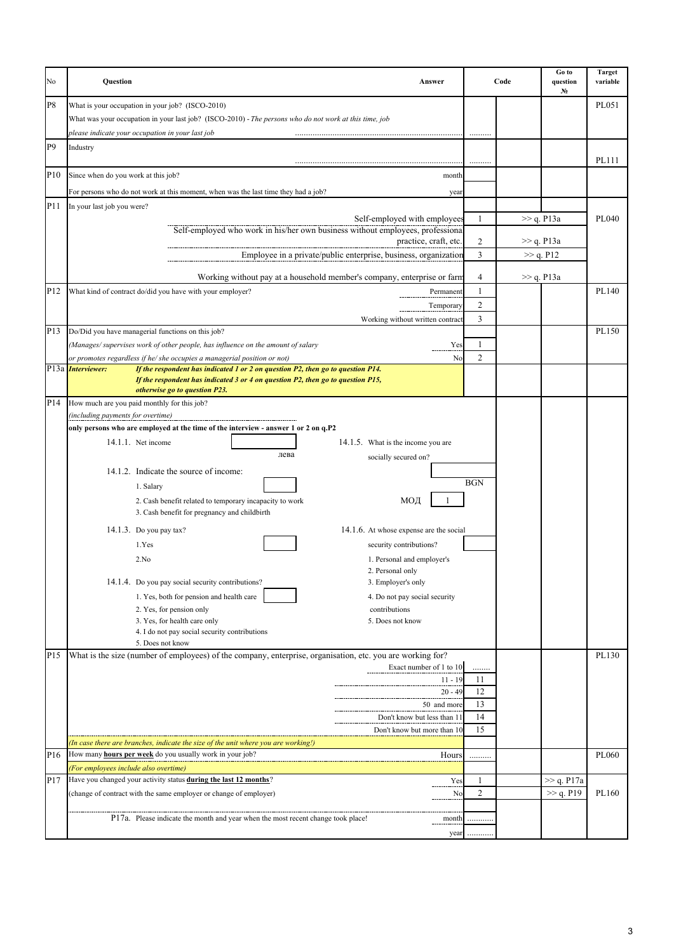| No              | Question<br>Answer                                                                                                                                                                   |                | Code | Go to<br>question<br>N. | <b>Target</b><br>variable |
|-----------------|--------------------------------------------------------------------------------------------------------------------------------------------------------------------------------------|----------------|------|-------------------------|---------------------------|
| P8              | What is your occupation in your job? (ISCO-2010)                                                                                                                                     |                |      |                         | PL051                     |
|                 | What was your occupation in your last job? (ISCO-2010) - The persons who do not work at this time, job                                                                               |                |      |                         |                           |
|                 | please indicate your occupation in your last job                                                                                                                                     |                |      |                         |                           |
| P <sub>9</sub>  | Industry                                                                                                                                                                             |                |      |                         |                           |
|                 |                                                                                                                                                                                      |                |      |                         | PL111                     |
| P10             | Since when do you work at this job?<br>month                                                                                                                                         |                |      |                         |                           |
|                 | For persons who do not work at this moment, when was the last time they had a job?<br>year                                                                                           |                |      |                         |                           |
| P11             | In your last job you were?                                                                                                                                                           |                |      |                         |                           |
|                 | Self-employed with employees                                                                                                                                                         | 1              |      | $\gg$ q. P13a           | PL040                     |
|                 | Self-employed who work in his/her own business without employees, professional<br>practice, craft, etc.                                                                              | $\overline{c}$ |      | $\gg$ q. P13a           |                           |
|                 | Employee in a private/public enterprise, business, organization                                                                                                                      | 3              |      | >> q. P12               |                           |
|                 |                                                                                                                                                                                      |                |      |                         |                           |
|                 | Working without pay at a household member's company, enterprise or farm                                                                                                              | 4              |      | $\gg$ q. P13a           |                           |
| P12             | What kind of contract do/did you have with your employer?<br>Permanent                                                                                                               | 1              |      |                         | PL140                     |
|                 | Temporary                                                                                                                                                                            | $\overline{2}$ |      |                         |                           |
|                 | Working without written contract                                                                                                                                                     | 3              |      |                         |                           |
| P <sub>13</sub> | Do/Did you have managerial functions on this job?                                                                                                                                    |                |      |                         | PL150                     |
|                 | (Manages/supervises work of other people, has influence on the amount of salary<br>Yes<br>or promotes regardless if he/ she occupies a managerial position or not)<br>N <sub>0</sub> | 1<br>2         |      |                         |                           |
|                 | If the respondent has indicated 1 or 2 on question P2, then go to question P14.<br>P13a <i>Interviewer</i> :                                                                         |                |      |                         |                           |
|                 | If the respondent has indicated 3 or 4 on question P2, then go to question P15,<br>otherwise go to question P23.                                                                     |                |      |                         |                           |
| P14             | How much are you paid monthly for this job?                                                                                                                                          |                |      |                         |                           |
|                 | (including payments for overtime)                                                                                                                                                    |                |      |                         |                           |
|                 | only persons who are employed at the time of the interview - answer 1 or 2 on q.P2                                                                                                   |                |      |                         |                           |
|                 | 14.1.1. Net income<br>14.1.5. What is the income you are                                                                                                                             |                |      |                         |                           |
|                 | лева<br>socially secured on?                                                                                                                                                         |                |      |                         |                           |
|                 | 14.1.2. Indicate the source of income:                                                                                                                                               |                |      |                         |                           |
|                 | 1. Salary                                                                                                                                                                            | <b>BGN</b>     |      |                         |                           |
|                 | 2. Cash benefit related to temporary incapacity to work<br>МОД<br>3. Cash benefit for pregnancy and childbirth                                                                       |                |      |                         |                           |
|                 | 14.1.3. Do you pay tax?<br>14.1.6. At whose expense are the social                                                                                                                   |                |      |                         |                           |
|                 | 1.Yes<br>security contributions?                                                                                                                                                     |                |      |                         |                           |
|                 | 2.No<br>1. Personal and employer's                                                                                                                                                   |                |      |                         |                           |
|                 | 2. Personal only                                                                                                                                                                     |                |      |                         |                           |
|                 | 14.1.4. Do you pay social security contributions?<br>3. Employer's only                                                                                                              |                |      |                         |                           |
|                 | 1. Yes, both for pension and health care<br>4. Do not pay social security                                                                                                            |                |      |                         |                           |
|                 | 2. Yes, for pension only<br>contributions                                                                                                                                            |                |      |                         |                           |
|                 | 3. Yes, for health care only<br>5. Does not know<br>4. I do not pay social security contributions                                                                                    |                |      |                         |                           |
|                 | 5. Does not know                                                                                                                                                                     |                |      |                         |                           |
| P <sub>15</sub> | What is the size (number of employees) of the company, enterprise, organisation, etc. you are working for?                                                                           |                |      |                         | PL130                     |
|                 | Exact number of 1 to 10                                                                                                                                                              | .              |      |                         |                           |
|                 | $11 - 19$<br>$20 - 49$                                                                                                                                                               | 11<br>12       |      |                         |                           |
|                 | 50 and more                                                                                                                                                                          | 13             |      |                         |                           |
|                 | Don't know but less than 11                                                                                                                                                          | 14             |      |                         |                           |
|                 | Don't know but more than 10                                                                                                                                                          | 15             |      |                         |                           |
|                 | (In case there are branches, indicate the size of the unit where you are working!)                                                                                                   |                |      |                         |                           |
| P16             | How many hours per week do you usually work in your job?<br>Hours                                                                                                                    | .              |      |                         | PL060                     |
|                 | (For employees include also overtime)                                                                                                                                                |                |      |                         |                           |
| P17             | Have you changed your activity status during the last 12 months?<br>Yes                                                                                                              | 1              |      | >> q. P17a              |                           |
|                 | (change of contract with the same employer or change of employer)<br>No                                                                                                              | $\overline{c}$ |      | >> q. P19               | PL160                     |
|                 | P17a. Please indicate the month and year when the most recent change took place!<br>month                                                                                            | .              |      |                         |                           |
|                 | year                                                                                                                                                                                 |                |      |                         |                           |
|                 |                                                                                                                                                                                      |                |      |                         |                           |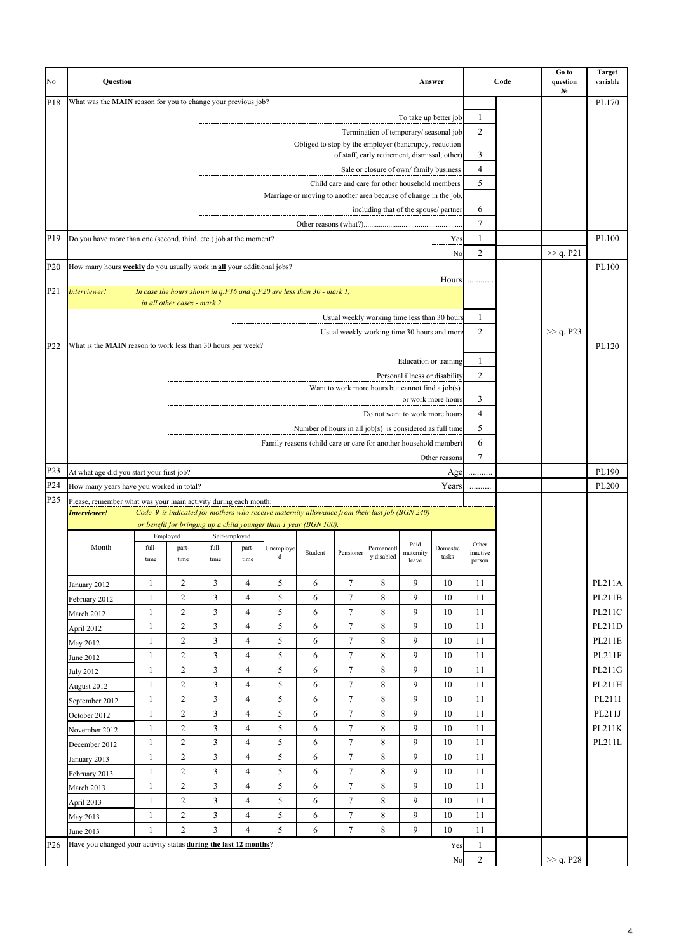| No               | Question                                                                             |                   |                                  |                |                     |                |                                                                                               |                                                  |                                               |                                | Answer                |                    | Code | Go to<br>question<br>N. | <b>Target</b><br>variable |
|------------------|--------------------------------------------------------------------------------------|-------------------|----------------------------------|----------------|---------------------|----------------|-----------------------------------------------------------------------------------------------|--------------------------------------------------|-----------------------------------------------|--------------------------------|-----------------------|--------------------|------|-------------------------|---------------------------|
| P <sub>18</sub>  | What was the MAIN reason for you to change your previous job?                        |                   |                                  |                |                     |                |                                                                                               |                                                  |                                               |                                |                       |                    |      |                         | PL170                     |
|                  |                                                                                      |                   |                                  |                |                     |                |                                                                                               |                                                  |                                               |                                | To take up better job | 1                  |      |                         |                           |
|                  |                                                                                      |                   |                                  |                |                     |                |                                                                                               |                                                  | Termination of temporary/seasonal job         |                                |                       | $\overline{c}$     |      |                         |                           |
|                  |                                                                                      |                   |                                  |                |                     |                | Obliged to stop by the employer (bancrupcy, reduction                                         |                                                  | of staff, early retirement, dismissal, other) |                                |                       | 3                  |      |                         |                           |
|                  |                                                                                      |                   |                                  |                |                     |                |                                                                                               |                                                  | Sale or closure of own/family business        |                                |                       | $\overline{4}$     |      |                         |                           |
|                  |                                                                                      |                   |                                  |                |                     |                |                                                                                               | Child care and care for other household members  |                                               |                                |                       | 5                  |      |                         |                           |
|                  |                                                                                      |                   |                                  |                |                     |                | Marriage or moving to another area because of change in the job,                              |                                                  |                                               |                                |                       |                    |      |                         |                           |
|                  |                                                                                      |                   |                                  |                |                     |                |                                                                                               |                                                  | including that of the spouse/ partner         |                                |                       | 6                  |      |                         |                           |
|                  |                                                                                      |                   |                                  |                |                     |                |                                                                                               |                                                  |                                               |                                |                       | 7                  |      |                         |                           |
| P <sub>19</sub>  | Do you have more than one (second, third, etc.) job at the moment?                   |                   |                                  |                |                     |                |                                                                                               |                                                  |                                               |                                | Yes                   | 1                  |      |                         | PL100                     |
|                  |                                                                                      |                   |                                  |                |                     |                |                                                                                               |                                                  |                                               |                                | No                    | $\overline{c}$     |      | $\gg$ q. P21            |                           |
| P <sub>20</sub>  | How many hours <b>weekly</b> do you usually work in <b>all</b> your additional jobs? |                   |                                  |                |                     |                |                                                                                               |                                                  |                                               |                                | Hours                 |                    |      |                         | PL100                     |
| P <sub>21</sub>  | Interviewer!                                                                         |                   |                                  |                |                     |                | In case the hours shown in $q.P16$ and $q.P20$ are less than $30$ - mark 1,                   |                                                  |                                               |                                |                       |                    |      |                         |                           |
|                  |                                                                                      |                   | in all other cases - mark 2      |                |                     |                |                                                                                               |                                                  |                                               |                                |                       |                    |      |                         |                           |
|                  |                                                                                      |                   |                                  |                |                     |                |                                                                                               | Usual weekly working time less than 30 hours     |                                               |                                |                       | 1                  |      |                         |                           |
|                  |                                                                                      |                   |                                  |                |                     |                |                                                                                               | Usual weekly working time 30 hours and more      |                                               |                                |                       | $\overline{c}$     |      | >> q. P23               |                           |
| P22              | What is the MAIN reason to work less than 30 hours per week?                         |                   |                                  |                |                     |                |                                                                                               |                                                  |                                               |                                |                       |                    |      |                         | PL120                     |
|                  |                                                                                      |                   |                                  |                |                     |                |                                                                                               |                                                  |                                               |                                | Education or training | 1                  |      |                         |                           |
|                  |                                                                                      |                   |                                  |                |                     |                |                                                                                               | Want to work more hours but cannot find a job(s) |                                               | Personal illness or disability |                       | $\overline{c}$     |      |                         |                           |
|                  |                                                                                      |                   |                                  |                |                     |                |                                                                                               |                                                  |                                               |                                | or work more hours    | 3                  |      |                         |                           |
|                  |                                                                                      |                   |                                  |                |                     |                |                                                                                               |                                                  | Do not want to work more hours                |                                |                       | $\overline{4}$     |      |                         |                           |
|                  |                                                                                      |                   |                                  |                |                     |                | Number of hours in all job(s) is considered as full time                                      |                                                  |                                               |                                |                       | 5                  |      |                         |                           |
|                  |                                                                                      |                   |                                  |                |                     |                | Family reasons (child care or care for another household member)                              |                                                  |                                               |                                |                       | 6                  |      |                         |                           |
|                  |                                                                                      |                   |                                  |                |                     |                |                                                                                               |                                                  |                                               |                                | Other reasons         | 7                  |      |                         |                           |
| P <sub>2</sub> 3 | At what age did you start your first job?                                            |                   |                                  |                |                     |                |                                                                                               |                                                  |                                               |                                | Age                   | .                  |      |                         | PL190                     |
| P24              | How many years have you worked in total?                                             |                   |                                  |                |                     |                |                                                                                               |                                                  |                                               |                                | Years                 |                    |      |                         | PL200                     |
| P <sub>25</sub>  | Please, remember what was your main activity during each month:<br>Interviewer!      |                   |                                  |                |                     |                | Code 9 is indicated for mothers who receive maternity allowance from their last job (BGN 240) |                                                  |                                               |                                |                       |                    |      |                         |                           |
|                  |                                                                                      |                   |                                  |                |                     |                | or benefit for bringing up a child younger than 1 year (BGN 100).                             |                                                  |                                               |                                |                       |                    |      |                         |                           |
|                  |                                                                                      |                   | Employed                         |                | Self-employed       |                |                                                                                               |                                                  |                                               | Paid                           |                       | Other              |      |                         |                           |
|                  | Month                                                                                | full-<br>time     | part-<br>time                    | full-<br>time  | part-<br>time       | Unemploye<br>d | Student                                                                                       | Pensioner                                        | Permanentl<br>y disabled                      | maternity<br>leave             | Domestic<br>tasks     | inactive<br>person |      |                         |                           |
|                  |                                                                                      |                   |                                  |                |                     |                |                                                                                               |                                                  |                                               |                                |                       |                    |      |                         |                           |
|                  | January 2012                                                                         | $\mathbf{1}$      | $\overline{c}$                   | 3              | $\overline{4}$      | 5              | 6                                                                                             | $\overline{7}$                                   | 8                                             | 9                              | 10                    | 11                 |      |                         | PL211A                    |
|                  | February 2012                                                                        | 1                 | $\overline{c}$                   | 3              | $\overline{4}$      | 5              | 6                                                                                             | 7                                                | 8                                             | 9                              | 10                    | 11                 |      |                         | PL211B                    |
|                  | March 2012                                                                           | $\mathbf{1}$      | $\overline{c}$                   | 3              | $\overline{4}$      | 5              | 6                                                                                             | $\overline{7}$                                   | 8                                             | 9                              | 10                    | 11                 |      |                         | PL211C                    |
|                  | April 2012                                                                           | 1                 | $\overline{c}$                   | 3              | $\overline{4}$      | 5              | 6                                                                                             | $\tau$                                           | 8                                             | 9                              | 10                    | 11                 |      |                         | PL211D                    |
|                  | May 2012                                                                             | $\mathbf{1}$      | $\overline{c}$                   | 3              | $\overline{4}$      | 5              | 6                                                                                             | $\overline{7}$                                   | 8                                             | 9                              | 10                    | 11                 |      |                         | PL211E                    |
|                  | June 2012                                                                            | $\mathbf{1}$      | $\overline{c}$                   | 3              | $\overline{4}$      | 5              | 6                                                                                             | 7                                                | 8                                             | 9                              | 10                    | 11                 |      |                         | PL211F                    |
|                  | <b>July 2012</b>                                                                     | 1<br>$\mathbf{1}$ | $\overline{c}$<br>$\overline{c}$ | 3<br>3         | 4<br>$\overline{4}$ | 5<br>5         | 6<br>6                                                                                        | $\tau$<br>7                                      | 8<br>8                                        | 9<br>9                         | 10<br>10              | 11<br>11           |      |                         | PL211G<br>PL211H          |
|                  | August 2012                                                                          | $\mathbf{1}$      | $\overline{c}$                   | 3              | $\overline{4}$      | 5              | 6                                                                                             | $\tau$                                           | 8                                             | 9                              | 10                    | 11                 |      |                         | PL211I                    |
|                  | September 2012<br>October 2012                                                       | $\mathbf{1}$      | $\overline{c}$                   | 3              | $\overline{4}$      | 5              | 6                                                                                             | $\tau$                                           | 8                                             | 9                              | 10                    | 11                 |      |                         | PL211J                    |
|                  | November 2012                                                                        | $\mathbf{1}$      | $\overline{c}$                   | $\mathfrak{Z}$ | $\overline{4}$      | 5              | 6                                                                                             | $\overline{7}$                                   | 8                                             | 9                              | $10\,$                | $11\,$             |      |                         | PL211K                    |
|                  | December 2012                                                                        | $\mathbf{1}$      | $\overline{c}$                   | $\mathfrak{Z}$ | $\overline{4}$      | 5              | 6                                                                                             | $\tau$                                           | 8                                             | 9                              | 10                    | 11                 |      |                         | PL211L                    |
|                  | January 2013                                                                         | $\mathbf{1}$      | $\overline{c}$                   | $\mathfrak{Z}$ | $\overline{4}$      | 5              | 6                                                                                             | $\overline{7}$                                   | 8                                             | 9                              | 10                    | 11                 |      |                         |                           |
|                  | February 2013                                                                        | 1                 | $\overline{c}$                   | 3              | $\overline{4}$      | 5              | 6                                                                                             | 7                                                | 8                                             | 9                              | 10                    | 11                 |      |                         |                           |
|                  | March 2013                                                                           | $\mathbf{1}$      | $\overline{c}$                   | 3              | $\overline{4}$      | 5              | 6                                                                                             | $\tau$                                           | 8                                             | 9                              | 10                    | 11                 |      |                         |                           |
|                  | April 2013                                                                           | $\mathbf{1}$      | $\overline{c}$                   | 3              | 4                   | 5              | 6                                                                                             | $\tau$                                           | 8                                             | 9                              | 10                    | 11                 |      |                         |                           |
|                  | May 2013                                                                             | 1                 | $\overline{c}$                   | 3              | $\overline{4}$      | 5              | 6                                                                                             | $\tau$                                           | 8                                             | 9                              | 10                    | 11                 |      |                         |                           |
|                  | June 2013                                                                            | 1                 | $\overline{c}$                   | 3              | $\overline{4}$      | 5              | 6                                                                                             | 7                                                | 8                                             | 9                              | 10                    | 11                 |      |                         |                           |
| P <sub>26</sub>  | Have you changed your activity status during the last 12 months?                     |                   |                                  |                |                     |                |                                                                                               |                                                  |                                               |                                | Yes                   | 1                  |      |                         |                           |
|                  |                                                                                      |                   |                                  |                |                     |                |                                                                                               |                                                  |                                               |                                | No                    | $\overline{c}$     |      | >> q. P28               |                           |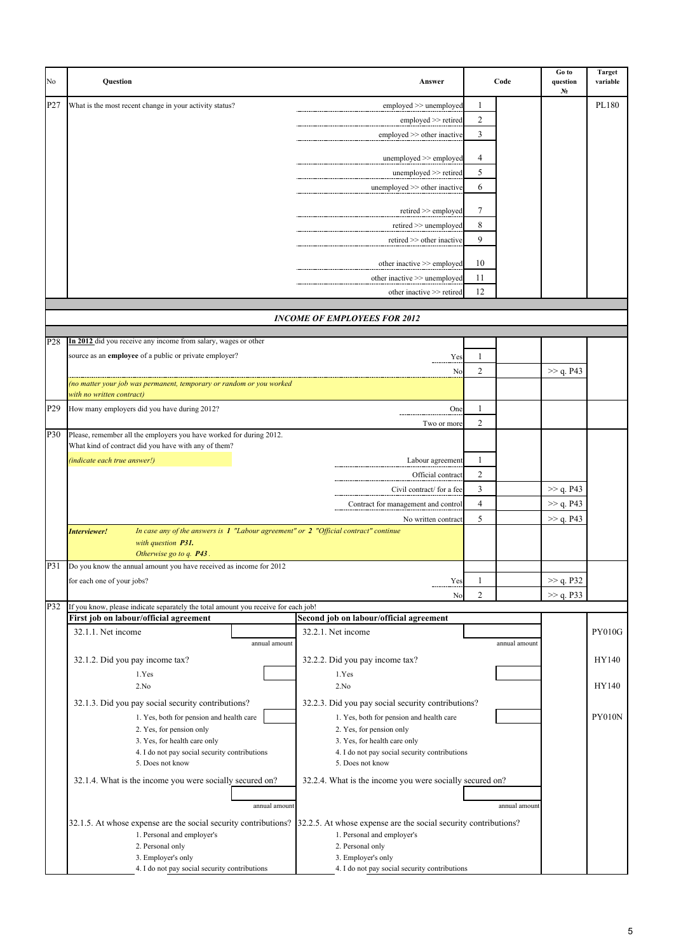| No  | <b>Ouestion</b>                                                                                                                                               | Answer                                                            |                | Code          | Go to<br>question<br>N <sub>2</sub> | <b>Target</b><br>variable |  |  |
|-----|---------------------------------------------------------------------------------------------------------------------------------------------------------------|-------------------------------------------------------------------|----------------|---------------|-------------------------------------|---------------------------|--|--|
| P27 | What is the most recent change in your activity status?                                                                                                       | employed >> unemployed                                            | 1              |               |                                     | PL180                     |  |  |
|     |                                                                                                                                                               | employed >> retired                                               | 2              |               |                                     |                           |  |  |
|     |                                                                                                                                                               | employed $\gg$ other inactive                                     | 3              |               |                                     |                           |  |  |
|     |                                                                                                                                                               |                                                                   |                |               |                                     |                           |  |  |
|     |                                                                                                                                                               | unemployed >> employed                                            | 4              |               |                                     |                           |  |  |
|     |                                                                                                                                                               | unemployed $\gg$ retired                                          | 5              |               |                                     |                           |  |  |
|     |                                                                                                                                                               | unemployed $\gg$ other inactive                                   | 6              |               |                                     |                           |  |  |
|     |                                                                                                                                                               | $retired \geq \text{employed}$                                    | 7              |               |                                     |                           |  |  |
|     |                                                                                                                                                               | $retired \geq$ unemployed                                         | 8              |               |                                     |                           |  |  |
|     |                                                                                                                                                               | retired >> other inactive                                         | 9              |               |                                     |                           |  |  |
|     |                                                                                                                                                               |                                                                   |                |               |                                     |                           |  |  |
|     |                                                                                                                                                               | other inactive >> employed                                        | 10             |               |                                     |                           |  |  |
|     |                                                                                                                                                               | other inactive >> unemployed                                      | 11             |               |                                     |                           |  |  |
|     |                                                                                                                                                               | other inactive >> retired                                         | 12             |               |                                     |                           |  |  |
|     |                                                                                                                                                               | <b>INCOME OF EMPLOYEES FOR 2012</b>                               |                |               |                                     |                           |  |  |
|     |                                                                                                                                                               |                                                                   |                |               |                                     |                           |  |  |
| P28 | In 2012 did you receive any income from salary, wages or other                                                                                                |                                                                   |                |               |                                     |                           |  |  |
|     | source as an employee of a public or private employer?                                                                                                        | Yes                                                               | 1              |               |                                     |                           |  |  |
|     |                                                                                                                                                               | No                                                                | $\overline{c}$ |               | >> q. P43                           |                           |  |  |
|     | no matter your job was permanent, temporary or random or you worked                                                                                           |                                                                   |                |               |                                     |                           |  |  |
|     | with no written contract)                                                                                                                                     |                                                                   |                |               |                                     |                           |  |  |
| P29 | How many employers did you have during 2012?                                                                                                                  | One                                                               | $\mathbf{1}$   |               |                                     |                           |  |  |
| P30 | Please, remember all the employers you have worked for during 2012.                                                                                           | Two or more                                                       | 2              |               |                                     |                           |  |  |
|     | What kind of contract did you have with any of them?                                                                                                          |                                                                   |                |               |                                     |                           |  |  |
|     | (indicate each true answer!)                                                                                                                                  | Labour agreement                                                  | 1              |               |                                     |                           |  |  |
|     |                                                                                                                                                               | Official contract                                                 | $\overline{c}$ |               |                                     |                           |  |  |
|     |                                                                                                                                                               | Civil contract/ for a fee                                         | 3              |               | >> q. P43                           |                           |  |  |
|     |                                                                                                                                                               | Contract for management and control                               | $\overline{4}$ |               | >> q. P43                           |                           |  |  |
|     |                                                                                                                                                               | No written contract                                               | 5              |               | >> q. P43                           |                           |  |  |
|     | In case any of the answers is $1$ "Labour agreement" or $2$ "Official contract" continue<br>Interviewer!<br>with question P31.<br>Otherwise go to q. P43.     |                                                                   |                |               |                                     |                           |  |  |
| P31 | Do you know the annual amount you have received as income for 2012                                                                                            |                                                                   |                |               |                                     |                           |  |  |
|     | for each one of your jobs?                                                                                                                                    | Yes                                                               | 1              |               | >> q. P32                           |                           |  |  |
|     |                                                                                                                                                               | No                                                                | $\overline{c}$ |               | >> q. P33                           |                           |  |  |
| P32 | If you know, please indicate separately the total amount you receive for each job!<br>First job on labour/official agreement                                  | Second job on labour/official agreement                           |                |               |                                     |                           |  |  |
|     | 32.1.1. Net income                                                                                                                                            | 32.2.1. Net income                                                |                |               |                                     | <b>PY010G</b>             |  |  |
|     | annual amount                                                                                                                                                 |                                                                   |                | annual amount |                                     |                           |  |  |
|     | 32.1.2. Did you pay income tax?                                                                                                                               | 32.2.2. Did you pay income tax?                                   |                |               |                                     | HY140                     |  |  |
|     | 1.Yes                                                                                                                                                         | 1.Yes                                                             |                |               |                                     |                           |  |  |
|     | 2.No                                                                                                                                                          | 2.No                                                              |                |               |                                     | HY140                     |  |  |
|     | 32.1.3. Did you pay social security contributions?                                                                                                            | 32.2.3. Did you pay social security contributions?                |                |               |                                     |                           |  |  |
|     | 1. Yes, both for pension and health care                                                                                                                      | 1. Yes, both for pension and health care                          |                |               |                                     | <b>PY010N</b>             |  |  |
|     | 2. Yes, for pension only                                                                                                                                      | 2. Yes, for pension only                                          |                |               |                                     |                           |  |  |
|     | 3. Yes, for health care only                                                                                                                                  | 3. Yes, for health care only                                      |                |               |                                     |                           |  |  |
|     | 4. I do not pay social security contributions<br>5. Does not know                                                                                             | 4. I do not pay social security contributions<br>5. Does not know |                |               |                                     |                           |  |  |
|     |                                                                                                                                                               |                                                                   |                |               |                                     |                           |  |  |
|     | 32.1.4. What is the income you were socially secured on?                                                                                                      | 32.2.4. What is the income you were socially secured on?          |                |               |                                     |                           |  |  |
|     | annual amount                                                                                                                                                 |                                                                   |                | annual amount |                                     |                           |  |  |
|     |                                                                                                                                                               |                                                                   |                |               |                                     |                           |  |  |
|     | 32.1.5. At whose expense are the social security contributions? 32.2.5. At whose expense are the social security contributions?<br>1. Personal and employer's | 1. Personal and employer's                                        |                |               |                                     |                           |  |  |
|     | 2. Personal only                                                                                                                                              | 2. Personal only                                                  |                |               |                                     |                           |  |  |
|     | 3. Employer's only                                                                                                                                            | 3. Employer's only                                                |                |               |                                     |                           |  |  |
|     | 4. I do not pay social security contributions                                                                                                                 | 4. I do not pay social security contributions                     |                |               |                                     |                           |  |  |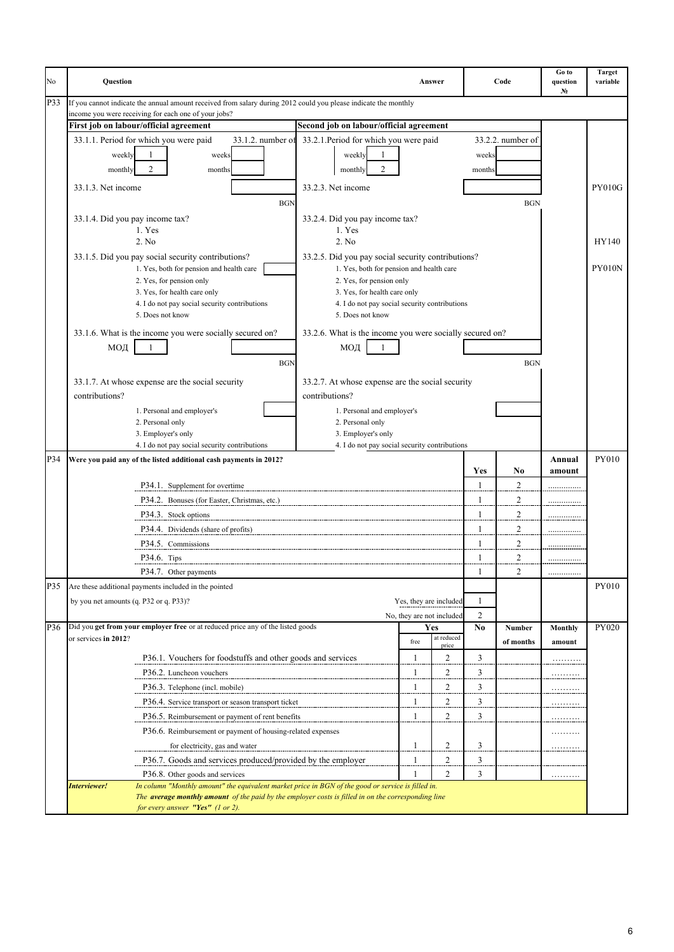| P33<br>If you cannot indicate the annual amount received from salary during 2012 could you please indicate the monthly<br>income you were receiving for each one of your jobs?<br>First job on labour/official agreement<br>Second job on labour/official agreement<br>33.1.1. Period for which you were paid<br>33.1.2. number of<br>33.2.1. Period for which you were paid<br>33.2.2. number of<br>weekly<br>1<br>weeks<br>weekly<br>weeks<br>$\overline{2}$<br>2<br>monthly<br>months<br>monthly<br>months<br>33.2.3. Net income<br><b>PY010G</b><br>33.1.3. Net income<br><b>BGN</b><br><b>BGN</b><br>33.1.4. Did you pay income tax?<br>33.2.4. Did you pay income tax?<br>1. Yes<br>1. Yes<br>2. No<br>2. No<br>HY140<br>33.1.5. Did you pay social security contributions?<br>33.2.5. Did you pay social security contributions?<br><b>PY010N</b><br>1. Yes, both for pension and health care<br>1. Yes, both for pension and health care<br>2. Yes, for pension only<br>2. Yes, for pension only<br>3. Yes, for health care only<br>3. Yes, for health care only<br>4. I do not pay social security contributions<br>4. I do not pay social security contributions<br>5. Does not know<br>5. Does not know<br>33.1.6. What is the income you were socially secured on?<br>33.2.6. What is the income you were socially secured on?<br>МОД<br>МОД<br><b>BGN</b><br><b>BGN</b><br>33.1.7. At whose expense are the social security<br>33.2.7. At whose expense are the social security<br>contributions?<br>contributions?<br>1. Personal and employer's<br>1. Personal and employer's<br>2. Personal only<br>2. Personal only<br>3. Employer's only<br>3. Employer's only<br>4. I do not pay social security contributions<br>4. I do not pay social security contributions<br>PY010<br>P34<br>Were you paid any of the listed additional cash payments in 2012?<br>Annual<br>Yes<br>N <sub>0</sub><br>amount<br>P34.1. Supplement for overtime<br>$\overline{a}$<br>1<br>$\overline{c}$<br>P34.2. Bonuses (for Easter, Christmas, etc.)<br>1<br>.<br>$\overline{c}$<br>$\mathbf{1}$<br>P34.3. Stock options<br>$\overline{c}$<br>P34.4. Dividends (share of profits)<br>1<br>.<br>$\overline{c}$<br>1<br>P34.5. Commissions<br>$\overline{2}$<br>1<br>$P34.6.$ Tips<br>P34.7. Other payments<br>2<br>1<br><br>P35<br>PY010<br>Are these additional payments included in the pointed<br>1<br>by you net amounts (q. P32 or q. P33)?<br>Yes, they are included<br>2<br>No, they are not included<br>Did you get from your employer free or at reduced price any of the listed goods<br>P36<br>No<br>PY020<br>Yes<br>Number<br>Monthly<br>at reduced<br>or services in 2012?<br>free<br>of months<br>amount<br>price<br>3<br>P36.1. Vouchers for foodstuffs and other goods and services<br>$\mathbf{1}$<br>2<br>$\overline{c}$<br>3<br>P36.2. Luncheon vouchers<br>.<br>$\overline{c}$<br>$\overline{\mathbf{3}}$<br>P36.3. Telephone (incl. mobile)<br><u>.</u><br>$\overline{3}$<br>$\mathbf{1}$<br>2<br>P36.4. Service transport or season transport ticket<br><u>.</u><br>2<br>3<br>1<br>P36.5. Reimbursement or payment of rent benefits<br>.<br>P36.6. Reimbursement or payment of housing-related expenses<br>.<br>2<br>3<br>1<br>for electricity, gas and water<br>.<br>2<br>3<br>P36.7. Goods and services produced/provided by the employer<br>$\mathbf{1}$<br>$\overline{c}$<br>3<br>P36.8. Other goods and services<br>.<br>In column "Monthly amount" the equivalent market price in BGN of the good or service is filled in.<br>Interviewer!<br>The <b>average monthly amount</b> of the paid by the employer costs is filled in on the corresponding line<br>for every answer "Yes" (1 or 2). | No | <b>Ouestion</b> |  | Answer | Code | Go to<br>question<br>N <sub>2</sub> | <b>Target</b><br>variable |
|--------------------------------------------------------------------------------------------------------------------------------------------------------------------------------------------------------------------------------------------------------------------------------------------------------------------------------------------------------------------------------------------------------------------------------------------------------------------------------------------------------------------------------------------------------------------------------------------------------------------------------------------------------------------------------------------------------------------------------------------------------------------------------------------------------------------------------------------------------------------------------------------------------------------------------------------------------------------------------------------------------------------------------------------------------------------------------------------------------------------------------------------------------------------------------------------------------------------------------------------------------------------------------------------------------------------------------------------------------------------------------------------------------------------------------------------------------------------------------------------------------------------------------------------------------------------------------------------------------------------------------------------------------------------------------------------------------------------------------------------------------------------------------------------------------------------------------------------------------------------------------------------------------------------------------------------------------------------------------------------------------------------------------------------------------------------------------------------------------------------------------------------------------------------------------------------------------------------------------------------------------------------------------------------------------------------------------------------------------------------------------------------------------------------------------------------------------------------------------------------------------------------------------------------------------------------------------------------------------------------------------------------------------------------------------------------------------------------------------------------------------------------------------------------------------------------------------------------------------------------------------------------------------------------------------------------------------------------------------------------------------------------------------------------------------------------------------------------------------------------------------------------------------------------------------------------------------------------------------------------------------------------------------------------------------------------------------------------------------------------------------------------------------------------------------------------------------------------------------------------------------------------------------------------------------------------------------------------------------------------------------------------------------------------------------------------------------------------|----|-----------------|--|--------|------|-------------------------------------|---------------------------|
|                                                                                                                                                                                                                                                                                                                                                                                                                                                                                                                                                                                                                                                                                                                                                                                                                                                                                                                                                                                                                                                                                                                                                                                                                                                                                                                                                                                                                                                                                                                                                                                                                                                                                                                                                                                                                                                                                                                                                                                                                                                                                                                                                                                                                                                                                                                                                                                                                                                                                                                                                                                                                                                                                                                                                                                                                                                                                                                                                                                                                                                                                                                                                                                                                                                                                                                                                                                                                                                                                                                                                                                                                                                                                                                    |    |                 |  |        |      |                                     |                           |
|                                                                                                                                                                                                                                                                                                                                                                                                                                                                                                                                                                                                                                                                                                                                                                                                                                                                                                                                                                                                                                                                                                                                                                                                                                                                                                                                                                                                                                                                                                                                                                                                                                                                                                                                                                                                                                                                                                                                                                                                                                                                                                                                                                                                                                                                                                                                                                                                                                                                                                                                                                                                                                                                                                                                                                                                                                                                                                                                                                                                                                                                                                                                                                                                                                                                                                                                                                                                                                                                                                                                                                                                                                                                                                                    |    |                 |  |        |      |                                     |                           |
|                                                                                                                                                                                                                                                                                                                                                                                                                                                                                                                                                                                                                                                                                                                                                                                                                                                                                                                                                                                                                                                                                                                                                                                                                                                                                                                                                                                                                                                                                                                                                                                                                                                                                                                                                                                                                                                                                                                                                                                                                                                                                                                                                                                                                                                                                                                                                                                                                                                                                                                                                                                                                                                                                                                                                                                                                                                                                                                                                                                                                                                                                                                                                                                                                                                                                                                                                                                                                                                                                                                                                                                                                                                                                                                    |    |                 |  |        |      |                                     |                           |
|                                                                                                                                                                                                                                                                                                                                                                                                                                                                                                                                                                                                                                                                                                                                                                                                                                                                                                                                                                                                                                                                                                                                                                                                                                                                                                                                                                                                                                                                                                                                                                                                                                                                                                                                                                                                                                                                                                                                                                                                                                                                                                                                                                                                                                                                                                                                                                                                                                                                                                                                                                                                                                                                                                                                                                                                                                                                                                                                                                                                                                                                                                                                                                                                                                                                                                                                                                                                                                                                                                                                                                                                                                                                                                                    |    |                 |  |        |      |                                     |                           |
|                                                                                                                                                                                                                                                                                                                                                                                                                                                                                                                                                                                                                                                                                                                                                                                                                                                                                                                                                                                                                                                                                                                                                                                                                                                                                                                                                                                                                                                                                                                                                                                                                                                                                                                                                                                                                                                                                                                                                                                                                                                                                                                                                                                                                                                                                                                                                                                                                                                                                                                                                                                                                                                                                                                                                                                                                                                                                                                                                                                                                                                                                                                                                                                                                                                                                                                                                                                                                                                                                                                                                                                                                                                                                                                    |    |                 |  |        |      |                                     |                           |
|                                                                                                                                                                                                                                                                                                                                                                                                                                                                                                                                                                                                                                                                                                                                                                                                                                                                                                                                                                                                                                                                                                                                                                                                                                                                                                                                                                                                                                                                                                                                                                                                                                                                                                                                                                                                                                                                                                                                                                                                                                                                                                                                                                                                                                                                                                                                                                                                                                                                                                                                                                                                                                                                                                                                                                                                                                                                                                                                                                                                                                                                                                                                                                                                                                                                                                                                                                                                                                                                                                                                                                                                                                                                                                                    |    |                 |  |        |      |                                     |                           |
|                                                                                                                                                                                                                                                                                                                                                                                                                                                                                                                                                                                                                                                                                                                                                                                                                                                                                                                                                                                                                                                                                                                                                                                                                                                                                                                                                                                                                                                                                                                                                                                                                                                                                                                                                                                                                                                                                                                                                                                                                                                                                                                                                                                                                                                                                                                                                                                                                                                                                                                                                                                                                                                                                                                                                                                                                                                                                                                                                                                                                                                                                                                                                                                                                                                                                                                                                                                                                                                                                                                                                                                                                                                                                                                    |    |                 |  |        |      |                                     |                           |
|                                                                                                                                                                                                                                                                                                                                                                                                                                                                                                                                                                                                                                                                                                                                                                                                                                                                                                                                                                                                                                                                                                                                                                                                                                                                                                                                                                                                                                                                                                                                                                                                                                                                                                                                                                                                                                                                                                                                                                                                                                                                                                                                                                                                                                                                                                                                                                                                                                                                                                                                                                                                                                                                                                                                                                                                                                                                                                                                                                                                                                                                                                                                                                                                                                                                                                                                                                                                                                                                                                                                                                                                                                                                                                                    |    |                 |  |        |      |                                     |                           |
|                                                                                                                                                                                                                                                                                                                                                                                                                                                                                                                                                                                                                                                                                                                                                                                                                                                                                                                                                                                                                                                                                                                                                                                                                                                                                                                                                                                                                                                                                                                                                                                                                                                                                                                                                                                                                                                                                                                                                                                                                                                                                                                                                                                                                                                                                                                                                                                                                                                                                                                                                                                                                                                                                                                                                                                                                                                                                                                                                                                                                                                                                                                                                                                                                                                                                                                                                                                                                                                                                                                                                                                                                                                                                                                    |    |                 |  |        |      |                                     |                           |
|                                                                                                                                                                                                                                                                                                                                                                                                                                                                                                                                                                                                                                                                                                                                                                                                                                                                                                                                                                                                                                                                                                                                                                                                                                                                                                                                                                                                                                                                                                                                                                                                                                                                                                                                                                                                                                                                                                                                                                                                                                                                                                                                                                                                                                                                                                                                                                                                                                                                                                                                                                                                                                                                                                                                                                                                                                                                                                                                                                                                                                                                                                                                                                                                                                                                                                                                                                                                                                                                                                                                                                                                                                                                                                                    |    |                 |  |        |      |                                     |                           |
|                                                                                                                                                                                                                                                                                                                                                                                                                                                                                                                                                                                                                                                                                                                                                                                                                                                                                                                                                                                                                                                                                                                                                                                                                                                                                                                                                                                                                                                                                                                                                                                                                                                                                                                                                                                                                                                                                                                                                                                                                                                                                                                                                                                                                                                                                                                                                                                                                                                                                                                                                                                                                                                                                                                                                                                                                                                                                                                                                                                                                                                                                                                                                                                                                                                                                                                                                                                                                                                                                                                                                                                                                                                                                                                    |    |                 |  |        |      |                                     |                           |
|                                                                                                                                                                                                                                                                                                                                                                                                                                                                                                                                                                                                                                                                                                                                                                                                                                                                                                                                                                                                                                                                                                                                                                                                                                                                                                                                                                                                                                                                                                                                                                                                                                                                                                                                                                                                                                                                                                                                                                                                                                                                                                                                                                                                                                                                                                                                                                                                                                                                                                                                                                                                                                                                                                                                                                                                                                                                                                                                                                                                                                                                                                                                                                                                                                                                                                                                                                                                                                                                                                                                                                                                                                                                                                                    |    |                 |  |        |      |                                     |                           |
|                                                                                                                                                                                                                                                                                                                                                                                                                                                                                                                                                                                                                                                                                                                                                                                                                                                                                                                                                                                                                                                                                                                                                                                                                                                                                                                                                                                                                                                                                                                                                                                                                                                                                                                                                                                                                                                                                                                                                                                                                                                                                                                                                                                                                                                                                                                                                                                                                                                                                                                                                                                                                                                                                                                                                                                                                                                                                                                                                                                                                                                                                                                                                                                                                                                                                                                                                                                                                                                                                                                                                                                                                                                                                                                    |    |                 |  |        |      |                                     |                           |
|                                                                                                                                                                                                                                                                                                                                                                                                                                                                                                                                                                                                                                                                                                                                                                                                                                                                                                                                                                                                                                                                                                                                                                                                                                                                                                                                                                                                                                                                                                                                                                                                                                                                                                                                                                                                                                                                                                                                                                                                                                                                                                                                                                                                                                                                                                                                                                                                                                                                                                                                                                                                                                                                                                                                                                                                                                                                                                                                                                                                                                                                                                                                                                                                                                                                                                                                                                                                                                                                                                                                                                                                                                                                                                                    |    |                 |  |        |      |                                     |                           |
|                                                                                                                                                                                                                                                                                                                                                                                                                                                                                                                                                                                                                                                                                                                                                                                                                                                                                                                                                                                                                                                                                                                                                                                                                                                                                                                                                                                                                                                                                                                                                                                                                                                                                                                                                                                                                                                                                                                                                                                                                                                                                                                                                                                                                                                                                                                                                                                                                                                                                                                                                                                                                                                                                                                                                                                                                                                                                                                                                                                                                                                                                                                                                                                                                                                                                                                                                                                                                                                                                                                                                                                                                                                                                                                    |    |                 |  |        |      |                                     |                           |
|                                                                                                                                                                                                                                                                                                                                                                                                                                                                                                                                                                                                                                                                                                                                                                                                                                                                                                                                                                                                                                                                                                                                                                                                                                                                                                                                                                                                                                                                                                                                                                                                                                                                                                                                                                                                                                                                                                                                                                                                                                                                                                                                                                                                                                                                                                                                                                                                                                                                                                                                                                                                                                                                                                                                                                                                                                                                                                                                                                                                                                                                                                                                                                                                                                                                                                                                                                                                                                                                                                                                                                                                                                                                                                                    |    |                 |  |        |      |                                     |                           |
|                                                                                                                                                                                                                                                                                                                                                                                                                                                                                                                                                                                                                                                                                                                                                                                                                                                                                                                                                                                                                                                                                                                                                                                                                                                                                                                                                                                                                                                                                                                                                                                                                                                                                                                                                                                                                                                                                                                                                                                                                                                                                                                                                                                                                                                                                                                                                                                                                                                                                                                                                                                                                                                                                                                                                                                                                                                                                                                                                                                                                                                                                                                                                                                                                                                                                                                                                                                                                                                                                                                                                                                                                                                                                                                    |    |                 |  |        |      |                                     |                           |
|                                                                                                                                                                                                                                                                                                                                                                                                                                                                                                                                                                                                                                                                                                                                                                                                                                                                                                                                                                                                                                                                                                                                                                                                                                                                                                                                                                                                                                                                                                                                                                                                                                                                                                                                                                                                                                                                                                                                                                                                                                                                                                                                                                                                                                                                                                                                                                                                                                                                                                                                                                                                                                                                                                                                                                                                                                                                                                                                                                                                                                                                                                                                                                                                                                                                                                                                                                                                                                                                                                                                                                                                                                                                                                                    |    |                 |  |        |      |                                     |                           |
|                                                                                                                                                                                                                                                                                                                                                                                                                                                                                                                                                                                                                                                                                                                                                                                                                                                                                                                                                                                                                                                                                                                                                                                                                                                                                                                                                                                                                                                                                                                                                                                                                                                                                                                                                                                                                                                                                                                                                                                                                                                                                                                                                                                                                                                                                                                                                                                                                                                                                                                                                                                                                                                                                                                                                                                                                                                                                                                                                                                                                                                                                                                                                                                                                                                                                                                                                                                                                                                                                                                                                                                                                                                                                                                    |    |                 |  |        |      |                                     |                           |
|                                                                                                                                                                                                                                                                                                                                                                                                                                                                                                                                                                                                                                                                                                                                                                                                                                                                                                                                                                                                                                                                                                                                                                                                                                                                                                                                                                                                                                                                                                                                                                                                                                                                                                                                                                                                                                                                                                                                                                                                                                                                                                                                                                                                                                                                                                                                                                                                                                                                                                                                                                                                                                                                                                                                                                                                                                                                                                                                                                                                                                                                                                                                                                                                                                                                                                                                                                                                                                                                                                                                                                                                                                                                                                                    |    |                 |  |        |      |                                     |                           |
|                                                                                                                                                                                                                                                                                                                                                                                                                                                                                                                                                                                                                                                                                                                                                                                                                                                                                                                                                                                                                                                                                                                                                                                                                                                                                                                                                                                                                                                                                                                                                                                                                                                                                                                                                                                                                                                                                                                                                                                                                                                                                                                                                                                                                                                                                                                                                                                                                                                                                                                                                                                                                                                                                                                                                                                                                                                                                                                                                                                                                                                                                                                                                                                                                                                                                                                                                                                                                                                                                                                                                                                                                                                                                                                    |    |                 |  |        |      |                                     |                           |
|                                                                                                                                                                                                                                                                                                                                                                                                                                                                                                                                                                                                                                                                                                                                                                                                                                                                                                                                                                                                                                                                                                                                                                                                                                                                                                                                                                                                                                                                                                                                                                                                                                                                                                                                                                                                                                                                                                                                                                                                                                                                                                                                                                                                                                                                                                                                                                                                                                                                                                                                                                                                                                                                                                                                                                                                                                                                                                                                                                                                                                                                                                                                                                                                                                                                                                                                                                                                                                                                                                                                                                                                                                                                                                                    |    |                 |  |        |      |                                     |                           |
|                                                                                                                                                                                                                                                                                                                                                                                                                                                                                                                                                                                                                                                                                                                                                                                                                                                                                                                                                                                                                                                                                                                                                                                                                                                                                                                                                                                                                                                                                                                                                                                                                                                                                                                                                                                                                                                                                                                                                                                                                                                                                                                                                                                                                                                                                                                                                                                                                                                                                                                                                                                                                                                                                                                                                                                                                                                                                                                                                                                                                                                                                                                                                                                                                                                                                                                                                                                                                                                                                                                                                                                                                                                                                                                    |    |                 |  |        |      |                                     |                           |
|                                                                                                                                                                                                                                                                                                                                                                                                                                                                                                                                                                                                                                                                                                                                                                                                                                                                                                                                                                                                                                                                                                                                                                                                                                                                                                                                                                                                                                                                                                                                                                                                                                                                                                                                                                                                                                                                                                                                                                                                                                                                                                                                                                                                                                                                                                                                                                                                                                                                                                                                                                                                                                                                                                                                                                                                                                                                                                                                                                                                                                                                                                                                                                                                                                                                                                                                                                                                                                                                                                                                                                                                                                                                                                                    |    |                 |  |        |      |                                     |                           |
|                                                                                                                                                                                                                                                                                                                                                                                                                                                                                                                                                                                                                                                                                                                                                                                                                                                                                                                                                                                                                                                                                                                                                                                                                                                                                                                                                                                                                                                                                                                                                                                                                                                                                                                                                                                                                                                                                                                                                                                                                                                                                                                                                                                                                                                                                                                                                                                                                                                                                                                                                                                                                                                                                                                                                                                                                                                                                                                                                                                                                                                                                                                                                                                                                                                                                                                                                                                                                                                                                                                                                                                                                                                                                                                    |    |                 |  |        |      |                                     |                           |
|                                                                                                                                                                                                                                                                                                                                                                                                                                                                                                                                                                                                                                                                                                                                                                                                                                                                                                                                                                                                                                                                                                                                                                                                                                                                                                                                                                                                                                                                                                                                                                                                                                                                                                                                                                                                                                                                                                                                                                                                                                                                                                                                                                                                                                                                                                                                                                                                                                                                                                                                                                                                                                                                                                                                                                                                                                                                                                                                                                                                                                                                                                                                                                                                                                                                                                                                                                                                                                                                                                                                                                                                                                                                                                                    |    |                 |  |        |      |                                     |                           |
|                                                                                                                                                                                                                                                                                                                                                                                                                                                                                                                                                                                                                                                                                                                                                                                                                                                                                                                                                                                                                                                                                                                                                                                                                                                                                                                                                                                                                                                                                                                                                                                                                                                                                                                                                                                                                                                                                                                                                                                                                                                                                                                                                                                                                                                                                                                                                                                                                                                                                                                                                                                                                                                                                                                                                                                                                                                                                                                                                                                                                                                                                                                                                                                                                                                                                                                                                                                                                                                                                                                                                                                                                                                                                                                    |    |                 |  |        |      |                                     |                           |
|                                                                                                                                                                                                                                                                                                                                                                                                                                                                                                                                                                                                                                                                                                                                                                                                                                                                                                                                                                                                                                                                                                                                                                                                                                                                                                                                                                                                                                                                                                                                                                                                                                                                                                                                                                                                                                                                                                                                                                                                                                                                                                                                                                                                                                                                                                                                                                                                                                                                                                                                                                                                                                                                                                                                                                                                                                                                                                                                                                                                                                                                                                                                                                                                                                                                                                                                                                                                                                                                                                                                                                                                                                                                                                                    |    |                 |  |        |      |                                     |                           |
|                                                                                                                                                                                                                                                                                                                                                                                                                                                                                                                                                                                                                                                                                                                                                                                                                                                                                                                                                                                                                                                                                                                                                                                                                                                                                                                                                                                                                                                                                                                                                                                                                                                                                                                                                                                                                                                                                                                                                                                                                                                                                                                                                                                                                                                                                                                                                                                                                                                                                                                                                                                                                                                                                                                                                                                                                                                                                                                                                                                                                                                                                                                                                                                                                                                                                                                                                                                                                                                                                                                                                                                                                                                                                                                    |    |                 |  |        |      |                                     |                           |
|                                                                                                                                                                                                                                                                                                                                                                                                                                                                                                                                                                                                                                                                                                                                                                                                                                                                                                                                                                                                                                                                                                                                                                                                                                                                                                                                                                                                                                                                                                                                                                                                                                                                                                                                                                                                                                                                                                                                                                                                                                                                                                                                                                                                                                                                                                                                                                                                                                                                                                                                                                                                                                                                                                                                                                                                                                                                                                                                                                                                                                                                                                                                                                                                                                                                                                                                                                                                                                                                                                                                                                                                                                                                                                                    |    |                 |  |        |      |                                     |                           |
|                                                                                                                                                                                                                                                                                                                                                                                                                                                                                                                                                                                                                                                                                                                                                                                                                                                                                                                                                                                                                                                                                                                                                                                                                                                                                                                                                                                                                                                                                                                                                                                                                                                                                                                                                                                                                                                                                                                                                                                                                                                                                                                                                                                                                                                                                                                                                                                                                                                                                                                                                                                                                                                                                                                                                                                                                                                                                                                                                                                                                                                                                                                                                                                                                                                                                                                                                                                                                                                                                                                                                                                                                                                                                                                    |    |                 |  |        |      |                                     |                           |
|                                                                                                                                                                                                                                                                                                                                                                                                                                                                                                                                                                                                                                                                                                                                                                                                                                                                                                                                                                                                                                                                                                                                                                                                                                                                                                                                                                                                                                                                                                                                                                                                                                                                                                                                                                                                                                                                                                                                                                                                                                                                                                                                                                                                                                                                                                                                                                                                                                                                                                                                                                                                                                                                                                                                                                                                                                                                                                                                                                                                                                                                                                                                                                                                                                                                                                                                                                                                                                                                                                                                                                                                                                                                                                                    |    |                 |  |        |      |                                     |                           |
|                                                                                                                                                                                                                                                                                                                                                                                                                                                                                                                                                                                                                                                                                                                                                                                                                                                                                                                                                                                                                                                                                                                                                                                                                                                                                                                                                                                                                                                                                                                                                                                                                                                                                                                                                                                                                                                                                                                                                                                                                                                                                                                                                                                                                                                                                                                                                                                                                                                                                                                                                                                                                                                                                                                                                                                                                                                                                                                                                                                                                                                                                                                                                                                                                                                                                                                                                                                                                                                                                                                                                                                                                                                                                                                    |    |                 |  |        |      |                                     |                           |
|                                                                                                                                                                                                                                                                                                                                                                                                                                                                                                                                                                                                                                                                                                                                                                                                                                                                                                                                                                                                                                                                                                                                                                                                                                                                                                                                                                                                                                                                                                                                                                                                                                                                                                                                                                                                                                                                                                                                                                                                                                                                                                                                                                                                                                                                                                                                                                                                                                                                                                                                                                                                                                                                                                                                                                                                                                                                                                                                                                                                                                                                                                                                                                                                                                                                                                                                                                                                                                                                                                                                                                                                                                                                                                                    |    |                 |  |        |      |                                     |                           |
|                                                                                                                                                                                                                                                                                                                                                                                                                                                                                                                                                                                                                                                                                                                                                                                                                                                                                                                                                                                                                                                                                                                                                                                                                                                                                                                                                                                                                                                                                                                                                                                                                                                                                                                                                                                                                                                                                                                                                                                                                                                                                                                                                                                                                                                                                                                                                                                                                                                                                                                                                                                                                                                                                                                                                                                                                                                                                                                                                                                                                                                                                                                                                                                                                                                                                                                                                                                                                                                                                                                                                                                                                                                                                                                    |    |                 |  |        |      |                                     |                           |
|                                                                                                                                                                                                                                                                                                                                                                                                                                                                                                                                                                                                                                                                                                                                                                                                                                                                                                                                                                                                                                                                                                                                                                                                                                                                                                                                                                                                                                                                                                                                                                                                                                                                                                                                                                                                                                                                                                                                                                                                                                                                                                                                                                                                                                                                                                                                                                                                                                                                                                                                                                                                                                                                                                                                                                                                                                                                                                                                                                                                                                                                                                                                                                                                                                                                                                                                                                                                                                                                                                                                                                                                                                                                                                                    |    |                 |  |        |      |                                     |                           |
|                                                                                                                                                                                                                                                                                                                                                                                                                                                                                                                                                                                                                                                                                                                                                                                                                                                                                                                                                                                                                                                                                                                                                                                                                                                                                                                                                                                                                                                                                                                                                                                                                                                                                                                                                                                                                                                                                                                                                                                                                                                                                                                                                                                                                                                                                                                                                                                                                                                                                                                                                                                                                                                                                                                                                                                                                                                                                                                                                                                                                                                                                                                                                                                                                                                                                                                                                                                                                                                                                                                                                                                                                                                                                                                    |    |                 |  |        |      |                                     |                           |
|                                                                                                                                                                                                                                                                                                                                                                                                                                                                                                                                                                                                                                                                                                                                                                                                                                                                                                                                                                                                                                                                                                                                                                                                                                                                                                                                                                                                                                                                                                                                                                                                                                                                                                                                                                                                                                                                                                                                                                                                                                                                                                                                                                                                                                                                                                                                                                                                                                                                                                                                                                                                                                                                                                                                                                                                                                                                                                                                                                                                                                                                                                                                                                                                                                                                                                                                                                                                                                                                                                                                                                                                                                                                                                                    |    |                 |  |        |      |                                     |                           |
|                                                                                                                                                                                                                                                                                                                                                                                                                                                                                                                                                                                                                                                                                                                                                                                                                                                                                                                                                                                                                                                                                                                                                                                                                                                                                                                                                                                                                                                                                                                                                                                                                                                                                                                                                                                                                                                                                                                                                                                                                                                                                                                                                                                                                                                                                                                                                                                                                                                                                                                                                                                                                                                                                                                                                                                                                                                                                                                                                                                                                                                                                                                                                                                                                                                                                                                                                                                                                                                                                                                                                                                                                                                                                                                    |    |                 |  |        |      |                                     |                           |
|                                                                                                                                                                                                                                                                                                                                                                                                                                                                                                                                                                                                                                                                                                                                                                                                                                                                                                                                                                                                                                                                                                                                                                                                                                                                                                                                                                                                                                                                                                                                                                                                                                                                                                                                                                                                                                                                                                                                                                                                                                                                                                                                                                                                                                                                                                                                                                                                                                                                                                                                                                                                                                                                                                                                                                                                                                                                                                                                                                                                                                                                                                                                                                                                                                                                                                                                                                                                                                                                                                                                                                                                                                                                                                                    |    |                 |  |        |      |                                     |                           |
|                                                                                                                                                                                                                                                                                                                                                                                                                                                                                                                                                                                                                                                                                                                                                                                                                                                                                                                                                                                                                                                                                                                                                                                                                                                                                                                                                                                                                                                                                                                                                                                                                                                                                                                                                                                                                                                                                                                                                                                                                                                                                                                                                                                                                                                                                                                                                                                                                                                                                                                                                                                                                                                                                                                                                                                                                                                                                                                                                                                                                                                                                                                                                                                                                                                                                                                                                                                                                                                                                                                                                                                                                                                                                                                    |    |                 |  |        |      |                                     |                           |
|                                                                                                                                                                                                                                                                                                                                                                                                                                                                                                                                                                                                                                                                                                                                                                                                                                                                                                                                                                                                                                                                                                                                                                                                                                                                                                                                                                                                                                                                                                                                                                                                                                                                                                                                                                                                                                                                                                                                                                                                                                                                                                                                                                                                                                                                                                                                                                                                                                                                                                                                                                                                                                                                                                                                                                                                                                                                                                                                                                                                                                                                                                                                                                                                                                                                                                                                                                                                                                                                                                                                                                                                                                                                                                                    |    |                 |  |        |      |                                     |                           |
|                                                                                                                                                                                                                                                                                                                                                                                                                                                                                                                                                                                                                                                                                                                                                                                                                                                                                                                                                                                                                                                                                                                                                                                                                                                                                                                                                                                                                                                                                                                                                                                                                                                                                                                                                                                                                                                                                                                                                                                                                                                                                                                                                                                                                                                                                                                                                                                                                                                                                                                                                                                                                                                                                                                                                                                                                                                                                                                                                                                                                                                                                                                                                                                                                                                                                                                                                                                                                                                                                                                                                                                                                                                                                                                    |    |                 |  |        |      |                                     |                           |
|                                                                                                                                                                                                                                                                                                                                                                                                                                                                                                                                                                                                                                                                                                                                                                                                                                                                                                                                                                                                                                                                                                                                                                                                                                                                                                                                                                                                                                                                                                                                                                                                                                                                                                                                                                                                                                                                                                                                                                                                                                                                                                                                                                                                                                                                                                                                                                                                                                                                                                                                                                                                                                                                                                                                                                                                                                                                                                                                                                                                                                                                                                                                                                                                                                                                                                                                                                                                                                                                                                                                                                                                                                                                                                                    |    |                 |  |        |      |                                     |                           |
|                                                                                                                                                                                                                                                                                                                                                                                                                                                                                                                                                                                                                                                                                                                                                                                                                                                                                                                                                                                                                                                                                                                                                                                                                                                                                                                                                                                                                                                                                                                                                                                                                                                                                                                                                                                                                                                                                                                                                                                                                                                                                                                                                                                                                                                                                                                                                                                                                                                                                                                                                                                                                                                                                                                                                                                                                                                                                                                                                                                                                                                                                                                                                                                                                                                                                                                                                                                                                                                                                                                                                                                                                                                                                                                    |    |                 |  |        |      |                                     |                           |
|                                                                                                                                                                                                                                                                                                                                                                                                                                                                                                                                                                                                                                                                                                                                                                                                                                                                                                                                                                                                                                                                                                                                                                                                                                                                                                                                                                                                                                                                                                                                                                                                                                                                                                                                                                                                                                                                                                                                                                                                                                                                                                                                                                                                                                                                                                                                                                                                                                                                                                                                                                                                                                                                                                                                                                                                                                                                                                                                                                                                                                                                                                                                                                                                                                                                                                                                                                                                                                                                                                                                                                                                                                                                                                                    |    |                 |  |        |      |                                     |                           |
|                                                                                                                                                                                                                                                                                                                                                                                                                                                                                                                                                                                                                                                                                                                                                                                                                                                                                                                                                                                                                                                                                                                                                                                                                                                                                                                                                                                                                                                                                                                                                                                                                                                                                                                                                                                                                                                                                                                                                                                                                                                                                                                                                                                                                                                                                                                                                                                                                                                                                                                                                                                                                                                                                                                                                                                                                                                                                                                                                                                                                                                                                                                                                                                                                                                                                                                                                                                                                                                                                                                                                                                                                                                                                                                    |    |                 |  |        |      |                                     |                           |
|                                                                                                                                                                                                                                                                                                                                                                                                                                                                                                                                                                                                                                                                                                                                                                                                                                                                                                                                                                                                                                                                                                                                                                                                                                                                                                                                                                                                                                                                                                                                                                                                                                                                                                                                                                                                                                                                                                                                                                                                                                                                                                                                                                                                                                                                                                                                                                                                                                                                                                                                                                                                                                                                                                                                                                                                                                                                                                                                                                                                                                                                                                                                                                                                                                                                                                                                                                                                                                                                                                                                                                                                                                                                                                                    |    |                 |  |        |      |                                     |                           |
|                                                                                                                                                                                                                                                                                                                                                                                                                                                                                                                                                                                                                                                                                                                                                                                                                                                                                                                                                                                                                                                                                                                                                                                                                                                                                                                                                                                                                                                                                                                                                                                                                                                                                                                                                                                                                                                                                                                                                                                                                                                                                                                                                                                                                                                                                                                                                                                                                                                                                                                                                                                                                                                                                                                                                                                                                                                                                                                                                                                                                                                                                                                                                                                                                                                                                                                                                                                                                                                                                                                                                                                                                                                                                                                    |    |                 |  |        |      |                                     |                           |
|                                                                                                                                                                                                                                                                                                                                                                                                                                                                                                                                                                                                                                                                                                                                                                                                                                                                                                                                                                                                                                                                                                                                                                                                                                                                                                                                                                                                                                                                                                                                                                                                                                                                                                                                                                                                                                                                                                                                                                                                                                                                                                                                                                                                                                                                                                                                                                                                                                                                                                                                                                                                                                                                                                                                                                                                                                                                                                                                                                                                                                                                                                                                                                                                                                                                                                                                                                                                                                                                                                                                                                                                                                                                                                                    |    |                 |  |        |      |                                     |                           |
|                                                                                                                                                                                                                                                                                                                                                                                                                                                                                                                                                                                                                                                                                                                                                                                                                                                                                                                                                                                                                                                                                                                                                                                                                                                                                                                                                                                                                                                                                                                                                                                                                                                                                                                                                                                                                                                                                                                                                                                                                                                                                                                                                                                                                                                                                                                                                                                                                                                                                                                                                                                                                                                                                                                                                                                                                                                                                                                                                                                                                                                                                                                                                                                                                                                                                                                                                                                                                                                                                                                                                                                                                                                                                                                    |    |                 |  |        |      |                                     |                           |
|                                                                                                                                                                                                                                                                                                                                                                                                                                                                                                                                                                                                                                                                                                                                                                                                                                                                                                                                                                                                                                                                                                                                                                                                                                                                                                                                                                                                                                                                                                                                                                                                                                                                                                                                                                                                                                                                                                                                                                                                                                                                                                                                                                                                                                                                                                                                                                                                                                                                                                                                                                                                                                                                                                                                                                                                                                                                                                                                                                                                                                                                                                                                                                                                                                                                                                                                                                                                                                                                                                                                                                                                                                                                                                                    |    |                 |  |        |      |                                     |                           |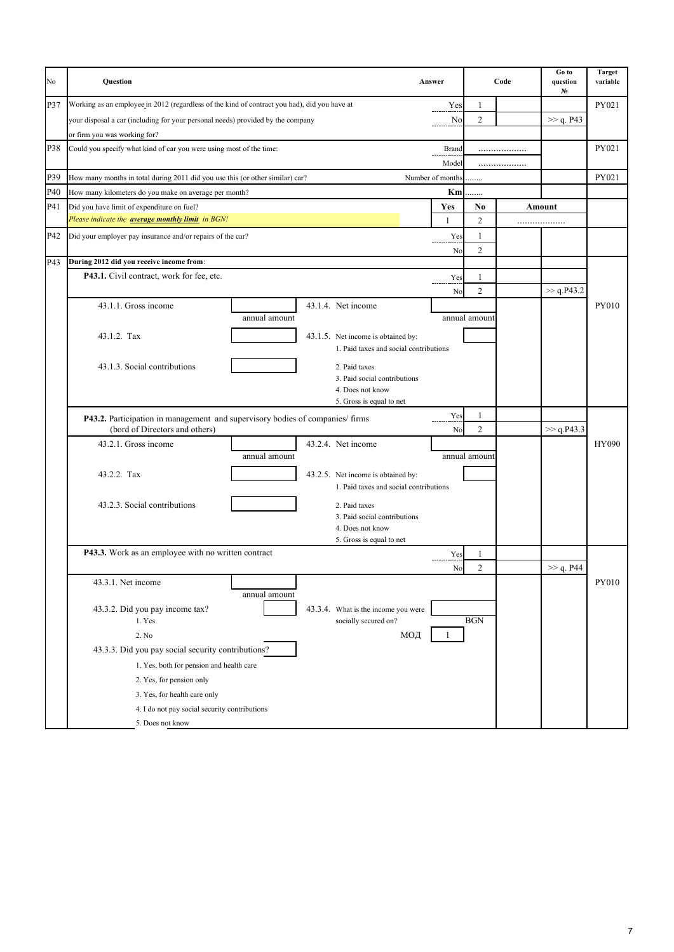| No  | Question                                                                                     |                                               | Answer           |       |                | Code | Go to<br>question<br>N. | <b>Target</b><br>variable |
|-----|----------------------------------------------------------------------------------------------|-----------------------------------------------|------------------|-------|----------------|------|-------------------------|---------------------------|
| P37 | Working as an employee in 2012 (regardless of the kind of contract you had), did you have at |                                               |                  | Yes   | 1              |      |                         | PY021                     |
|     | your disposal a car (including for your personal needs) provided by the company              |                                               |                  | No    | $\overline{c}$ |      | >> q. P43               |                           |
|     | or firm you was working for?                                                                 |                                               |                  |       |                |      |                         |                           |
| P38 | Could you specify what kind of car you were using most of the time:                          |                                               |                  | Brand |                | .    |                         | PY021                     |
|     |                                                                                              |                                               |                  | Model |                | .    |                         |                           |
| P39 | How many months in total during 2011 did you use this (or other similar) car?                |                                               | Number of months |       |                |      |                         | PY021                     |
| P40 | How many kilometers do you make on average per month?                                        |                                               |                  | Km    | .              |      |                         |                           |
| P41 | Did you have limit of expenditure on fuel?                                                   |                                               |                  | Yes   | No             |      | Amount                  |                           |
|     | Please indicate the <b>average monthly limit</b> in BGN!                                     |                                               |                  | 1     | 2              |      | .                       |                           |
| P42 | Did your employer pay insurance and/or repairs of the car?                                   |                                               |                  | Yes   | 1              |      |                         |                           |
|     |                                                                                              |                                               |                  | No    | $\overline{c}$ |      |                         |                           |
| P43 | During 2012 did you receive income from:                                                     |                                               |                  |       |                |      |                         |                           |
|     | P43.1. Civil contract, work for fee, etc.                                                    |                                               |                  | Yes   | 1              |      |                         |                           |
|     |                                                                                              |                                               |                  | No    | $\overline{c}$ |      | >> q.P43.2              |                           |
|     | 43.1.1. Gross income                                                                         | 43.1.4. Net income                            |                  |       |                |      |                         | PY010                     |
|     | annual amount                                                                                |                                               |                  |       | annual amount  |      |                         |                           |
|     | 43.1.2. Tax                                                                                  | 43.1.5. Net income is obtained by:            |                  |       |                |      |                         |                           |
|     |                                                                                              | 1. Paid taxes and social contributions        |                  |       |                |      |                         |                           |
|     | 43.1.3. Social contributions                                                                 |                                               |                  |       |                |      |                         |                           |
|     |                                                                                              | 2. Paid taxes<br>3. Paid social contributions |                  |       |                |      |                         |                           |
|     |                                                                                              | 4. Does not know                              |                  |       |                |      |                         |                           |
|     |                                                                                              | 5. Gross is equal to net                      |                  |       |                |      |                         |                           |
|     | P43.2. Participation in management and supervisory bodies of companies/firms                 |                                               |                  | Yes   | 1              |      |                         |                           |
|     | (bord of Directors and others)                                                               |                                               |                  | No    | $\overline{2}$ |      | $>>$ q.P43.3            |                           |
|     | 43.2.1. Gross income                                                                         | 43.2.4. Net income                            |                  |       |                |      |                         | HY090                     |
|     | annual amount                                                                                |                                               |                  |       | annual amount  |      |                         |                           |
|     | 43.2.2. Tax                                                                                  | 43.2.5. Net income is obtained by:            |                  |       |                |      |                         |                           |
|     |                                                                                              | 1. Paid taxes and social contributions        |                  |       |                |      |                         |                           |
|     | 43.2.3. Social contributions                                                                 | 2. Paid taxes                                 |                  |       |                |      |                         |                           |
|     |                                                                                              | 3. Paid social contributions                  |                  |       |                |      |                         |                           |
|     |                                                                                              | 4. Does not know                              |                  |       |                |      |                         |                           |
|     |                                                                                              | 5. Gross is equal to net                      |                  |       |                |      |                         |                           |
|     | P43.3. Work as an employee with no written contract                                          |                                               |                  | Yes   | 1              |      |                         |                           |
|     |                                                                                              |                                               |                  | No    | $\mathfrak{D}$ |      | >> q. P44               |                           |
|     | 43.3.1. Net income                                                                           |                                               |                  |       |                |      |                         | PY010                     |
|     | annual amount                                                                                |                                               |                  |       |                |      |                         |                           |
|     | 43.3.2. Did you pay income tax?                                                              | 43.3.4. What is the income you were           |                  |       | <b>BGN</b>     |      |                         |                           |
|     | 1. Yes                                                                                       | socially secured on?                          |                  |       |                |      |                         |                           |
|     | 2. No                                                                                        |                                               | МОД              |       |                |      |                         |                           |
|     | 43.3.3. Did you pay social security contributions?                                           |                                               |                  |       |                |      |                         |                           |
|     | 1. Yes, both for pension and health care                                                     |                                               |                  |       |                |      |                         |                           |
|     | 2. Yes, for pension only                                                                     |                                               |                  |       |                |      |                         |                           |
|     | 3. Yes, for health care only                                                                 |                                               |                  |       |                |      |                         |                           |
|     | 4. I do not pay social security contributions                                                |                                               |                  |       |                |      |                         |                           |
|     | 5. Does not know                                                                             |                                               |                  |       |                |      |                         |                           |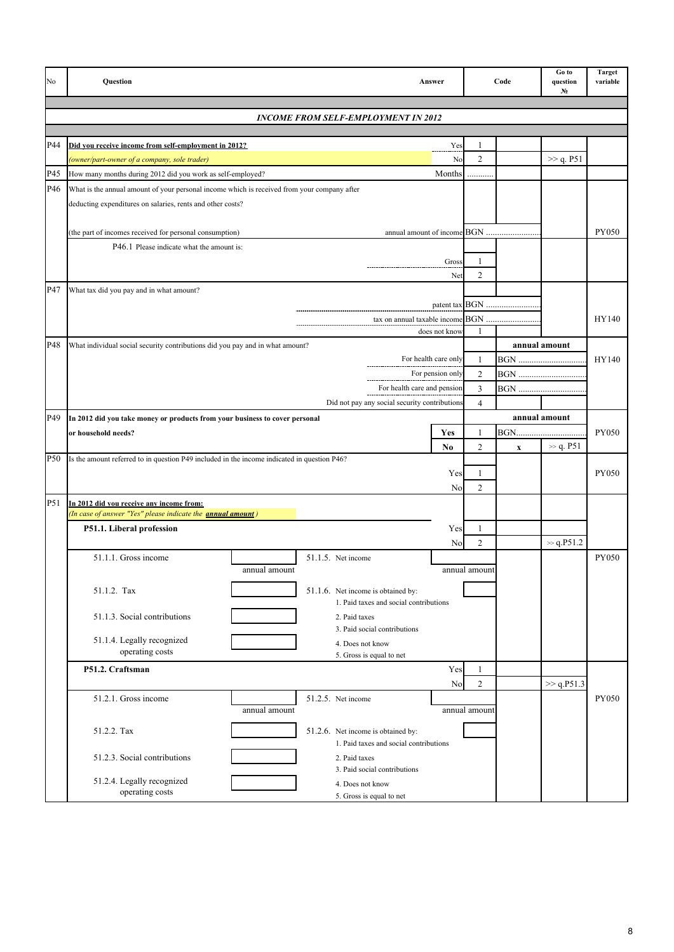| No              | Question                                                                                                        | Answer                                        |                     | Code                      | Go to<br>question<br>No | <b>Target</b><br>variable |
|-----------------|-----------------------------------------------------------------------------------------------------------------|-----------------------------------------------|---------------------|---------------------------|-------------------------|---------------------------|
|                 |                                                                                                                 |                                               |                     |                           |                         |                           |
|                 | <b>INCOME FROM SELF-EMPLOYMENT IN 2012</b>                                                                      |                                               |                     |                           |                         |                           |
| P44             |                                                                                                                 |                                               |                     |                           |                         |                           |
|                 | Did you receive income from self-employment in 2012?                                                            | Yes                                           | 1<br>$\overline{c}$ |                           | >> q. P51               |                           |
| P45             | (owner/part-owner of a company, sole trader)<br>How many months during 2012 did you work as self-employed?      | No<br>Months                                  |                     |                           |                         |                           |
| P46             | What is the annual amount of your personal income which is received from your company after                     |                                               |                     |                           |                         |                           |
|                 |                                                                                                                 |                                               |                     |                           |                         |                           |
|                 | deducting expenditures on salaries, rents and other costs?                                                      |                                               |                     |                           |                         |                           |
|                 | (the part of incomes received for personal consumption)                                                         |                                               |                     |                           |                         | PY050                     |
|                 | P46.1 Please indicate what the amount is:                                                                       |                                               |                     |                           |                         |                           |
|                 |                                                                                                                 | Gross                                         | $\mathbf{1}$        |                           |                         |                           |
|                 |                                                                                                                 | Net                                           | $\overline{2}$      |                           |                         |                           |
| P47             | What tax did you pay and in what amount?                                                                        |                                               |                     |                           |                         |                           |
|                 |                                                                                                                 |                                               |                     | patent tax BGN            |                         |                           |
|                 |                                                                                                                 | tax on annual taxable income BGN              |                     |                           |                         | HY140                     |
|                 |                                                                                                                 | does not know                                 |                     |                           |                         |                           |
| P48             | What individual social security contributions did you pay and in what amount?                                   |                                               |                     |                           | annual amount           |                           |
|                 |                                                                                                                 | For health care only                          | 1                   | <b>BGN</b>                |                         | HY140                     |
|                 |                                                                                                                 | For pension only                              | $\overline{c}$      | <b>BGN</b>                |                         |                           |
|                 |                                                                                                                 | For health care and pension                   | $\overline{3}$      |                           |                         |                           |
|                 |                                                                                                                 | Did not pay any social security contributions | $\overline{4}$      |                           |                         |                           |
| P49             | In 2012 did you take money or products from your business to cover personal                                     |                                               |                     |                           | annual amount           |                           |
|                 | or household needs?                                                                                             | Yes                                           | 1                   |                           |                         | <b>PY050</b>              |
|                 |                                                                                                                 | N <sub>0</sub>                                | $\overline{c}$      | $\boldsymbol{\mathrm{X}}$ | $\gg$ q. P51            |                           |
| P <sub>50</sub> | Is the amount referred to in question P49 included in the income indicated in question P46?                     |                                               |                     |                           |                         |                           |
|                 |                                                                                                                 | Yes                                           | 1                   |                           |                         | <b>PY050</b>              |
|                 |                                                                                                                 | No                                            | $\overline{c}$      |                           |                         |                           |
| P51             | In 2012 did you receive any income from:<br>(In case of answer "Yes" please indicate the <b>annual amount</b> ) |                                               |                     |                           |                         |                           |
|                 | P51.1. Liberal profession                                                                                       | Yes                                           | 1                   |                           |                         |                           |
|                 |                                                                                                                 | No                                            | $\overline{c}$      |                           | $\gg$ q.P51.2           |                           |
|                 | 51.1.1. Gross income<br>51.1.5. Net income                                                                      |                                               |                     |                           |                         | PY050                     |
|                 | annual amount                                                                                                   |                                               | annual amount       |                           |                         |                           |
|                 | 51.1.2. Tax<br>51.1.6. Net income is obtained by:                                                               |                                               |                     |                           |                         |                           |
|                 |                                                                                                                 | 1. Paid taxes and social contributions        |                     |                           |                         |                           |
|                 | 51.1.3. Social contributions<br>2. Paid taxes                                                                   |                                               |                     |                           |                         |                           |
|                 |                                                                                                                 | 3. Paid social contributions                  |                     |                           |                         |                           |
|                 | 51.1.4. Legally recognized<br>4. Does not know<br>operating costs                                               |                                               |                     |                           |                         |                           |
|                 | 5. Gross is equal to net                                                                                        |                                               |                     |                           |                         |                           |
|                 | P51.2. Craftsman                                                                                                | Yes                                           | 1                   |                           |                         |                           |
|                 |                                                                                                                 | N <sub>o</sub>                                | $\overline{c}$      |                           | >> q.P51.3              |                           |
|                 | 51.2.1. Gross income<br>51.2.5. Net income<br>annual amount                                                     |                                               | annual amount       |                           |                         | PY050                     |
|                 |                                                                                                                 |                                               |                     |                           |                         |                           |
|                 | 51.2.2. Tax<br>51.2.6. Net income is obtained by:                                                               |                                               |                     |                           |                         |                           |
|                 |                                                                                                                 | 1. Paid taxes and social contributions        |                     |                           |                         |                           |
|                 | 51.2.3. Social contributions<br>2. Paid taxes                                                                   | 3. Paid social contributions                  |                     |                           |                         |                           |
|                 | 51.2.4. Legally recognized<br>4. Does not know                                                                  |                                               |                     |                           |                         |                           |
|                 | operating costs<br>5. Gross is equal to net                                                                     |                                               |                     |                           |                         |                           |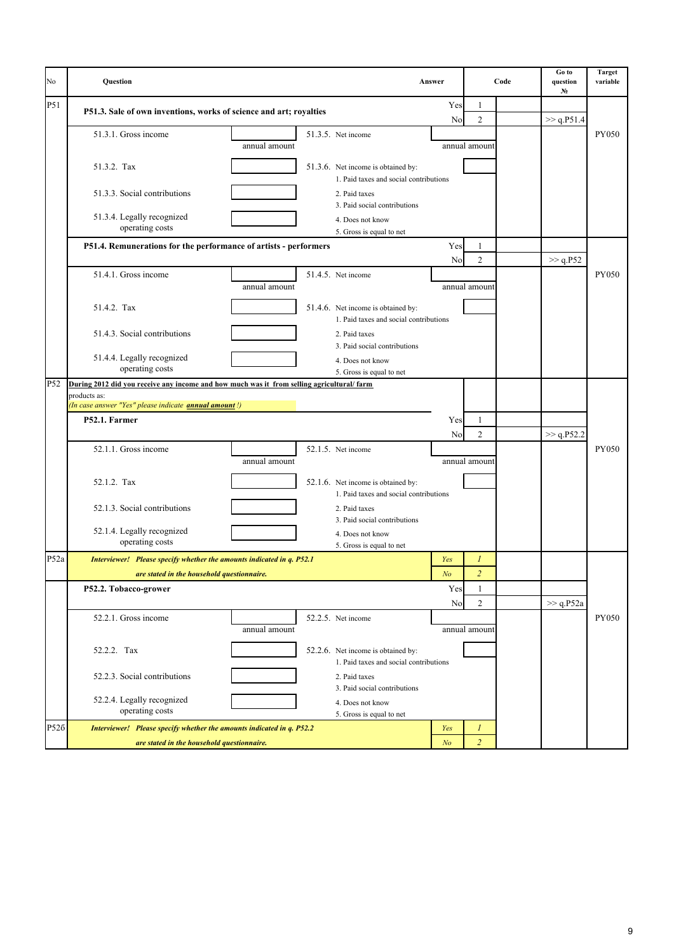| No   | Question                                                                                  |                                                                              | Answer         |                     | Code | Go to<br>question<br>N. | <b>Target</b><br>variable |
|------|-------------------------------------------------------------------------------------------|------------------------------------------------------------------------------|----------------|---------------------|------|-------------------------|---------------------------|
| P51  | P51.3. Sale of own inventions, works of science and art; royalties                        |                                                                              | Yes            | 1                   |      |                         |                           |
|      |                                                                                           |                                                                              | N <sub>o</sub> | 2                   |      | >> q.P51.4              |                           |
|      | 51.3.1. Gross income<br>annual amount                                                     | 51.3.5. Net income                                                           |                | annual amount       |      |                         | <b>PY050</b>              |
|      | 51.3.2. Tax                                                                               | 51.3.6. Net income is obtained by:<br>1. Paid taxes and social contributions |                |                     |      |                         |                           |
|      | 51.3.3. Social contributions                                                              | 2. Paid taxes<br>3. Paid social contributions                                |                |                     |      |                         |                           |
|      | 51.3.4. Legally recognized<br>operating costs                                             | 4. Does not know<br>5. Gross is equal to net                                 |                |                     |      |                         |                           |
|      | P51.4. Remunerations for the performance of artists - performers                          |                                                                              | Yes<br>No      | 1<br>$\overline{c}$ |      | >> q.P52                |                           |
|      | 51.4.1. Gross income<br>annual amount                                                     | 51.4.5. Net income                                                           |                | annual amount       |      |                         | <b>PY050</b>              |
|      | 51.4.2. Tax                                                                               | 51.4.6. Net income is obtained by:<br>1. Paid taxes and social contributions |                |                     |      |                         |                           |
|      | 51.4.3. Social contributions                                                              | 2. Paid taxes<br>3. Paid social contributions                                |                |                     |      |                         |                           |
|      | 51.4.4. Legally recognized<br>operating costs                                             | 4. Does not know<br>5. Gross is equal to net                                 |                |                     |      |                         |                           |
| P52  | During 2012 did you receive any income and how much was it from selling agricultural/farm |                                                                              |                |                     |      |                         |                           |
|      | products as:<br>(In case answer "Yes" please indicate <b>annual amount</b> !)             |                                                                              |                |                     |      |                         |                           |
|      | P52.1. Farmer                                                                             |                                                                              | Yes            | 1                   |      |                         |                           |
|      |                                                                                           |                                                                              | No             | $\overline{c}$      |      | >> q.P52.2              |                           |
|      | 52.1.1. Gross income<br>annual amount                                                     | 52.1.5. Net income                                                           |                | annual amount       |      |                         | <b>PY050</b>              |
|      | 52.1.2. Tax                                                                               | 52.1.6. Net income is obtained by:<br>1. Paid taxes and social contributions |                |                     |      |                         |                           |
|      | 52.1.3. Social contributions                                                              | 2. Paid taxes<br>3. Paid social contributions                                |                |                     |      |                         |                           |
|      | 52.1.4. Legally recognized<br>operating costs                                             | 4. Does not know<br>5. Gross is equal to net                                 |                |                     |      |                         |                           |
| P52a | Interviewer! Please specify whether the amounts indicated in q. P52.1                     |                                                                              | Yes            | 1                   |      |                         |                           |
|      | are stated in the household questionnaire.                                                |                                                                              | N <sub>O</sub> | 2                   |      |                         |                           |
|      | P52.2. Tobacco-grower                                                                     |                                                                              | Yes<br>No      | 1<br>$\overline{c}$ |      | >> q.P52a               |                           |
|      | 52.2.1. Gross income<br>annual amount                                                     | 52.2.5. Net income                                                           |                | annual amount       |      |                         | <b>PY050</b>              |
|      | 52.2.2. Tax                                                                               | 52.2.6. Net income is obtained by:<br>1. Paid taxes and social contributions |                |                     |      |                         |                           |
|      | 52.2.3. Social contributions                                                              | 2. Paid taxes<br>3. Paid social contributions                                |                |                     |      |                         |                           |
|      | 52.2.4. Legally recognized<br>operating costs                                             | 4. Does not know<br>5. Gross is equal to net                                 |                |                     |      |                         |                           |
| P526 | Interviewer! Please specify whether the amounts indicated in q. P52.2                     |                                                                              | Yes            | 1                   |      |                         |                           |
|      | are stated in the household questionnaire.                                                |                                                                              | N <sub>o</sub> | $\overline{2}$      |      |                         |                           |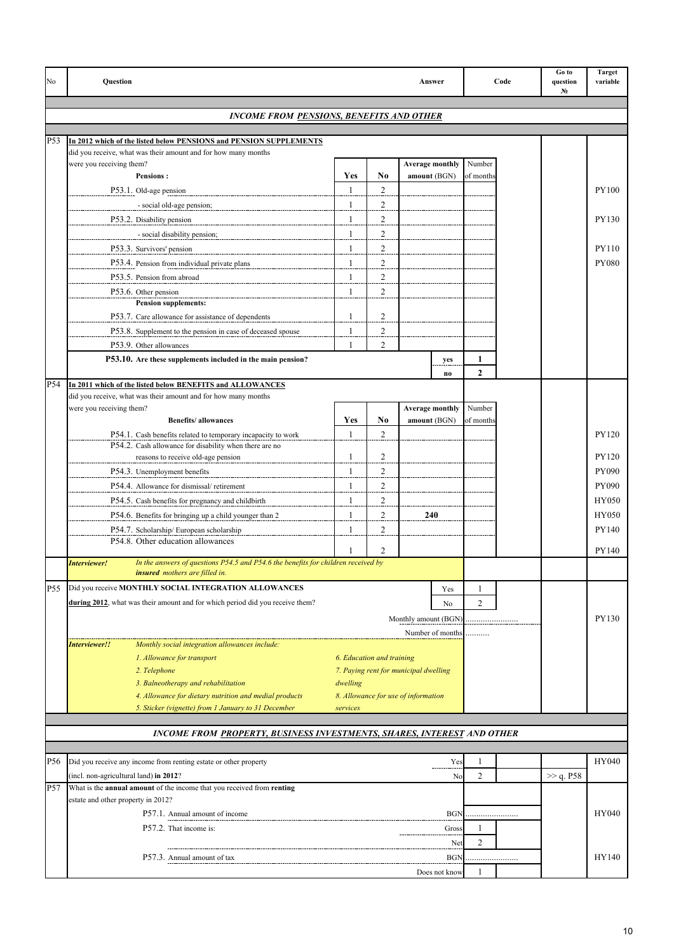| No              | Question                                                                                                      |                         |                           | Answer                                 |                     | Code | Go to<br>question<br>No | <b>Target</b><br>variable |
|-----------------|---------------------------------------------------------------------------------------------------------------|-------------------------|---------------------------|----------------------------------------|---------------------|------|-------------------------|---------------------------|
|                 | <b>INCOME FROM PENSIONS, BENEFITS AND OTHER</b>                                                               |                         |                           |                                        |                     |      |                         |                           |
| P53             | In 2012 which of the listed below PENSIONS and PENSION SUPPLEMENTS                                            |                         |                           |                                        |                     |      |                         |                           |
|                 | did you receive, what was their amount and for how many months                                                |                         |                           |                                        |                     |      |                         |                           |
|                 | were you receiving them?                                                                                      |                         |                           | <b>Average monthly</b>                 | Number              |      |                         |                           |
|                 | <b>Pensions:</b><br>P53.1. Old-age pension                                                                    | Yes<br>$\mathbf{1}$     | No<br>$\overline{2}$      | amount (BGN)                           | of months           |      |                         | PY100                     |
|                 |                                                                                                               | 1                       | 2                         |                                        |                     |      |                         |                           |
|                 | - social old-age pension;<br>P53.2. Disability pension                                                        | $\overline{\mathbf{1}}$ | $\overline{c}$            |                                        |                     |      |                         | PY130                     |
|                 | - social disability pension;                                                                                  | $\mathbf{1}$            | $\overline{c}$            |                                        |                     |      |                         |                           |
|                 | P53.3. Survivors' pension                                                                                     | $\mathbf{1}$            | $\overline{c}$            |                                        |                     |      |                         | PY110                     |
|                 |                                                                                                               | 1                       | $\overline{c}$            |                                        |                     |      |                         | PY080                     |
|                 | P53.4. Pension from individual private plans<br>P53.5. Pension from abroad                                    | 1                       | $\overline{c}$            |                                        |                     |      |                         |                           |
|                 |                                                                                                               | $\mathbf{1}$            | $\overline{2}$            |                                        |                     |      |                         |                           |
|                 | P53.6. Other pension<br>Pension supplements:                                                                  |                         |                           |                                        |                     |      |                         |                           |
|                 | P53.7. Care allowance for assistance of dependents                                                            | 1                       | $\overline{c}$            |                                        |                     |      |                         |                           |
|                 | P53.8. Supplement to the pension in case of deceased spouse                                                   | 1                       | $\overline{c}$            |                                        |                     |      |                         |                           |
|                 | P53.9. Other allowances                                                                                       | $\mathbf{1}$            | $\overline{c}$            |                                        |                     |      |                         |                           |
|                 | P53.10. Are these supplements included in the main pension?                                                   |                         |                           | yes                                    | 1                   |      |                         |                           |
|                 |                                                                                                               |                         |                           | $\bf{no}$                              | $\overline{2}$      |      |                         |                           |
| P54             | In 2011 which of the listed below BENEFITS and ALLOWANCES                                                     |                         |                           |                                        |                     |      |                         |                           |
|                 | did you receive, what was their amount and for how many months                                                |                         |                           |                                        |                     |      |                         |                           |
|                 | were you receiving them?<br><b>Benefits/allowances</b>                                                        | Yes                     | No                        | <b>Average monthly</b><br>amount (BGN) | Number<br>of months |      |                         |                           |
|                 | P54.1. Cash benefits related to temporary incapacity to work                                                  | $\mathbf{1}$            | $\overline{2}$            |                                        |                     |      |                         | PY120                     |
|                 | P54.2. Cash allowance for disability when there are no                                                        |                         |                           |                                        |                     |      |                         |                           |
|                 | reasons to receive old-age pension                                                                            | 1                       | 2                         |                                        |                     |      |                         | PY120                     |
|                 | P54.3. Unemployment benefits                                                                                  | $\mathbf{1}$            | $\overline{c}$            |                                        |                     |      |                         | PY090                     |
|                 | P54.4. Allowance for dismissal/retirement                                                                     | $\mathbf{1}$            | $\overline{c}$            |                                        |                     |      |                         | PY090                     |
|                 | P54.5. Cash benefits for pregnancy and childbirth                                                             | 1                       | $\overline{2}$            |                                        |                     |      |                         | HY050                     |
|                 | P54.6. Benefits for bringing up a child younger than 2                                                        | $\mathbf{1}$            | $\overline{c}$            | 240                                    |                     |      |                         | HY050                     |
|                 | P54.7. Scholarship/European scholarship                                                                       | $\mathbf{1}$            | $\overline{2}$            |                                        |                     |      |                         | PY140                     |
|                 | P54.8. Other education allowances                                                                             | $\mathbf{1}$            | $\overline{2}$            |                                        |                     |      |                         | PY140                     |
|                 | In the answers of questions P54.5 and P54.6 the benefits for children received by<br>Interviewer!             |                         |                           |                                        |                     |      |                         |                           |
|                 | insured mothers are filled in.                                                                                |                         |                           |                                        |                     |      |                         |                           |
| P55             | Did you receive MONTHLY SOCIAL INTEGRATION ALLOWANCES                                                         |                         |                           | Yes                                    | 1                   |      |                         |                           |
|                 | during 2012, what was their amount and for which period did you receive them?                                 |                         |                           | No                                     | $\overline{c}$      |      |                         |                           |
|                 |                                                                                                               |                         |                           | Monthly amount (BGN)                   |                     |      |                         | PY130                     |
|                 |                                                                                                               |                         |                           | Number of months                       | .                   |      |                         |                           |
|                 | Monthly social integration allowances include:<br>Interviewer!!                                               |                         |                           |                                        |                     |      |                         |                           |
|                 | 1. Allowance for transport                                                                                    |                         | 6. Education and training |                                        |                     |      |                         |                           |
|                 | 2. Telephone                                                                                                  |                         |                           | 7. Paying rent for municipal dwelling  |                     |      |                         |                           |
|                 | 3. Balneotherapy and rehabilitation                                                                           | dwelling                |                           |                                        |                     |      |                         |                           |
|                 | 4. Allowance for dietary nutrition and medial products<br>5. Sticker (vignette) from 1 January to 31 December | services                |                           | 8. Allowance for use of information    |                     |      |                         |                           |
|                 |                                                                                                               |                         |                           |                                        |                     |      |                         |                           |
|                 | INCOME FROM PROPERTY, BUSINESS INVESTMENTS, SHARES, INTEREST AND OTHER                                        |                         |                           |                                        |                     |      |                         |                           |
|                 |                                                                                                               |                         |                           |                                        |                     |      |                         |                           |
| P <sub>56</sub> | Did you receive any income from renting estate or other property                                              |                         |                           | Yes                                    | 1                   |      |                         | HY040                     |
|                 | (incl. non-agricultural land) in 2012?                                                                        |                         |                           | No                                     | $\overline{c}$      |      | >> q. P58               |                           |
| P57             | What is the annual amount of the income that you received from renting                                        |                         |                           |                                        |                     |      |                         |                           |
|                 | estate and other property in 2012?                                                                            |                         |                           |                                        |                     |      |                         | HY040                     |
|                 | P57.1. Annual amount of income                                                                                |                         |                           | <b>BGN</b>                             |                     |      |                         |                           |
|                 | P57.2. That income is:                                                                                        |                         |                           | Gross                                  | 1<br>$\overline{c}$ |      |                         |                           |
|                 |                                                                                                               |                         |                           | Net                                    |                     |      |                         |                           |
|                 | P57.3. Annual amount of tax                                                                                   |                         |                           | BGN                                    |                     |      |                         | HY140                     |
|                 |                                                                                                               |                         |                           | Does not know                          | 1                   |      |                         |                           |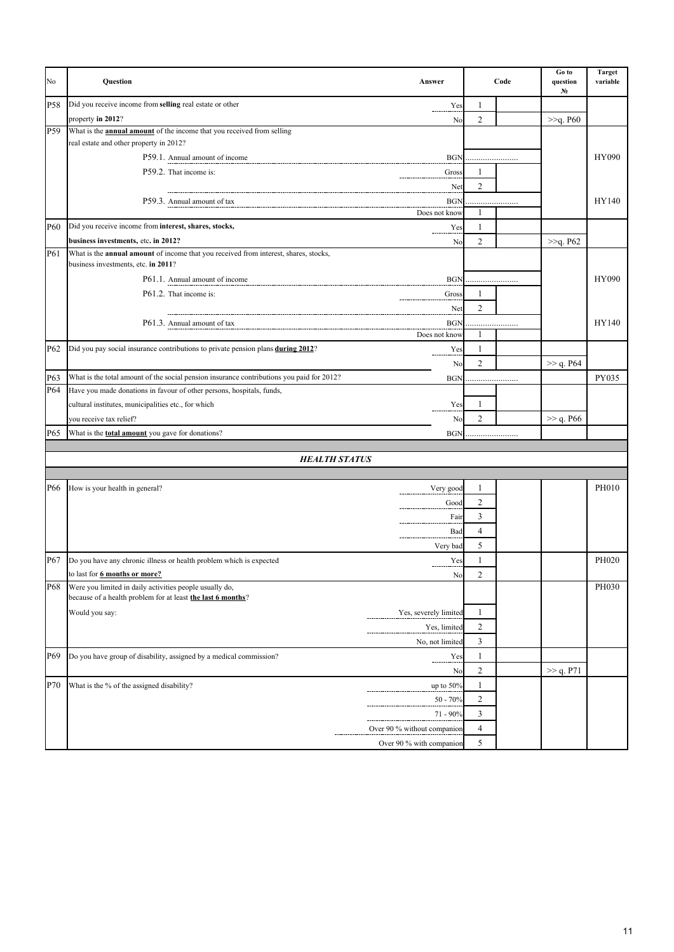| No              | Question                                                                                                               | Answer                      |                | Code | Go to<br>question<br>N. | <b>Target</b><br>variable |
|-----------------|------------------------------------------------------------------------------------------------------------------------|-----------------------------|----------------|------|-------------------------|---------------------------|
| <b>P58</b>      | Did you receive income from selling real estate or other                                                               | Yes                         | 1              |      |                         |                           |
|                 | property in 2012?                                                                                                      | No                          | 2              |      | >>q. P60                |                           |
| P <sub>59</sub> | What is the <b>annual amount</b> of the income that you received from selling                                          |                             |                |      |                         |                           |
|                 | real estate and other property in 2012?                                                                                |                             |                |      |                         |                           |
|                 | P59.1. Annual amount of income<br>P59.2. That income is:                                                               | <b>BGN</b>                  |                |      |                         | HY090                     |
|                 |                                                                                                                        | Gross                       | 1              |      |                         |                           |
|                 |                                                                                                                        | Net                         | $\overline{c}$ |      |                         |                           |
|                 | P59.3. Annual amount of tax                                                                                            | <b>BGN</b><br>Does not know | 1              | .    |                         | HY140                     |
| <b>P60</b>      | Did you receive income from interest, shares, stocks,                                                                  | Yes                         | 1              |      |                         |                           |
|                 | business investments, etc. in 2012?                                                                                    | N <sub>0</sub>              | $\overline{2}$ |      | >>q. P62                |                           |
| P61             | What is the annual amount of income that you received from interest, shares, stocks,                                   |                             |                |      |                         |                           |
|                 | business investments, etc. in 2011?                                                                                    |                             |                |      |                         |                           |
|                 | P61.1. Annual amount of income                                                                                         | <b>BGN</b>                  |                |      |                         | HY090                     |
|                 | P61.2. That income is:                                                                                                 | Gross                       | 1              |      |                         |                           |
|                 |                                                                                                                        | Net                         | $\overline{c}$ |      |                         |                           |
|                 | P61.3. Annual amount of tax                                                                                            | <b>BGN</b>                  |                | .    |                         | HY140                     |
|                 |                                                                                                                        | Does not know               | 1              |      |                         |                           |
| P <sub>62</sub> | Did you pay social insurance contributions to private pension plans during 2012?                                       | Yes                         | 1              |      |                         |                           |
|                 |                                                                                                                        | N <sub>0</sub>              | $\overline{2}$ |      | >> q. P64               |                           |
| P63             | What is the total amount of the social pension insurance contributions you paid for 2012?                              | <b>BGN</b>                  |                |      |                         | PY035                     |
| P64             | Have you made donations in favour of other persons, hospitals, funds,                                                  |                             |                |      |                         |                           |
|                 | cultural institutes, municipalities etc., for which                                                                    | Yes                         | 1              |      |                         |                           |
|                 | you receive tax relief?                                                                                                | No                          | $\overline{c}$ |      | $\gg$ q. P66            |                           |
| P65             | What is the <b>total amount</b> you gave for donations?                                                                | <b>BGN</b>                  |                | .    |                         |                           |
|                 |                                                                                                                        |                             |                |      |                         |                           |
|                 | <b>HEALTH STATUS</b>                                                                                                   |                             |                |      |                         |                           |
|                 |                                                                                                                        |                             |                |      |                         |                           |
| P66             | How is your health in general?                                                                                         | Very good                   | 1              |      |                         | PH010                     |
|                 |                                                                                                                        | Good                        | 2              |      |                         |                           |
|                 |                                                                                                                        | Fair                        | 3              |      |                         |                           |
|                 |                                                                                                                        | Bad                         | 4              |      |                         |                           |
|                 |                                                                                                                        | Very bad                    | 5              |      |                         |                           |
| P67             | Do you have any chronic illness or health problem which is expected                                                    | Yes                         | 1              |      |                         | PH020                     |
|                 | to last for <b>6 months or more?</b>                                                                                   | No                          | 2              |      |                         |                           |
| P68             | Were you limited in daily activities people usually do,<br>because of a health problem for at least the last 6 months? |                             |                |      |                         | PH030                     |
|                 | Would you say:                                                                                                         | Yes, severely limited       | 1              |      |                         |                           |
|                 |                                                                                                                        | Yes, limited                | $\overline{c}$ |      |                         |                           |
|                 |                                                                                                                        | No, not limited             | 3              |      |                         |                           |
|                 |                                                                                                                        |                             |                |      |                         |                           |
| P69             | Do you have group of disability, assigned by a medical commission?                                                     | Yes                         | 1              |      |                         |                           |
| P70             |                                                                                                                        | No                          | $\overline{c}$ |      | >> q. P71               |                           |
|                 | What is the % of the assigned disability?                                                                              | up to $50%$                 | 1              |      |                         |                           |
|                 |                                                                                                                        | $50 - 70%$                  | $\overline{c}$ |      |                         |                           |
|                 |                                                                                                                        | $71 - 90\%$                 | 3              |      |                         |                           |
|                 |                                                                                                                        | Over 90 % without companion | 4              |      |                         |                           |
|                 |                                                                                                                        | Over 90 % with companion    | 5              |      |                         |                           |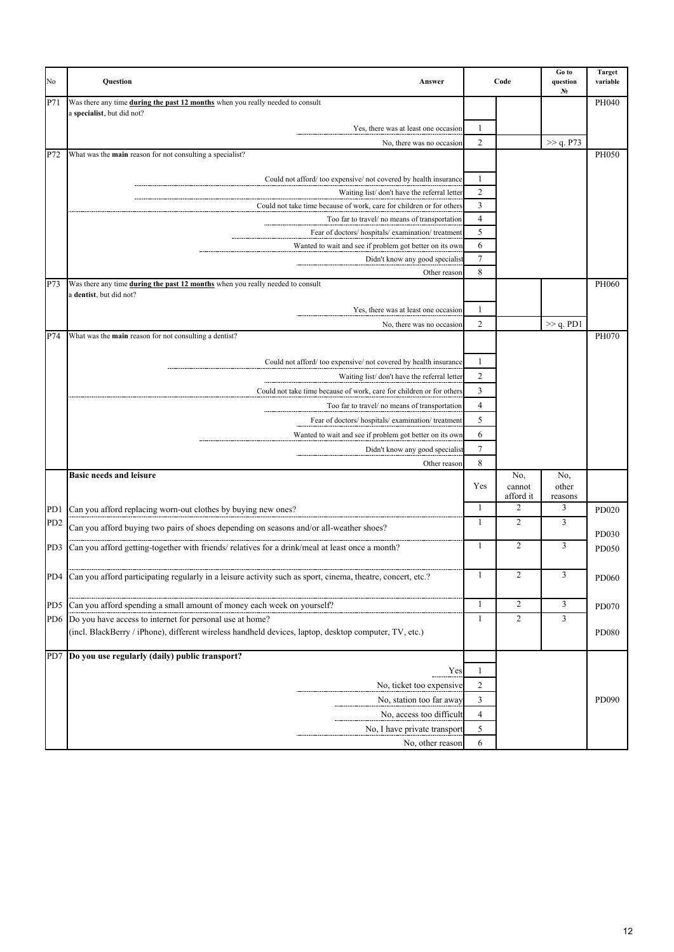| No              | Question<br>Answer                                                                                              | Code<br>1<br>$\overline{2}$ |                            | Go to<br>question<br>N. | <b>Target</b><br>variable |
|-----------------|-----------------------------------------------------------------------------------------------------------------|-----------------------------|----------------------------|-------------------------|---------------------------|
| P71             | Was there any time during the past 12 months when you really needed to consult                                  |                             |                            |                         | PH040                     |
|                 | a specialist, but did not?                                                                                      |                             |                            |                         |                           |
|                 | Yes, there was at least one occasion                                                                            |                             |                            |                         |                           |
| P72             | No, there was no occasion<br>What was the <b>main</b> reason for not consulting a specialist?                   |                             |                            | >> q. P73               | PH050                     |
|                 |                                                                                                                 |                             |                            |                         |                           |
|                 | Could not afford/too expensive/not covered by health insurance                                                  | $\mathbf{1}$                |                            |                         |                           |
|                 | Waiting list/don't have the referral letter                                                                     | $\overline{c}$              |                            |                         |                           |
|                 | Could not take time because of work, care for children or for others                                            | $\mathfrak{Z}$              |                            |                         |                           |
|                 | Too far to travel/ no means of transportation                                                                   | $\overline{4}$              |                            |                         |                           |
|                 | Fear of doctors/ hospitals/ examination/ treatment                                                              | 5                           |                            |                         |                           |
|                 | Wanted to wait and see if problem got better on its own                                                         | 6                           |                            |                         |                           |
|                 | Didn't know any good specialist                                                                                 | $\tau$                      |                            |                         |                           |
|                 | Other reason                                                                                                    | 8                           |                            |                         |                           |
| P73             | Was there any time during the past 12 months when you really needed to consult<br>a dentist, but did not?       |                             |                            |                         | PH060                     |
|                 | Yes, there was at least one occasion                                                                            | $\mathbf{1}$                |                            |                         |                           |
|                 | No, there was no occasion                                                                                       | $\overline{c}$              |                            | $\gg$ q. PD1            |                           |
| P74             | What was the main reason for not consulting a dentist?                                                          |                             |                            |                         | PH070                     |
|                 |                                                                                                                 |                             |                            |                         |                           |
|                 | Could not afford/too expensive/not covered by health insurance                                                  | 1                           |                            |                         |                           |
|                 | Waiting list/don't have the referral letter                                                                     | $\overline{c}$              |                            |                         |                           |
|                 | Could not take time because of work, care for children or for others                                            | $\overline{3}$              |                            |                         |                           |
|                 | Too far to travel/ no means of transportation                                                                   | $\overline{4}$              |                            |                         |                           |
|                 | Fear of doctors/ hospitals/ examination/ treatment                                                              | 5                           |                            |                         |                           |
|                 | Wanted to wait and see if problem got better on its own                                                         | 6                           |                            |                         |                           |
|                 | Didn't know any good specialist                                                                                 | 7                           |                            |                         |                           |
|                 | Other reason                                                                                                    | 8                           |                            |                         |                           |
|                 | <b>Basic needs and leisure</b>                                                                                  | Yes                         | No.<br>cannot<br>afford it | No,<br>other<br>reasons |                           |
| PD1             | Can you afford replacing worn-out clothes by buying new ones?                                                   | 1                           | 2                          | 3                       | PD020                     |
| PD <sub>2</sub> | Can you afford buying two pairs of shoes depending on seasons and/or all-weather shoes?                         | $\mathbf{1}$                | $\overline{c}$             | 3                       |                           |
|                 |                                                                                                                 |                             |                            |                         | <b>PD030</b>              |
| PD3             | Can you afford getting-together with friends/ relatives for a drink/meal at least once a month?                 | $\mathbf{1}$                | $\overline{c}$             | 3                       | PD050                     |
|                 |                                                                                                                 |                             |                            |                         |                           |
|                 | PD4 Can you afford participating regularly in a leisure activity such as sport, cinema, theatre, concert, etc.? | 1                           | 2                          | 3                       | <b>PD060</b>              |
|                 |                                                                                                                 |                             |                            |                         |                           |
| P <sub>D5</sub> | Can you afford spending a small amount of money each week on yourself?                                          | $\mathbf{1}$                | $\overline{c}$             | 3                       | PD070                     |
|                 | PD6 Do you have access to internet for personal use at home?                                                    | $\mathbf{1}$                | $\overline{2}$             | $\overline{3}$          |                           |
|                 | (incl. BlackBerry / iPhone), different wireless handheld devices, laptop, desktop computer, TV, etc.)           |                             |                            |                         | PD080                     |
|                 | PD7 Do you use regularly (daily) public transport?                                                              |                             |                            |                         |                           |
|                 | Yes                                                                                                             | 1                           |                            |                         |                           |
|                 | No, ticket too expensive                                                                                        | $\overline{c}$              |                            |                         |                           |
|                 | No, station too far away                                                                                        | 3                           |                            |                         | PD090                     |
|                 | No, access too difficult                                                                                        | $\overline{4}$              |                            |                         |                           |
|                 | No, I have private transport                                                                                    | 5                           |                            |                         |                           |
|                 | No, other reason                                                                                                | 6                           |                            |                         |                           |
|                 |                                                                                                                 |                             |                            |                         |                           |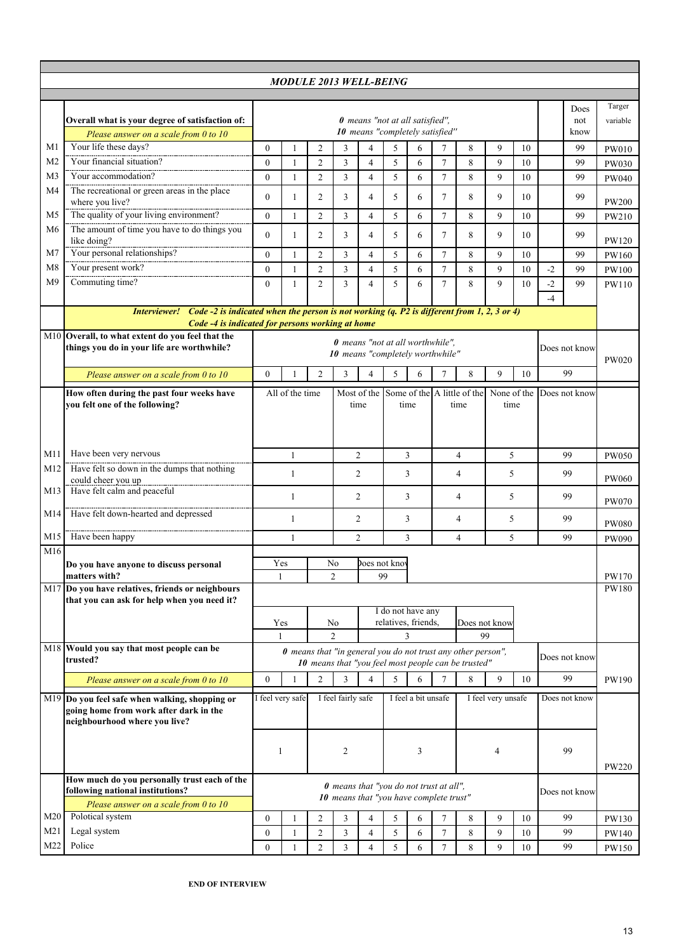| <b>MODULE 2013 WELL-BEING</b> |                                                                                                                                                               |                                                                    |                                                                                                                     |                |                                                                      |                |                     |             |                     |          |                       |               |               |               |              |
|-------------------------------|---------------------------------------------------------------------------------------------------------------------------------------------------------------|--------------------------------------------------------------------|---------------------------------------------------------------------------------------------------------------------|----------------|----------------------------------------------------------------------|----------------|---------------------|-------------|---------------------|----------|-----------------------|---------------|---------------|---------------|--------------|
|                               |                                                                                                                                                               |                                                                    |                                                                                                                     |                |                                                                      |                |                     |             |                     |          |                       |               |               |               |              |
|                               |                                                                                                                                                               |                                                                    |                                                                                                                     |                |                                                                      |                |                     |             |                     |          |                       |               |               | Does          | Targer       |
|                               | Overall what is your degree of satisfaction of:                                                                                                               | 0 means "not at all satisfied".<br>10 means "completely satisfied" |                                                                                                                     |                |                                                                      |                |                     |             | not                 | variable |                       |               |               |               |              |
|                               | Please answer on a scale from 0 to 10                                                                                                                         |                                                                    |                                                                                                                     |                |                                                                      |                |                     |             |                     |          |                       |               |               | know          |              |
| M1<br>M <sub>2</sub>          | Your life these days?<br>Your financial situation?                                                                                                            | $\mathbf{0}$                                                       | $\mathbf{1}$                                                                                                        | $\overline{2}$ | 3                                                                    | $\overline{4}$ | 5                   | 6           | 7                   | 8        | 9                     | 10            |               | 99            | PW010        |
| M3                            | Your accommodation?                                                                                                                                           | $\mathbf{0}$                                                       | $\mathbf{1}$                                                                                                        | $\overline{2}$ | $\overline{3}$                                                       | $\overline{4}$ | 5                   | 6           | $\overline{7}$      | 8        | 9                     | 10            |               | 99            | PW030        |
| M4                            | The recreational or green areas in the place                                                                                                                  | $\mathbf{0}$                                                       | 1                                                                                                                   | $\overline{2}$ | 3                                                                    | 4              | 5                   | 6           | $\tau$              | 8        | 9                     | 10            |               | 99            | <b>PW040</b> |
|                               | where you live?                                                                                                                                               | $\mathbf{0}$                                                       | 1                                                                                                                   | $\overline{2}$ | 3                                                                    | 4              | 5                   | 6           | $\overline{7}$      | 8        | 9                     | 10            |               | 99            | <b>PW200</b> |
| M5                            | The quality of your living environment?                                                                                                                       | $\theta$                                                           | $\mathbf{1}$                                                                                                        | $\overline{2}$ | 3                                                                    | $\overline{4}$ | 5                   | 6           | $\tau$              | 8        | 9                     | 10            |               | 99            | PW210        |
| M6                            | The amount of time you have to do things you<br>like doing?                                                                                                   | $\mathbf{0}$                                                       | 1                                                                                                                   | 2              | 3                                                                    | 4              | 5                   | 6           | $\tau$              | 8        | 9                     | 10            |               | 99            | PW120        |
| M7                            | Your personal relationships?                                                                                                                                  | $\mathbf{0}$                                                       | $\mathbf{1}$                                                                                                        | $\overline{c}$ | 3                                                                    | 4              | 5                   | 6           | $\tau$              | 8        | 9                     | 10            |               | 99            | PW160        |
| M8                            | Your present work?                                                                                                                                            | $\boldsymbol{0}$                                                   | 1                                                                                                                   | $\overline{2}$ | 3                                                                    | $\overline{4}$ | 5                   | 6           | $\overline{7}$      | 8        | 9                     | 10            | $-2$          | 99            | PW100        |
| M <sub>9</sub>                | Commuting time?                                                                                                                                               | $\theta$                                                           | $\mathbf{1}$                                                                                                        | $\overline{2}$ | 3                                                                    | $\overline{4}$ | 5                   | 6           | $\tau$              | 8        | 9                     | 10            | $-2$          | 99            | PW110        |
|                               |                                                                                                                                                               |                                                                    |                                                                                                                     |                |                                                                      |                |                     |             |                     |          |                       |               | $-4$          |               |              |
|                               | Interviewer! Code -2 is indicated when the person is not working $(q. P2$ is different from 1, 2, 3 or 4)<br>Code -4 is indicated for persons working at home |                                                                    |                                                                                                                     |                |                                                                      |                |                     |             |                     |          |                       |               |               |               |              |
|                               | M10 Overall, to what extent do you feel that the                                                                                                              |                                                                    |                                                                                                                     |                |                                                                      |                |                     |             |                     |          |                       |               |               |               |              |
|                               | things you do in your life are worthwhile?                                                                                                                    |                                                                    |                                                                                                                     |                | 0 means "not at all worthwhile".<br>10 means "completely worthwhile" |                |                     |             |                     |          |                       |               | Does not know | <b>PW020</b>  |              |
|                               | Please answer on a scale from 0 to $10$                                                                                                                       | $\mathbf{0}$                                                       | 1                                                                                                                   | $\overline{2}$ | 3                                                                    | 4              | 5                   | 6           | $\tau$              | 8        | 9                     | 10            |               | 99            |              |
|                               | How often during the past four weeks have                                                                                                                     | All of the time                                                    |                                                                                                                     |                | Most of the Some of the A little of the                              |                |                     | None of the |                     |          |                       |               | Does not know |               |              |
|                               | you felt one of the following?                                                                                                                                |                                                                    |                                                                                                                     |                | time                                                                 |                | time                |             | time<br>time        |          |                       |               |               |               |              |
|                               |                                                                                                                                                               |                                                                    |                                                                                                                     |                |                                                                      |                |                     |             |                     |          |                       |               |               |               |              |
|                               |                                                                                                                                                               |                                                                    |                                                                                                                     |                |                                                                      |                |                     |             |                     |          |                       |               |               |               |              |
| M11                           | Have been very nervous                                                                                                                                        | $\mathbf{1}$                                                       |                                                                                                                     |                | $\overline{2}$                                                       |                | 3                   |             | $\overline{4}$      |          | 5                     |               |               | 99            | <b>PW050</b> |
| M12                           | Have felt so down in the dumps that nothing<br>could cheer you up                                                                                             | $\mathbf{1}$                                                       |                                                                                                                     |                | 2<br>3                                                               |                |                     | 4           |                     | 5        |                       | 99            |               | <b>PW060</b>  |              |
| M13                           | Have felt calm and peaceful                                                                                                                                   | 1                                                                  |                                                                                                                     |                | 2                                                                    |                | 3                   |             | 4                   |          | 5                     |               |               | 99            | <b>PW070</b> |
| M14                           | Have felt down-hearted and depressed                                                                                                                          | 1                                                                  |                                                                                                                     | 2              |                                                                      |                | 3                   |             | 4                   | 5        |                       |               | 99            | <b>PW080</b>  |              |
| M15                           | Have been happy                                                                                                                                               | 1                                                                  |                                                                                                                     |                | 2<br>3                                                               |                |                     |             | 5<br>$\overline{4}$ |          |                       |               | 99            | <b>PW090</b>  |              |
| $\overline{M}16$              |                                                                                                                                                               |                                                                    |                                                                                                                     |                |                                                                      |                |                     |             |                     |          |                       |               |               |               |              |
|                               | Do you have anyone to discuss personal                                                                                                                        |                                                                    | Yes<br>Does not know<br>No                                                                                          |                |                                                                      |                |                     |             |                     |          |                       |               |               |               |              |
|                               | matters with?<br>M17 Do you have relatives, friends or neighbours                                                                                             |                                                                    | $\overline{2}$<br>99<br>1                                                                                           |                |                                                                      |                |                     |             |                     |          | PW170<br><b>PW180</b> |               |               |               |              |
|                               | that you can ask for help when you need it?                                                                                                                   |                                                                    |                                                                                                                     |                |                                                                      |                |                     |             |                     |          |                       |               |               |               |              |
|                               |                                                                                                                                                               |                                                                    | I do not have any                                                                                                   |                |                                                                      |                | Does not know       |             |                     |          |                       |               |               |               |              |
|                               |                                                                                                                                                               |                                                                    | relatives, friends,<br>Yes<br>No<br>$\mathfrak{D}$<br>99<br>3                                                       |                |                                                                      |                |                     |             |                     |          |                       |               |               |               |              |
|                               | M18 Would you say that most people can be<br>trusted?                                                                                                         |                                                                    | 0 means that "in general you do not trust any other person",<br>10 means that "you feel most people can be trusted" |                |                                                                      |                |                     |             |                     |          |                       | Does not know |               |               |              |
|                               | Please answer on a scale from $0$ to $10$                                                                                                                     | $\mathbf{0}$                                                       | 1                                                                                                                   | 2              | 3                                                                    | $\overline{4}$ | 5                   | 6           | 7                   | 8        | 9                     | 10            |               | 99            | PW190        |
|                               | M19 Do you feel safe when walking, shopping or                                                                                                                |                                                                    |                                                                                                                     |                |                                                                      |                |                     |             |                     |          |                       |               |               | Does not know |              |
|                               | going home from work after dark in the                                                                                                                        | I feel very safe                                                   |                                                                                                                     |                | I feel fairly safe                                                   |                | I feel a bit unsafe |             |                     |          | I feel very unsafe    |               |               |               |              |
|                               | neighbourhood where you live?                                                                                                                                 |                                                                    |                                                                                                                     |                |                                                                      |                |                     |             |                     |          |                       |               |               |               |              |
|                               |                                                                                                                                                               |                                                                    |                                                                                                                     |                |                                                                      |                |                     |             |                     |          |                       |               |               |               |              |
|                               |                                                                                                                                                               | 1                                                                  |                                                                                                                     | 2              |                                                                      | 3              |                     |             |                     | 4        |                       |               | 99            |               |              |
|                               |                                                                                                                                                               |                                                                    |                                                                                                                     |                |                                                                      |                |                     |             |                     |          | <b>PW220</b>          |               |               |               |              |
|                               | How much do you personally trust each of the<br>following national institutions?                                                                              | 0 means that "you do not trust at all",<br>Does not know           |                                                                                                                     |                |                                                                      |                |                     |             |                     |          |                       |               |               |               |              |
|                               | Please answer on a scale from 0 to 10                                                                                                                         | 10 means that "you have complete trust"                            |                                                                                                                     |                |                                                                      |                |                     |             |                     |          |                       |               |               |               |              |
| M20                           | Polotical system                                                                                                                                              | $\boldsymbol{0}$                                                   | 1                                                                                                                   | $\overline{2}$ | 3                                                                    | 4              | 5                   | 6           | $\tau$              | 8        | 9                     | 10            |               | 99            | PW130        |
| M <sub>21</sub>               | Legal system                                                                                                                                                  | $\boldsymbol{0}$                                                   | 1                                                                                                                   | $\sqrt{2}$     | 3                                                                    | $\overline{4}$ | 5                   | 6           | $\tau$              | 8        | 9                     | 10            |               | 99            | PW140        |
| M22                           | Police                                                                                                                                                        | $\mathbf{0}$                                                       |                                                                                                                     | $\overline{2}$ | $\overline{3}$                                                       | $\overline{4}$ | 5                   | 6           | $\tau$              | 8        | 9                     | 10            |               | 99            | PW150        |